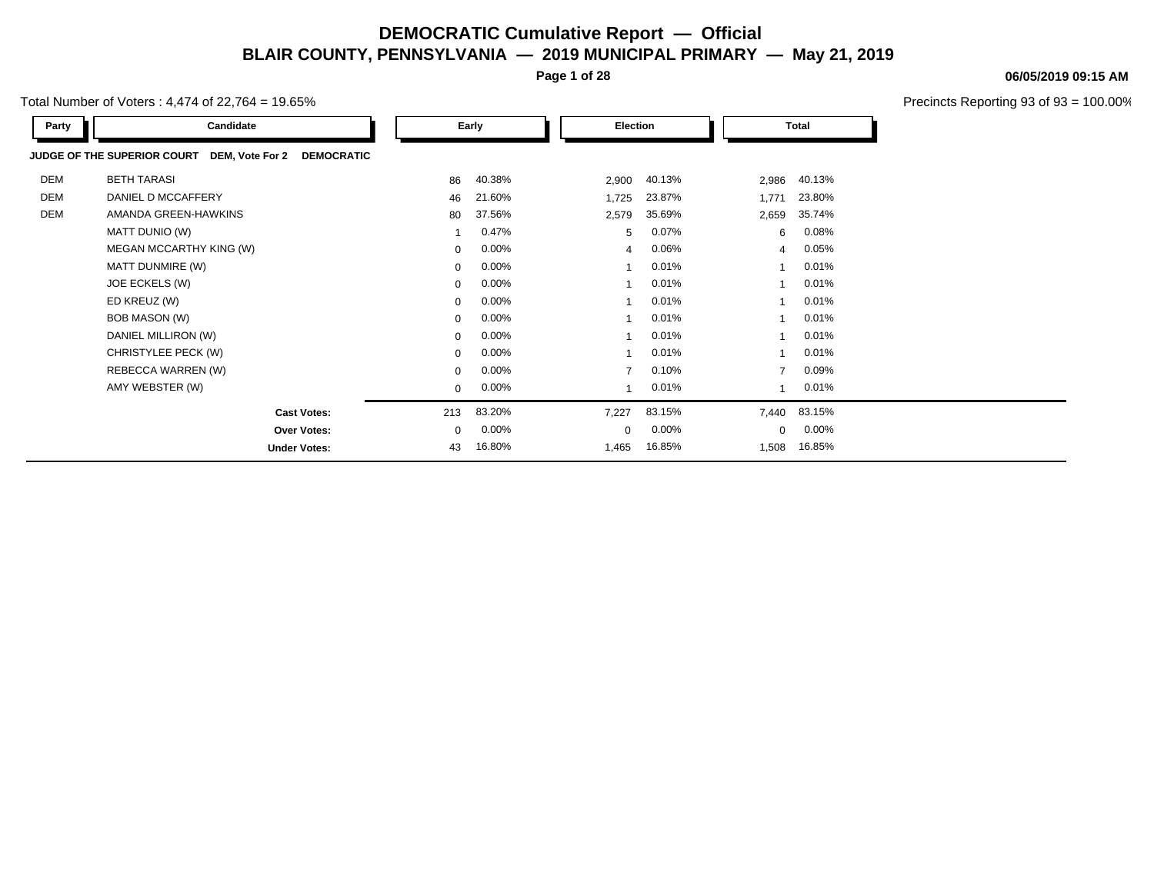**Page 1 of 28**

Total Number of Voters : 4,474 of 22,764 = 19.65%

| Party      | Candidate                                                        |             | Early    | Election                |        |                | <b>Total</b> |  |
|------------|------------------------------------------------------------------|-------------|----------|-------------------------|--------|----------------|--------------|--|
|            | JUDGE OF THE SUPERIOR COURT DEM, Vote For 2<br><b>DEMOCRATIC</b> |             |          |                         |        |                |              |  |
| <b>DEM</b> | <b>BETH TARASI</b>                                               | 86          | 40.38%   | 2,900                   | 40.13% | 2,986          | 40.13%       |  |
| <b>DEM</b> | DANIEL D MCCAFFERY                                               | 46          | 21.60%   | 1,725                   | 23.87% | 1,771          | 23.80%       |  |
| <b>DEM</b> | AMANDA GREEN-HAWKINS                                             | 80          | 37.56%   | 2,579                   | 35.69% | 2,659          | 35.74%       |  |
|            | MATT DUNIO (W)                                                   |             | 0.47%    | 5                       | 0.07%  | 6              | 0.08%        |  |
|            | MEGAN MCCARTHY KING (W)                                          | $\mathbf 0$ | 0.00%    | $\overline{4}$          | 0.06%  | $\overline{4}$ | 0.05%        |  |
|            | MATT DUNMIRE (W)                                                 | $\mathbf 0$ | 0.00%    |                         | 0.01%  |                | 0.01%        |  |
|            | JOE ECKELS (W)                                                   | $\mathbf 0$ | $0.00\%$ | -1                      | 0.01%  | $\overline{ }$ | 0.01%        |  |
|            | ED KREUZ (W)                                                     | 0           | $0.00\%$ |                         | 0.01%  |                | 0.01%        |  |
|            | BOB MASON (W)                                                    | $\mathbf 0$ | $0.00\%$ |                         | 0.01%  |                | 0.01%        |  |
|            | DANIEL MILLIRON (W)                                              | $\mathbf 0$ | $0.00\%$ | $\overline{\mathbf{1}}$ | 0.01%  | $\overline{1}$ | 0.01%        |  |
|            | CHRISTYLEE PECK (W)                                              | $\Omega$    | $0.00\%$ | 1                       | 0.01%  |                | 0.01%        |  |
|            | REBECCA WARREN (W)                                               | $\mathbf 0$ | $0.00\%$ | $\overline{7}$          | 0.10%  | $\overline{7}$ | 0.09%        |  |
|            | AMY WEBSTER (W)                                                  | $\mathbf 0$ | $0.00\%$ | 1                       | 0.01%  |                | 0.01%        |  |
|            | <b>Cast Votes:</b>                                               | 213         | 83.20%   | 7,227                   | 83.15% | 7,440          | 83.15%       |  |
|            | <b>Over Votes:</b>                                               | $\mathbf 0$ | $0.00\%$ | $\mathbf 0$             | 0.00%  | $\mathbf 0$    | 0.00%        |  |
|            | <b>Under Votes:</b>                                              | 43          | 16.80%   | 1,465                   | 16.85% | 1,508          | 16.85%       |  |

#### **06/05/2019 09:15 AM**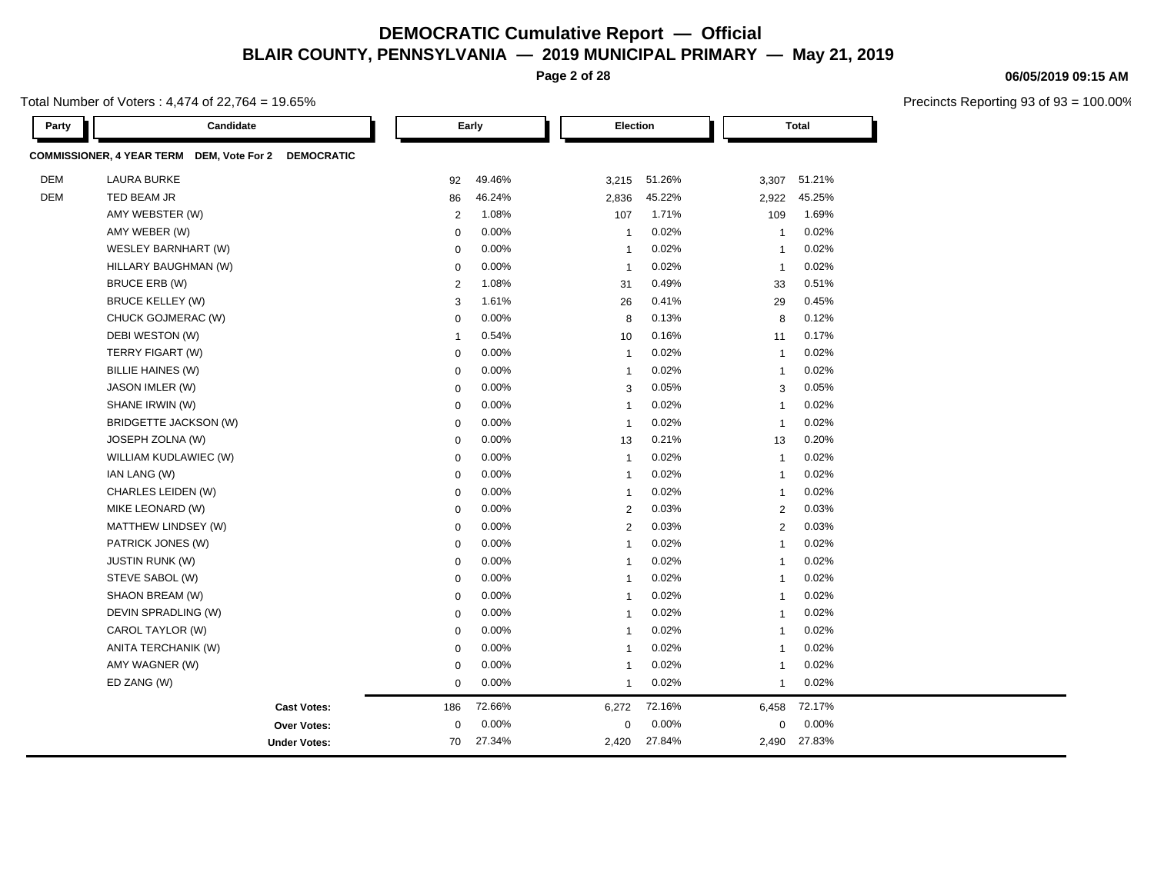**Page 2 of 28**

Total Number of Voters : 4,474 of 22,764 = 19.65%

| Party      | Candidate                                                                |                | Early    |                | Election |                | <b>Total</b> |  |
|------------|--------------------------------------------------------------------------|----------------|----------|----------------|----------|----------------|--------------|--|
|            | <b>COMMISSIONER, 4 YEAR TERM</b><br>DEM, Vote For 2<br><b>DEMOCRATIC</b> |                |          |                |          |                |              |  |
| <b>DEM</b> | <b>LAURA BURKE</b>                                                       | 92             | 49.46%   | 3,215          | 51.26%   | 3,307          | 51.21%       |  |
| <b>DEM</b> | TED BEAM JR                                                              | 86             | 46.24%   | 2,836          | 45.22%   | 2,922          | 45.25%       |  |
|            | AMY WEBSTER (W)                                                          | $\overline{2}$ | 1.08%    | 107            | 1.71%    | 109            | 1.69%        |  |
|            | AMY WEBER (W)                                                            | $\mathbf 0$    | 0.00%    | $\mathbf{1}$   | 0.02%    | $\mathbf{1}$   | 0.02%        |  |
|            | WESLEY BARNHART (W)                                                      | $\mathbf 0$    | 0.00%    | $\mathbf{1}$   | 0.02%    | $\mathbf{1}$   | 0.02%        |  |
|            | HILLARY BAUGHMAN (W)                                                     | $\mathbf 0$    | 0.00%    | $\mathbf{1}$   | 0.02%    | $\mathbf{1}$   | 0.02%        |  |
|            | BRUCE ERB (W)                                                            | $\overline{2}$ | 1.08%    | 31             | 0.49%    | 33             | 0.51%        |  |
|            | <b>BRUCE KELLEY (W)</b>                                                  | 3              | 1.61%    | 26             | 0.41%    | 29             | 0.45%        |  |
|            | CHUCK GOJMERAC (W)                                                       | $\mathbf 0$    | 0.00%    | 8              | 0.13%    | 8              | 0.12%        |  |
|            | DEBI WESTON (W)                                                          | $\overline{1}$ | 0.54%    | 10             | 0.16%    | 11             | 0.17%        |  |
|            | TERRY FIGART (W)                                                         | $\mathbf 0$    | 0.00%    | $\mathbf{1}$   | 0.02%    | $\mathbf{1}$   | 0.02%        |  |
|            | BILLIE HAINES (W)                                                        | $\mathbf 0$    | 0.00%    | $\mathbf{1}$   | 0.02%    | $\mathbf{1}$   | 0.02%        |  |
|            | JASON IMLER (W)                                                          | $\mathbf 0$    | 0.00%    | 3              | 0.05%    | 3              | 0.05%        |  |
|            | SHANE IRWIN (W)                                                          | $\mathbf 0$    | 0.00%    | $\mathbf{1}$   | 0.02%    | $\mathbf{1}$   | 0.02%        |  |
|            | BRIDGETTE JACKSON (W)                                                    | $\mathbf 0$    | 0.00%    | $\mathbf{1}$   | 0.02%    | $\mathbf{1}$   | 0.02%        |  |
|            | JOSEPH ZOLNA (W)                                                         | $\mathbf 0$    | $0.00\%$ | 13             | 0.21%    | 13             | 0.20%        |  |
|            | WILLIAM KUDLAWIEC (W)                                                    | $\mathbf 0$    | 0.00%    | $\mathbf{1}$   | 0.02%    | $\mathbf{1}$   | 0.02%        |  |
|            | IAN LANG (W)                                                             | $\mathbf 0$    | 0.00%    | $\mathbf{1}$   | 0.02%    | $\mathbf{1}$   | 0.02%        |  |
|            | CHARLES LEIDEN (W)                                                       | $\mathbf 0$    | 0.00%    | $\overline{1}$ | 0.02%    | -1             | 0.02%        |  |
|            | MIKE LEONARD (W)                                                         | $\mathbf 0$    | 0.00%    | $\overline{2}$ | 0.03%    | $\overline{2}$ | 0.03%        |  |
|            | <b>MATTHEW LINDSEY (W)</b>                                               | $\mathbf 0$    | 0.00%    | $\overline{2}$ | 0.03%    | 2              | 0.03%        |  |
|            | PATRICK JONES (W)                                                        | $\mathbf 0$    | 0.00%    | $\overline{1}$ | 0.02%    | $\overline{1}$ | 0.02%        |  |
|            | <b>JUSTIN RUNK (W)</b>                                                   | $\mathbf 0$    | 0.00%    | $\mathbf{1}$   | 0.02%    | $\mathbf{1}$   | 0.02%        |  |
|            | STEVE SABOL (W)                                                          | $\mathbf 0$    | 0.00%    | $\mathbf{1}$   | 0.02%    | $\overline{1}$ | 0.02%        |  |
|            | SHAON BREAM (W)                                                          | $\mathbf 0$    | 0.00%    | $\overline{1}$ | 0.02%    | $\mathbf{1}$   | 0.02%        |  |
|            | DEVIN SPRADLING (W)                                                      | $\mathbf 0$    | 0.00%    | $\mathbf{1}$   | 0.02%    | $\mathbf{1}$   | 0.02%        |  |
|            | CAROL TAYLOR (W)                                                         | $\mathbf 0$    | 0.00%    | $\mathbf{1}$   | 0.02%    | $\mathbf{1}$   | 0.02%        |  |
|            | ANITA TERCHANIK (W)                                                      | $\mathbf 0$    | 0.00%    | $\overline{1}$ | 0.02%    | $\overline{1}$ | 0.02%        |  |
|            | AMY WAGNER (W)                                                           | $\mathbf 0$    | 0.00%    | $\mathbf{1}$   | 0.02%    | $\mathbf{1}$   | 0.02%        |  |
|            | ED ZANG (W)                                                              | $\mathbf 0$    | 0.00%    | $\mathbf{1}$   | 0.02%    | $\mathbf{1}$   | 0.02%        |  |
|            | <b>Cast Votes:</b>                                                       | 186            | 72.66%   | 6,272          | 72.16%   | 6,458          | 72.17%       |  |
|            | <b>Over Votes:</b>                                                       | $\mathbf 0$    | 0.00%    | $\mathbf 0$    | 0.00%    | 0              | 0.00%        |  |
|            | <b>Under Votes:</b>                                                      | 70             | 27.34%   | 2,420          | 27.84%   | 2,490          | 27.83%       |  |

#### **06/05/2019 09:15 AM**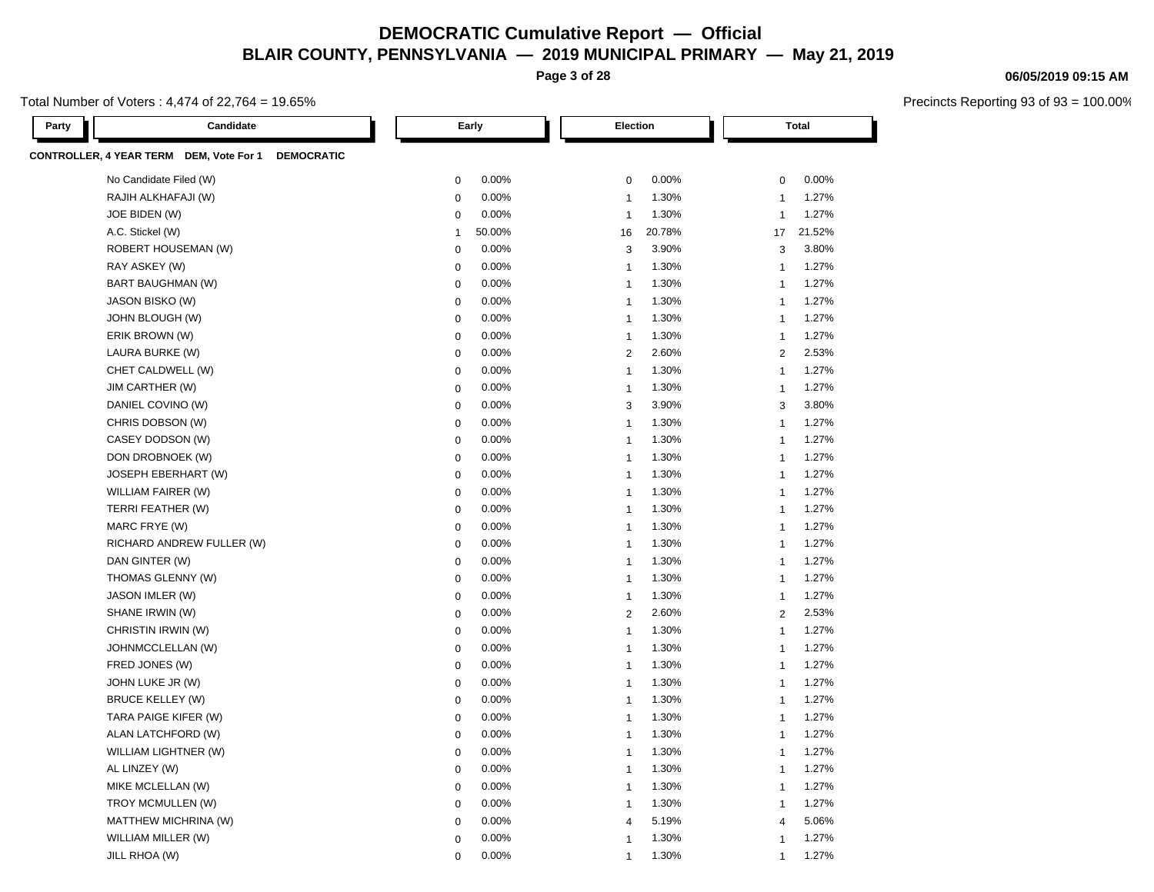**Page 3 of 28**

Total Number of Voters : 4,474 of 22,764 = 19.65%

| Party | Candidate                                                    | Early                  | <b>Election</b>                  | <b>Total</b>                     |  |  |
|-------|--------------------------------------------------------------|------------------------|----------------------------------|----------------------------------|--|--|
|       | CONTROLLER, 4 YEAR TERM DEM, Vote For 1<br><b>DEMOCRATIC</b> |                        |                                  |                                  |  |  |
|       | No Candidate Filed (W)                                       | 0.00%<br>$\mathbf 0$   | 0.00%<br>$\mathbf 0$             | 0.00%<br>$\mathbf 0$             |  |  |
|       | RAJIH ALKHAFAJI (W)                                          | $\pmb{0}$<br>0.00%     | 1.30%<br>$\overline{1}$          | 1.27%<br>$\overline{1}$          |  |  |
|       | JOE BIDEN (W)                                                | 0.00%<br>0             | 1.30%<br>$\overline{1}$          | 1.27%<br>$\overline{1}$          |  |  |
|       | A.C. Stickel (W)                                             | 50.00%<br>$\mathbf{1}$ | 20.78%<br>16                     | 21.52%<br>17                     |  |  |
|       | ROBERT HOUSEMAN (W)                                          | 0.00%<br>$\pmb{0}$     | 3<br>3.90%                       | 3.80%<br>3                       |  |  |
|       | RAY ASKEY (W)                                                | 0.00%<br>$\mathbf 0$   | 1.30%<br>$\overline{1}$          | 1.27%<br>$\overline{1}$          |  |  |
|       | <b>BART BAUGHMAN (W)</b>                                     | 0.00%<br>$\mathbf 0$   | 1.30%<br>$\overline{1}$          | 1.27%<br>$\overline{1}$          |  |  |
|       | JASON BISKO (W)                                              | 0.00%<br>$\Omega$      | 1.30%<br>$\overline{1}$          | 1.27%<br>$\mathbf{1}$            |  |  |
|       | JOHN BLOUGH (W)                                              | 0.00%<br>$\mathbf 0$   | 1.30%<br>$\overline{1}$          | 1.27%<br>$\mathbf{1}$            |  |  |
|       | ERIK BROWN (W)                                               | 0.00%<br>$\mathbf 0$   | 1.30%<br>$\overline{1}$          | 1.27%<br>$\mathbf{1}$            |  |  |
|       | LAURA BURKE (W)                                              | 0.00%<br>$\mathbf 0$   | 2.60%<br>$\overline{2}$          | 2.53%<br>$\overline{2}$          |  |  |
|       | CHET CALDWELL (W)                                            | $\mathbf 0$<br>0.00%   | 1.30%<br>$\mathbf{1}$            | 1.27%<br>$\mathbf{1}$            |  |  |
|       | JIM CARTHER (W)                                              | 0.00%<br>$\mathbf 0$   | 1.30%<br>$\overline{1}$          | 1.27%<br>$\mathbf{1}$            |  |  |
|       | DANIEL COVINO (W)                                            | 0.00%<br>$\mathbf 0$   | 3.90%<br>3                       | 3.80%<br>3                       |  |  |
|       | CHRIS DOBSON (W)                                             | 0.00%<br>$\mathbf 0$   | 1.30%<br>$\mathbf{1}$            | 1.27%<br>$\overline{1}$          |  |  |
|       | CASEY DODSON (W)                                             | 0.00%<br>$\mathbf 0$   | $\mathbf{1}$<br>1.30%            | 1.27%<br>$\overline{1}$          |  |  |
|       | DON DROBNOEK (W)                                             | 0.00%<br>$\mathbf 0$   | 1.30%<br>$\overline{1}$          | 1.27%<br>$\overline{1}$          |  |  |
|       | <b>JOSEPH EBERHART (W)</b>                                   | 0.00%<br>$\mathbf 0$   | 1.30%<br>$\overline{1}$          | 1.27%<br>$\overline{1}$          |  |  |
|       | WILLIAM FAIRER (W)                                           | 0.00%<br>$\mathbf 0$   | 1.30%<br>$\overline{1}$          | 1.27%<br>$\overline{1}$          |  |  |
|       | TERRI FEATHER (W)                                            | 0.00%<br>$\mathbf 0$   | 1.30%<br>$\overline{\mathbf{1}}$ | 1.27%<br>$\overline{1}$          |  |  |
|       | MARC FRYE (W)                                                | $\mathbf 0$<br>0.00%   | 1.30%<br>$\overline{1}$          | 1.27%<br>$\overline{1}$          |  |  |
|       | RICHARD ANDREW FULLER (W)                                    | 0.00%<br>$\mathbf 0$   | 1.30%<br>$\overline{1}$          | 1.27%<br>$\overline{1}$          |  |  |
|       | DAN GINTER (W)                                               | $\mathbf 0$<br>0.00%   | 1.30%<br>$\overline{1}$          | 1.27%<br>1                       |  |  |
|       | THOMAS GLENNY (W)                                            | $\mathbf 0$<br>0.00%   | 1.30%<br>$\overline{1}$          | 1.27%<br>$\overline{1}$          |  |  |
|       | JASON IMLER (W)                                              | 0.00%<br>$\mathbf 0$   | 1.30%<br>$\overline{1}$          | 1.27%<br>$\mathbf{1}$            |  |  |
|       | SHANE IRWIN (W)                                              | 0.00%<br>$\mathbf 0$   | 2.60%<br>$\overline{2}$          | 2.53%<br>$\overline{2}$          |  |  |
|       | CHRISTIN IRWIN (W)                                           | $\mathbf 0$<br>0.00%   | $\mathbf{1}$<br>1.30%            | 1.27%<br>$\overline{1}$          |  |  |
|       | JOHNMCCLELLAN (W)                                            | $\mathbf 0$<br>0.00%   | 1.30%<br>$\overline{1}$          | 1.27%<br>$\overline{1}$          |  |  |
|       | FRED JONES (W)                                               | 0.00%<br>$\mathbf 0$   | 1.30%<br>$\overline{1}$          | 1.27%<br>$\overline{1}$          |  |  |
|       | JOHN LUKE JR (W)                                             | 0.00%<br>$\mathbf 0$   | 1.30%<br>$\overline{1}$          | 1.27%<br>$\overline{1}$          |  |  |
|       | <b>BRUCE KELLEY (W)</b>                                      | 0.00%<br>$\mathbf 0$   | 1.30%<br>$\overline{1}$          | 1.27%<br>$\overline{1}$          |  |  |
|       | TARA PAIGE KIFER (W)                                         | 0.00%<br>$\mathbf 0$   | 1.30%<br>$\overline{1}$          | 1.27%<br>$\overline{1}$          |  |  |
|       | ALAN LATCHFORD (W)                                           | 0.00%<br>$\mathbf 0$   | 1.30%<br>$\overline{1}$          | 1.27%<br>$\overline{1}$          |  |  |
|       | WILLIAM LIGHTNER (W)                                         | 0.00%<br>$\mathbf 0$   | 1.30%<br>$\overline{1}$          | 1.27%<br>$\overline{\mathbf{1}}$ |  |  |
|       | AL LINZEY (W)                                                | 0.00%<br>$\mathbf 0$   | 1.30%<br>$\overline{1}$          | 1.27%<br>$\overline{1}$          |  |  |
|       | MIKE MCLELLAN (W)                                            | $\mathbf 0$<br>0.00%   | 1.30%<br>$\overline{1}$          | 1.27%<br>$\mathbf{1}$            |  |  |
|       | TROY MCMULLEN (W)                                            | 0.00%<br>$\mathbf 0$   | 1.30%<br>$\overline{1}$          | 1.27%<br>$\overline{1}$          |  |  |
|       | MATTHEW MICHRINA (W)                                         | $\Omega$<br>0.00%      | 5.19%<br>$\overline{4}$          | 5.06%<br>$\overline{4}$          |  |  |
|       | WILLIAM MILLER (W)                                           | 0.00%<br>$\mathbf 0$   | 1.30%<br>$\overline{1}$          | 1.27%<br>$\overline{1}$          |  |  |
|       | JILL RHOA (W)                                                | 0.00%<br>$\Omega$      | 1.30%<br>$\overline{1}$          | 1.27%<br>$\overline{1}$          |  |  |

#### **06/05/2019 09:15 AM**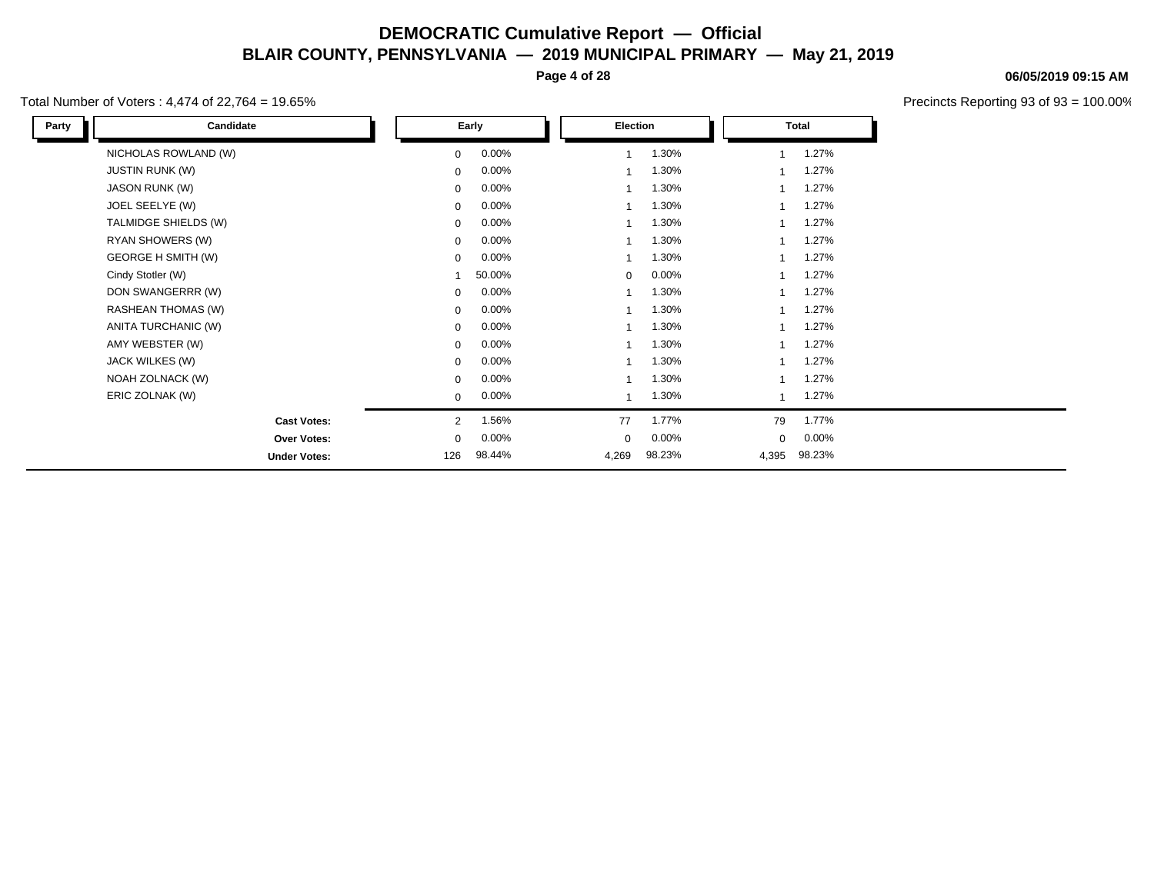**Page 4 of 28**

#### Total Number of Voters : 4,474 of 22,764 = 19.65%

Ч

**06/05/2019 09:15 AM**

| Candidate              |                | Early    | Election     |        |                         | Total    |
|------------------------|----------------|----------|--------------|--------|-------------------------|----------|
| NICHOLAS ROWLAND (W)   | 0              | $0.00\%$ | $\mathbf{1}$ | 1.30%  |                         | 1.27%    |
| <b>JUSTIN RUNK (W)</b> | 0              | 0.00%    |              | 1.30%  |                         | 1.27%    |
| JASON RUNK (W)         | $\mathbf 0$    | $0.00\%$ | $\mathbf 1$  | 1.30%  |                         | 1.27%    |
| JOEL SEELYE (W)        | $\mathbf 0$    | $0.00\%$ |              | 1.30%  |                         | 1.27%    |
| TALMIDGE SHIELDS (W)   | $\mathbf 0$    | $0.00\%$ | $\mathbf 1$  | 1.30%  |                         | 1.27%    |
| RYAN SHOWERS (W)       | $\mathbf 0$    | $0.00\%$ | 1            | 1.30%  |                         | 1.27%    |
| GEORGE H SMITH (W)     | $\mathbf 0$    | $0.00\%$ | 1            | 1.30%  | $\overline{\mathbf{A}}$ | 1.27%    |
| Cindy Stotler (W)      |                | 50.00%   | $\mathbf 0$  | 0.00%  |                         | 1.27%    |
| DON SWANGERRR (W)      | 0              | $0.00\%$ | $\mathbf{1}$ | 1.30%  | $\overline{1}$          | 1.27%    |
| RASHEAN THOMAS (W)     | $\mathbf 0$    | $0.00\%$ |              | 1.30%  |                         | 1.27%    |
| ANITA TURCHANIC (W)    | $\mathbf 0$    | $0.00\%$ | $\mathbf 1$  | 1.30%  |                         | 1.27%    |
| AMY WEBSTER (W)        | $\mathbf 0$    | 0.00%    | 1            | 1.30%  |                         | 1.27%    |
| JACK WILKES (W)        | 0              | 0.00%    | $\mathbf{1}$ | 1.30%  |                         | 1.27%    |
| NOAH ZOLNACK (W)       | $\mathbf 0$    | $0.00\%$ |              | 1.30%  |                         | 1.27%    |
| ERIC ZOLNAK (W)        | $\mathbf 0$    | $0.00\%$ |              | 1.30%  |                         | 1.27%    |
| <b>Cast Votes:</b>     | $\overline{2}$ | 1.56%    | 77           | 1.77%  | 79                      | 1.77%    |
| Over Votes:            | 0              | 0.00%    | 0            | 0.00%  | 0                       | $0.00\%$ |
| <b>Under Votes:</b>    | 126            | 98.44%   | 4,269        | 98.23% | 4,395                   | 98.23%   |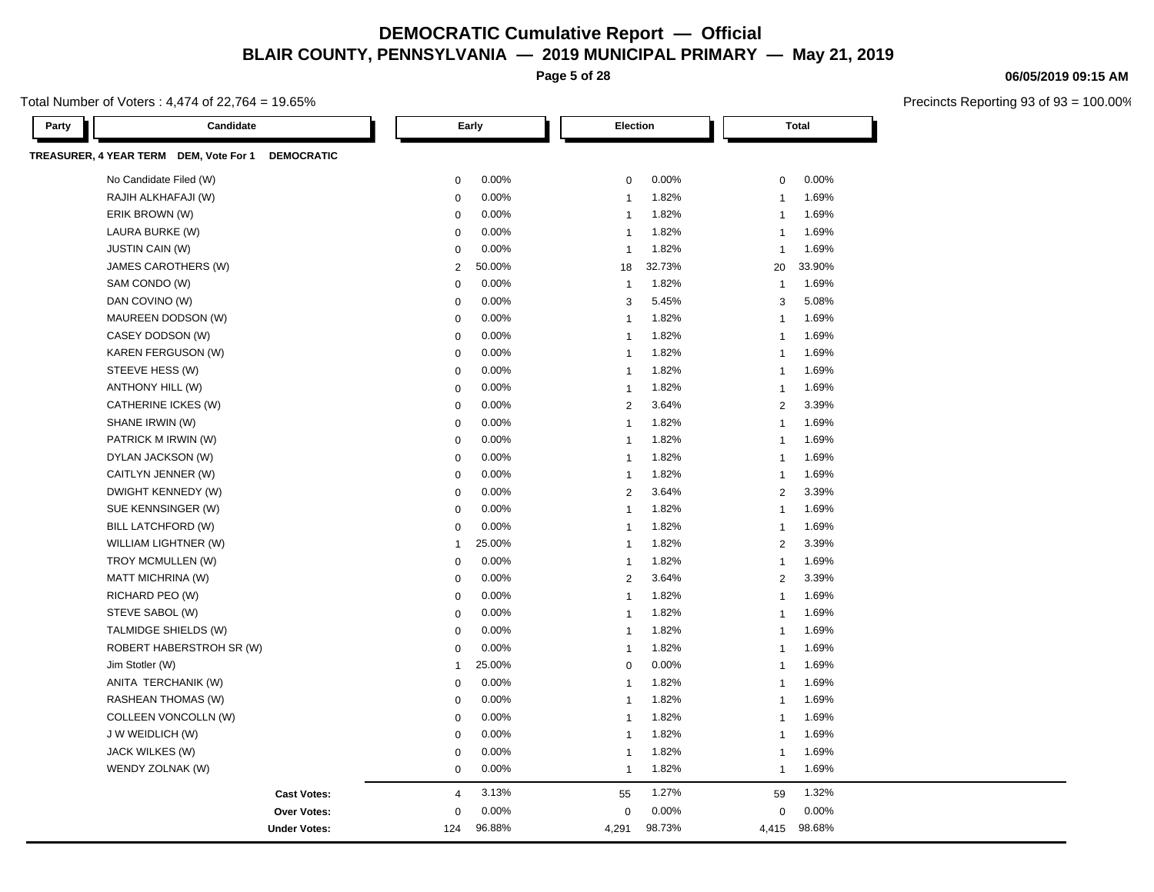**Page 5 of 28**

#### Total Number of Voters : 4,474 of 22,764 = 19.65%

Precincts Reporting 93 of 93 = 100.00%

**06/05/2019 09:15 AM**

| Candidate<br>Party                                          |                | Early  | Election       |        |                | <b>Total</b> |  |
|-------------------------------------------------------------|----------------|--------|----------------|--------|----------------|--------------|--|
| TREASURER, 4 YEAR TERM DEM, Vote For 1<br><b>DEMOCRATIC</b> |                |        |                |        |                |              |  |
| No Candidate Filed (W)                                      | $\mathbf 0$    | 0.00%  | $\mathbf 0$    | 0.00%  | $\mathbf 0$    | 0.00%        |  |
| RAJIH ALKHAFAJI (W)                                         | $\mathbf 0$    | 0.00%  | $\mathbf{1}$   | 1.82%  | $\overline{1}$ | 1.69%        |  |
| ERIK BROWN (W)                                              | $\mathbf 0$    | 0.00%  | $\overline{1}$ | 1.82%  | $\overline{1}$ | 1.69%        |  |
| LAURA BURKE (W)                                             | $\mathbf 0$    | 0.00%  | $\overline{1}$ | 1.82%  | $\overline{1}$ | 1.69%        |  |
| <b>JUSTIN CAIN (W)</b>                                      | $\Omega$       | 0.00%  | $\overline{1}$ | 1.82%  | $\overline{1}$ | 1.69%        |  |
| JAMES CAROTHERS (W)                                         | $\sqrt{2}$     | 50.00% | 18             | 32.73% | 20             | 33.90%       |  |
| SAM CONDO (W)                                               | $\mathbf 0$    | 0.00%  | $\mathbf{1}$   | 1.82%  | $\overline{1}$ | 1.69%        |  |
| DAN COVINO (W)                                              | $\Omega$       | 0.00%  | 3              | 5.45%  | 3              | 5.08%        |  |
| MAUREEN DODSON (W)                                          | $\mathbf 0$    | 0.00%  | $\overline{1}$ | 1.82%  | $\overline{1}$ | 1.69%        |  |
| CASEY DODSON (W)                                            | $\mathbf 0$    | 0.00%  | $\overline{1}$ | 1.82%  | $\overline{1}$ | 1.69%        |  |
| KAREN FERGUSON (W)                                          | $\mathbf 0$    | 0.00%  | $\overline{1}$ | 1.82%  | $\overline{1}$ | 1.69%        |  |
| STEEVE HESS (W)                                             | $\mathbf 0$    | 0.00%  | $\overline{1}$ | 1.82%  | $\overline{1}$ | 1.69%        |  |
| ANTHONY HILL (W)                                            | $\mathbf 0$    | 0.00%  | $\overline{1}$ | 1.82%  | $\overline{1}$ | 1.69%        |  |
| CATHERINE ICKES (W)                                         | $\mathbf 0$    | 0.00%  | $\overline{2}$ | 3.64%  | 2              | 3.39%        |  |
| SHANE IRWIN (W)                                             | $\mathbf 0$    | 0.00%  | $\overline{1}$ | 1.82%  | $\overline{1}$ | 1.69%        |  |
| PATRICK M IRWIN (W)                                         | $\mathbf 0$    | 0.00%  | $\mathbf{1}$   | 1.82%  | $\mathbf{1}$   | 1.69%        |  |
| DYLAN JACKSON (W)                                           | $\mathbf 0$    | 0.00%  | $\overline{1}$ | 1.82%  | $\mathbf{1}$   | 1.69%        |  |
| CAITLYN JENNER (W)                                          | $\mathbf 0$    | 0.00%  | $\overline{1}$ | 1.82%  | $\overline{1}$ | 1.69%        |  |
| DWIGHT KENNEDY (W)                                          | $\mathbf 0$    | 0.00%  | $\overline{2}$ | 3.64%  | $\overline{2}$ | 3.39%        |  |
| SUE KENNSINGER (W)                                          | $\mathbf 0$    | 0.00%  | $\overline{1}$ | 1.82%  | $\overline{1}$ | 1.69%        |  |
| BILL LATCHFORD (W)                                          | $\mathbf 0$    | 0.00%  | $\mathbf{1}$   | 1.82%  | $\overline{1}$ | 1.69%        |  |
| WILLIAM LIGHTNER (W)                                        | $\mathbf{1}$   | 25.00% | $\overline{1}$ | 1.82%  | 2              | 3.39%        |  |
| TROY MCMULLEN (W)                                           | $\mathbf 0$    | 0.00%  | $\overline{1}$ | 1.82%  | $\mathbf{1}$   | 1.69%        |  |
| <b>MATT MICHRINA (W)</b>                                    | $\mathbf 0$    | 0.00%  | $\overline{2}$ | 3.64%  | $\overline{2}$ | 3.39%        |  |
| RICHARD PEO (W)                                             | $\mathbf 0$    | 0.00%  | $\mathbf{1}$   | 1.82%  | $\overline{1}$ | 1.69%        |  |
| STEVE SABOL (W)                                             | $\mathbf 0$    | 0.00%  | $\overline{1}$ | 1.82%  | 1              | 1.69%        |  |
| TALMIDGE SHIELDS (W)                                        | $\mathbf 0$    | 0.00%  | $\overline{1}$ | 1.82%  | $\overline{1}$ | 1.69%        |  |
| ROBERT HABERSTROH SR (W)                                    | $\mathbf 0$    | 0.00%  | $\overline{1}$ | 1.82%  | $\overline{1}$ | 1.69%        |  |
| Jim Stotler (W)                                             | $\mathbf{1}$   | 25.00% | $\mathbf 0$    | 0.00%  | $\overline{1}$ | 1.69%        |  |
| ANITA TERCHANIK (W)                                         | $\mathbf 0$    | 0.00%  | $\overline{1}$ | 1.82%  | $\overline{1}$ | 1.69%        |  |
| <b>RASHEAN THOMAS (W)</b>                                   | $\mathbf 0$    | 0.00%  | $\mathbf{1}$   | 1.82%  | $\overline{1}$ | 1.69%        |  |
| COLLEEN VONCOLLN (W)                                        | $\mathbf 0$    | 0.00%  | $\overline{1}$ | 1.82%  | $\overline{1}$ | 1.69%        |  |
| J W WEIDLICH (W)                                            | $\mathbf 0$    | 0.00%  | $\overline{1}$ | 1.82%  | $\overline{1}$ | 1.69%        |  |
| JACK WILKES (W)                                             | $\mathbf 0$    | 0.00%  | $\overline{1}$ | 1.82%  | $\mathbf{1}$   | 1.69%        |  |
| WENDY ZOLNAK (W)                                            | $\mathbf{0}$   | 0.00%  | $\overline{1}$ | 1.82%  | $\overline{1}$ | 1.69%        |  |
| <b>Cast Votes:</b>                                          | $\overline{4}$ | 3.13%  | 55             | 1.27%  | 59             | 1.32%        |  |
| <b>Over Votes:</b>                                          | 0              | 0.00%  | 0              | 0.00%  | 0              | 0.00%        |  |
| <b>Under Votes:</b>                                         | 124            | 96.88% | 4,291          | 98.73% | 4,415          | 98.68%       |  |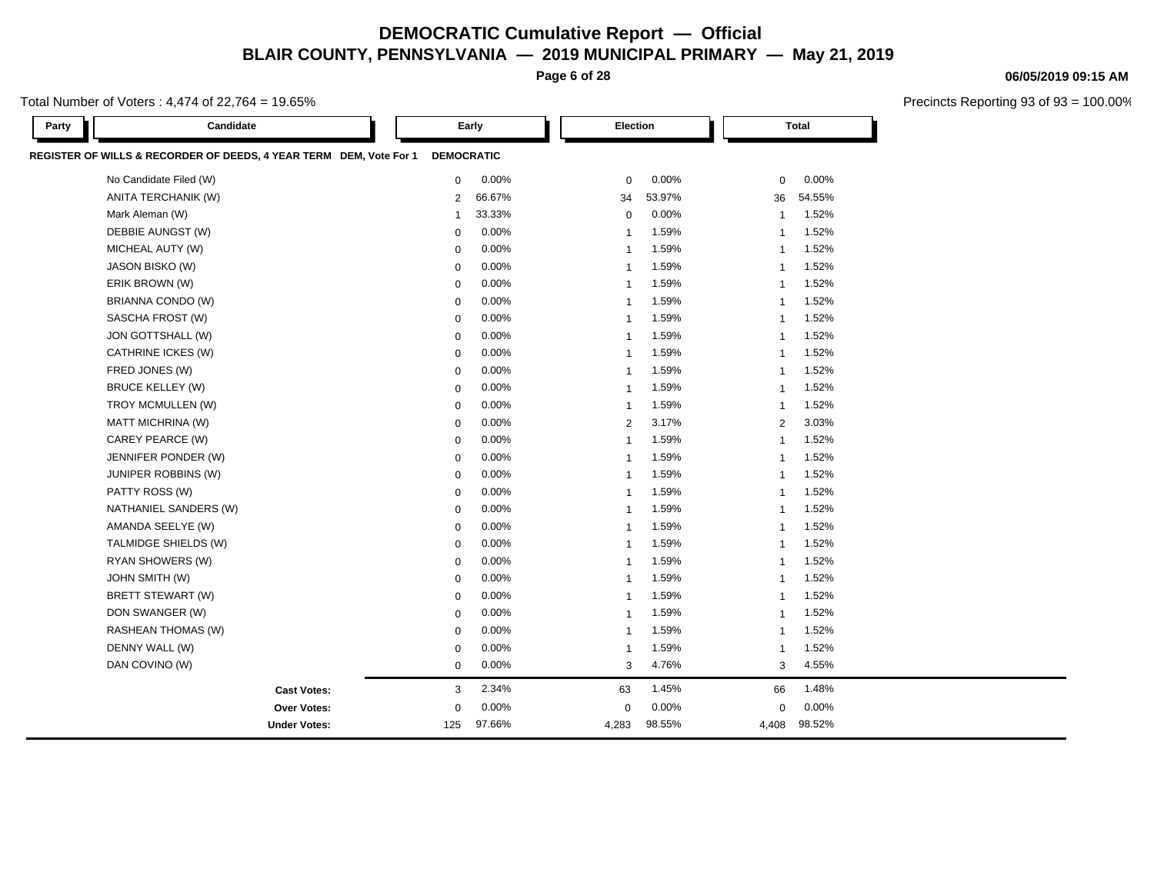**Page 6 of 28**

Total Number of Voters : 4,474 of 22,764 = 19.65%

| Party | Candidate                                                          | Early             |          | Election                |        | <b>Total</b>            |  |
|-------|--------------------------------------------------------------------|-------------------|----------|-------------------------|--------|-------------------------|--|
|       | REGISTER OF WILLS & RECORDER OF DEEDS, 4 YEAR TERM DEM, Vote For 1 | <b>DEMOCRATIC</b> |          |                         |        |                         |  |
|       | No Candidate Filed (W)                                             | $\mathbf 0$       | 0.00%    | $\mathbf 0$             | 0.00%  | 0.00%<br>$\mathbf 0$    |  |
|       | ANITA TERCHANIK (W)                                                | $\overline{2}$    | 66.67%   | 34                      | 53.97% | 54.55%<br>36            |  |
|       | Mark Aleman (W)                                                    | $\mathbf{1}$      | 33.33%   | $\mathbf 0$             | 0.00%  | 1.52%<br>$\mathbf{1}$   |  |
|       | DEBBIE AUNGST (W)                                                  | $\mathbf 0$       | 0.00%    | $\overline{1}$          | 1.59%  | 1.52%<br>$\overline{1}$ |  |
|       | MICHEAL AUTY (W)                                                   | $\mathbf 0$       | 0.00%    | $\overline{1}$          | 1.59%  | 1.52%<br>$\mathbf{1}$   |  |
|       | JASON BISKO (W)                                                    | $\mathbf 0$       | 0.00%    | $\mathbf{1}$            | 1.59%  | 1.52%<br>$\mathbf{1}$   |  |
|       | ERIK BROWN (W)                                                     | $\mathbf 0$       | 0.00%    | $\overline{1}$          | 1.59%  | 1.52%<br>$\overline{1}$ |  |
|       | BRIANNA CONDO (W)                                                  | 0                 | 0.00%    | $\mathbf{1}$            | 1.59%  | 1.52%<br>$\mathbf{1}$   |  |
|       | SASCHA FROST (W)                                                   | $\mathbf 0$       | 0.00%    | $\mathbf{1}$            | 1.59%  | 1.52%<br>-1             |  |
|       | JON GOTTSHALL (W)                                                  | 0                 | 0.00%    | $\overline{1}$          | 1.59%  | 1.52%<br>-1             |  |
|       | CATHRINE ICKES (W)                                                 | $\mathbf 0$       | 0.00%    | $\overline{1}$          | 1.59%  | 1.52%<br>$\mathbf{1}$   |  |
|       | FRED JONES (W)                                                     | $\mathbf 0$       | 0.00%    | $\overline{\mathbf{1}}$ | 1.59%  | 1.52%<br>$\overline{1}$ |  |
|       | <b>BRUCE KELLEY (W)</b>                                            | 0                 | 0.00%    | $\mathbf{1}$            | 1.59%  | 1.52%<br>-1             |  |
|       | TROY MCMULLEN (W)                                                  | $\mathbf 0$       | 0.00%    | $\mathbf{1}$            | 1.59%  | 1.52%<br>$\mathbf{1}$   |  |
|       | <b>MATT MICHRINA (W)</b>                                           | $\mathbf 0$       | 0.00%    | $\overline{2}$          | 3.17%  | 3.03%<br>$\overline{2}$ |  |
|       | CAREY PEARCE (W)                                                   | $\mathbf 0$       | 0.00%    | $\overline{1}$          | 1.59%  | 1.52%<br>$\overline{1}$ |  |
|       | JENNIFER PONDER (W)                                                | $\mathbf 0$       | 0.00%    | $\overline{1}$          | 1.59%  | 1.52%<br>$\mathbf 1$    |  |
|       | JUNIPER ROBBINS (W)                                                | $\mathbf 0$       | $0.00\%$ | $\overline{1}$          | 1.59%  | 1.52%<br>$\overline{1}$ |  |
|       | PATTY ROSS (W)                                                     | $\mathbf 0$       | 0.00%    | $\overline{1}$          | 1.59%  | 1.52%<br>$\overline{1}$ |  |
|       | NATHANIEL SANDERS (W)                                              | $\mathbf 0$       | 0.00%    | $\overline{1}$          | 1.59%  | 1.52%<br>$\overline{1}$ |  |
|       | AMANDA SEELYE (W)                                                  | $\mathbf 0$       | $0.00\%$ | $\mathbf{1}$            | 1.59%  | 1.52%<br>-1             |  |
|       | TALMIDGE SHIELDS (W)                                               | $\mathbf 0$       | 0.00%    | $\mathbf{1}$            | 1.59%  | 1.52%<br>-1             |  |
|       | RYAN SHOWERS (W)                                                   | $\mathbf 0$       | 0.00%    | $\mathbf 1$             | 1.59%  | 1.52%<br>-1             |  |
|       | <b>JOHN SMITH (W)</b>                                              | $\mathbf 0$       | 0.00%    | $\mathbf{1}$            | 1.59%  | 1.52%<br>$\mathbf{1}$   |  |
|       | <b>BRETT STEWART (W)</b>                                           | $\mathbf 0$       | 0.00%    | $\overline{\mathbf{1}}$ | 1.59%  | 1.52%<br>$\overline{1}$ |  |
|       | DON SWANGER (W)                                                    | 0                 | 0.00%    | $\overline{\mathbf{1}}$ | 1.59%  | 1.52%<br>$\overline{1}$ |  |
|       | RASHEAN THOMAS (W)                                                 | $\mathbf 0$       | 0.00%    | $\overline{\mathbf{1}}$ | 1.59%  | 1.52%<br>$\mathbf{1}$   |  |
|       | DENNY WALL (W)                                                     | $\mathbf 0$       | 0.00%    | $\mathbf{1}$            | 1.59%  | 1.52%<br>-1             |  |
|       | DAN COVINO (W)                                                     | $\mathbf 0$       | $0.00\%$ | 3                       | 4.76%  | 4.55%<br>3              |  |
|       | <b>Cast Votes:</b>                                                 | 3                 | 2.34%    | 63                      | 1.45%  | 1.48%<br>66             |  |
|       | <b>Over Votes:</b>                                                 | $\mathbf 0$       | 0.00%    | $\mathbf 0$             | 0.00%  | 0.00%<br>$\mathbf 0$    |  |
|       | <b>Under Votes:</b>                                                | 125               | 97.66%   | 4,283                   | 98.55% | 98.52%<br>4,408         |  |

#### **06/05/2019 09:15 AM**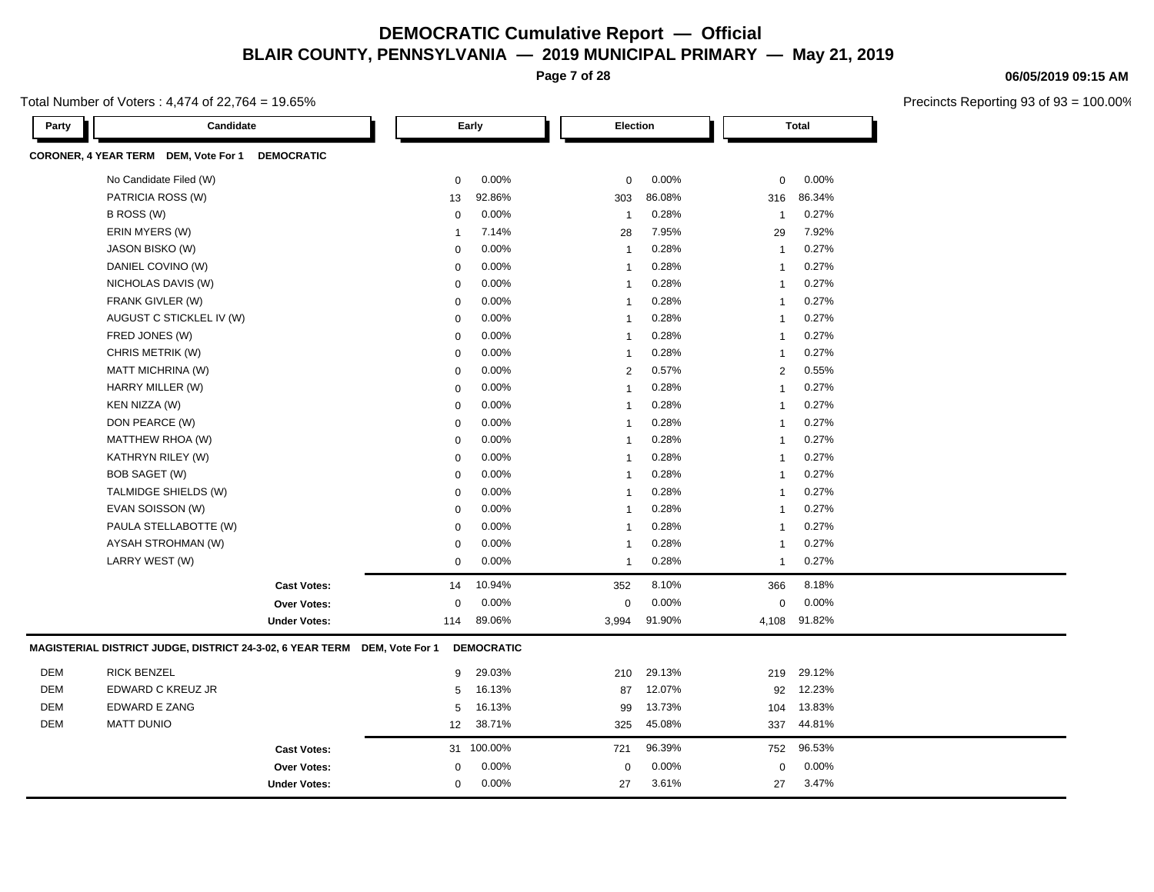**Page 7 of 28**

Total Number of Voters : 4,474 of 22,764 = 19.65%

| Party      | Candidate                                                 |                     |                 | Early             | Election                |        |                | <b>Total</b> |  |
|------------|-----------------------------------------------------------|---------------------|-----------------|-------------------|-------------------------|--------|----------------|--------------|--|
|            | CORONER, 4 YEAR TERM DEM, Vote For 1                      | <b>DEMOCRATIC</b>   |                 |                   |                         |        |                |              |  |
|            | No Candidate Filed (W)                                    |                     | 0               | 0.00%             | $\mathbf 0$             | 0.00%  | $\mathbf 0$    | 0.00%        |  |
|            | PATRICIA ROSS (W)                                         |                     | 13              | 92.86%            | 303                     | 86.08% | 316            | 86.34%       |  |
|            | B ROSS (W)                                                |                     | $\mathbf 0$     | 0.00%             | $\overline{1}$          | 0.28%  | $\mathbf{1}$   | 0.27%        |  |
|            | ERIN MYERS (W)                                            |                     | $\mathbf{1}$    | 7.14%             | 28                      | 7.95%  | 29             | 7.92%        |  |
|            | JASON BISKO (W)                                           |                     | 0               | 0.00%             | $\overline{1}$          | 0.28%  | $\overline{1}$ | 0.27%        |  |
|            | DANIEL COVINO (W)                                         |                     | 0               | 0.00%             | $\overline{1}$          | 0.28%  | $\overline{1}$ | 0.27%        |  |
|            | NICHOLAS DAVIS (W)                                        |                     | $\mathbf 0$     | 0.00%             | $\overline{1}$          | 0.28%  | $\mathbf{1}$   | 0.27%        |  |
|            | FRANK GIVLER (W)                                          |                     | 0               | 0.00%             | $\overline{1}$          | 0.28%  | $\overline{1}$ | 0.27%        |  |
|            | AUGUST C STICKLEL IV (W)                                  |                     | 0               | 0.00%             | $\overline{1}$          | 0.28%  | $\overline{1}$ | 0.27%        |  |
|            | FRED JONES (W)                                            |                     | $\mathbf 0$     | 0.00%             | $\overline{1}$          | 0.28%  | $\mathbf{1}$   | 0.27%        |  |
|            | CHRIS METRIK (W)                                          |                     | $\mathbf 0$     | 0.00%             | -1                      | 0.28%  | $\overline{1}$ | 0.27%        |  |
|            | MATT MICHRINA (W)                                         |                     | 0               | 0.00%             | $\overline{2}$          | 0.57%  | $\overline{2}$ | 0.55%        |  |
|            | HARRY MILLER (W)                                          |                     | 0               | 0.00%             | $\overline{1}$          | 0.28%  | $\mathbf{1}$   | 0.27%        |  |
|            | KEN NIZZA (W)                                             |                     | $\mathbf 0$     | 0.00%             | $\overline{\mathbf{1}}$ | 0.28%  | $\mathbf{1}$   | 0.27%        |  |
|            | DON PEARCE (W)                                            |                     | 0               | 0.00%             | $\overline{\mathbf{1}}$ | 0.28%  | -1             | 0.27%        |  |
|            | MATTHEW RHOA (W)                                          |                     | $\mathbf 0$     | 0.00%             | $\overline{1}$          | 0.28%  | $\mathbf{1}$   | 0.27%        |  |
|            | KATHRYN RILEY (W)                                         |                     | $\mathbf 0$     | 0.00%             | $\overline{1}$          | 0.28%  | -1             | 0.27%        |  |
|            | BOB SAGET (W)                                             |                     | $\mathbf 0$     | 0.00%             | $\overline{1}$          | 0.28%  | $\mathbf{1}$   | 0.27%        |  |
|            | TALMIDGE SHIELDS (W)                                      |                     | $\mathbf 0$     | 0.00%             | $\overline{1}$          | 0.28%  | $\overline{1}$ | 0.27%        |  |
|            | EVAN SOISSON (W)                                          |                     | $\mathbf 0$     | 0.00%             | -1                      | 0.28%  | $\overline{1}$ | 0.27%        |  |
|            | PAULA STELLABOTTE (W)                                     |                     | $\mathbf 0$     | 0.00%             | $\overline{1}$          | 0.28%  | $\mathbf{1}$   | 0.27%        |  |
|            | AYSAH STROHMAN (W)                                        |                     | $\mathbf 0$     | 0.00%             | $\overline{\mathbf{1}}$ | 0.28%  | $\mathbf{1}$   | 0.27%        |  |
|            | LARRY WEST (W)                                            |                     | $\mathbf 0$     | 0.00%             | $\overline{1}$          | 0.28%  | $\overline{1}$ | 0.27%        |  |
|            |                                                           | <b>Cast Votes:</b>  | 14              | 10.94%            | 352                     | 8.10%  | 366            | 8.18%        |  |
|            |                                                           | Over Votes:         | $\mathbf 0$     | 0.00%             | $\mathbf 0$             | 0.00%  | $\mathbf 0$    | 0.00%        |  |
|            |                                                           | <b>Under Votes:</b> | 114             | 89.06%            | 3,994                   | 91.90% | 4,108          | 91.82%       |  |
|            | MAGISTERIAL DISTRICT JUDGE, DISTRICT 24-3-02, 6 YEAR TERM |                     | DEM, Vote For 1 | <b>DEMOCRATIC</b> |                         |        |                |              |  |
| <b>DEM</b> | <b>RICK BENZEL</b>                                        |                     | 9               | 29.03%            | 210                     | 29.13% | 219            | 29.12%       |  |
| DEM        | EDWARD C KREUZ JR                                         |                     | 5               | 16.13%            | 87                      | 12.07% | 92             | 12.23%       |  |
| <b>DEM</b> | <b>EDWARD E ZANG</b>                                      |                     | 5               | 16.13%            | 99                      | 13.73% | 104            | 13.83%       |  |
| <b>DEM</b> | <b>MATT DUNIO</b>                                         |                     | 12              | 38.71%            | 325                     | 45.08% | 337            | 44.81%       |  |
|            |                                                           | <b>Cast Votes:</b>  |                 | 31 100.00%        | 721                     | 96.39% | 752            | 96.53%       |  |
|            |                                                           | Over Votes:         | $\mathbf 0$     | 0.00%             | $\mathbf 0$             | 0.00%  | $\mathbf 0$    | 0.00%        |  |
|            |                                                           | <b>Under Votes:</b> | $\mathbf 0$     | 0.00%             | 27                      | 3.61%  | 27             | 3.47%        |  |

**06/05/2019 09:15 AM**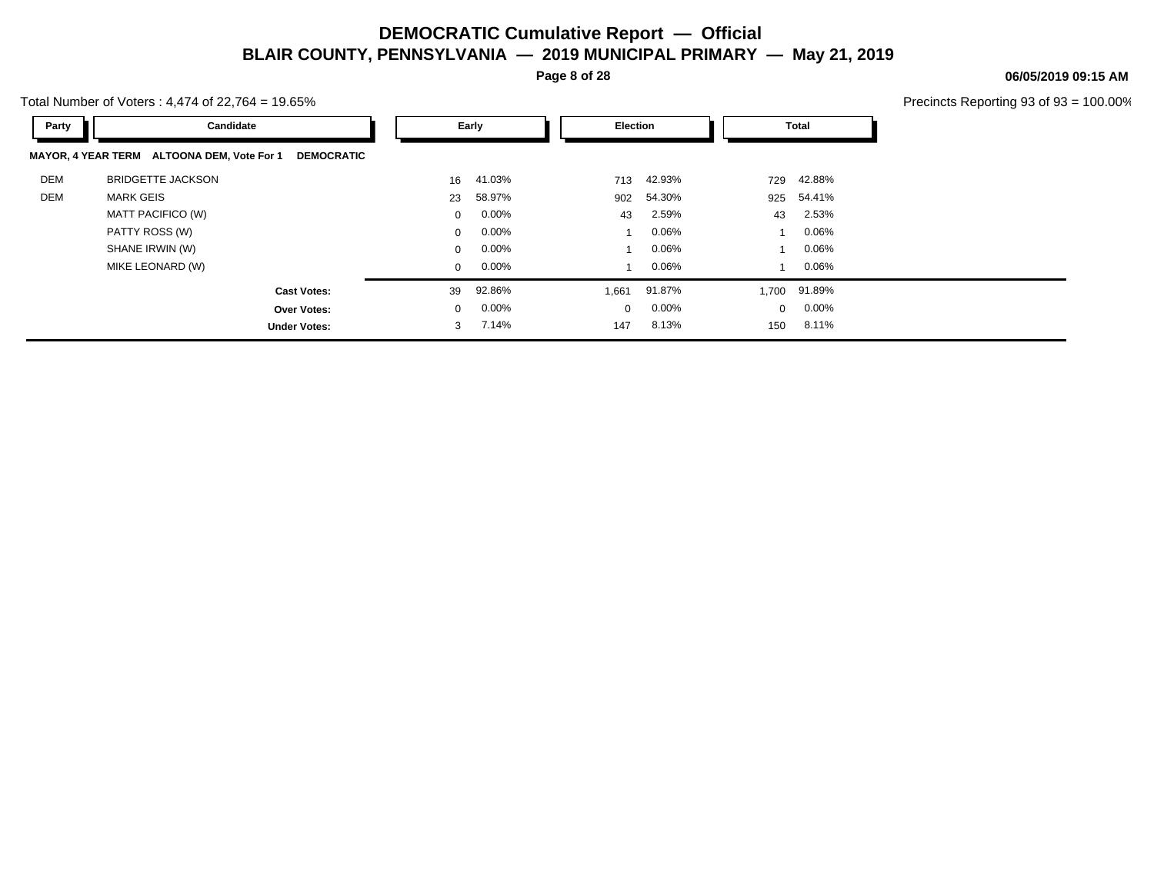**Page 8 of 28**

Total Number of Voters : 4,474 of 22,764 = 19.65%

| Party      | Candidate                                                       |              | Early    |  | Election |          | Total          |              |
|------------|-----------------------------------------------------------------|--------------|----------|--|----------|----------|----------------|--------------|
|            | MAYOR, 4 YEAR TERM ALTOONA DEM, Vote For 1<br><b>DEMOCRATIC</b> |              |          |  |          |          |                |              |
| <b>DEM</b> | <b>BRIDGETTE JACKSON</b>                                        | 16           | 41.03%   |  | 713      | 42.93%   | 729            | 42.88%       |
| DEM        | <b>MARK GEIS</b>                                                | 23           | 58.97%   |  | 902      | 54.30%   | 925            | 54.41%       |
|            | MATT PACIFICO (W)                                               | $\Omega$     | $0.00\%$ |  | 43       | 2.59%    | 43             | 2.53%        |
|            | PATTY ROSS (W)                                                  | $\mathbf{0}$ | $0.00\%$ |  |          | 0.06%    | $\overline{ }$ | $0.06\%$     |
|            | SHANE IRWIN (W)                                                 | $\mathbf{0}$ | $0.00\%$ |  |          | 0.06%    |                | $0.06\%$     |
|            | MIKE LEONARD (W)                                                | $\mathbf{0}$ | $0.00\%$ |  |          | 0.06%    |                | 0.06%        |
|            | <b>Cast Votes:</b>                                              | 39           | 92.86%   |  | 1,661    | 91.87%   |                | 1,700 91.89% |
|            | <b>Over Votes:</b>                                              | $\mathbf{0}$ | $0.00\%$ |  | $\Omega$ | $0.00\%$ | $\mathbf{0}$   | $0.00\%$     |
|            | <b>Under Votes:</b>                                             | 3            | 7.14%    |  | 147      | 8.13%    | 150            | 8.11%        |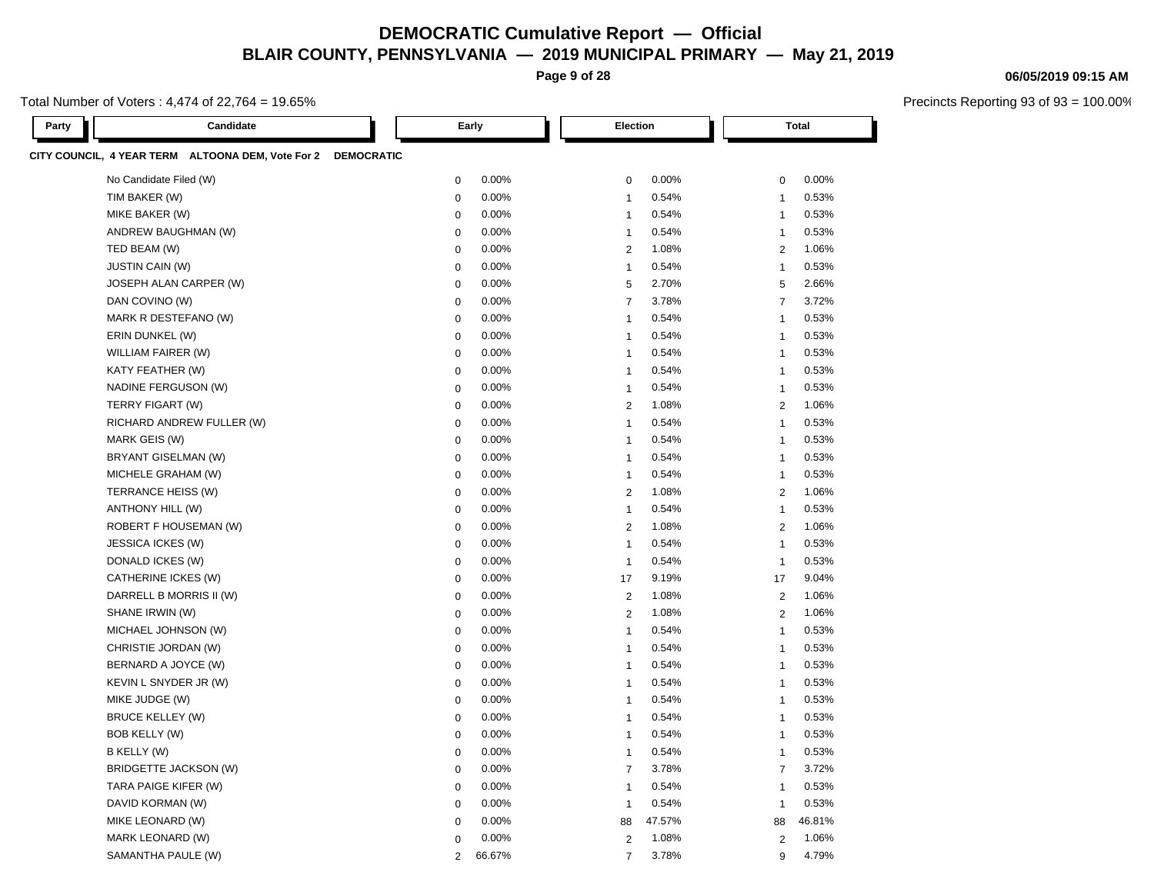**Page 9 of 28**

Total Number of Voters : 4,474 of 22,764 = 19.65%

| Party | Candidate                                                    |                | Early    |                | Election |        |    | <b>Total</b>   |        |  |
|-------|--------------------------------------------------------------|----------------|----------|----------------|----------|--------|----|----------------|--------|--|
|       | CITY COUNCIL, 4 YEAR TERM ALTOONA DEM, Vote For 2 DEMOCRATIC |                |          |                |          |        |    |                |        |  |
|       | No Candidate Filed (W)                                       | $\pmb{0}$      | 0.00%    | $\mathbf 0$    |          | 0.00%  |    | $\mathbf 0$    | 0.00%  |  |
|       | TIM BAKER (W)                                                | $\pmb{0}$      | 0.00%    | $\mathbf{1}$   |          | 0.54%  |    | $\mathbf{1}$   | 0.53%  |  |
|       | MIKE BAKER (W)                                               | $\mathbf 0$    | 0.00%    | $\mathbf{1}$   |          | 0.54%  |    | $\mathbf{1}$   | 0.53%  |  |
|       | ANDREW BAUGHMAN (W)                                          | $\mathbf 0$    | 0.00%    | $\mathbf{1}$   |          | 0.54%  |    | $\mathbf{1}$   | 0.53%  |  |
|       | TED BEAM (W)                                                 | $\mathbf 0$    | $0.00\%$ | $\overline{2}$ |          | 1.08%  |    | $\overline{2}$ | 1.06%  |  |
|       | <b>JUSTIN CAIN (W)</b>                                       | $\mathbf 0$    | 0.00%    | $\mathbf{1}$   |          | 0.54%  |    | $\mathbf{1}$   | 0.53%  |  |
|       | JOSEPH ALAN CARPER (W)                                       | $\mathbf 0$    | 0.00%    | 5              |          | 2.70%  |    | $\sqrt{5}$     | 2.66%  |  |
|       | DAN COVINO (W)                                               | $\mathbf 0$    | 0.00%    | $\overline{7}$ |          | 3.78%  |    | $\overline{7}$ | 3.72%  |  |
|       | MARK R DESTEFANO (W)                                         | $\mathbf 0$    | 0.00%    | $\mathbf{1}$   |          | 0.54%  |    | $\overline{1}$ | 0.53%  |  |
|       | ERIN DUNKEL (W)                                              | $\mathbf 0$    | 0.00%    | $\overline{1}$ |          | 0.54%  |    | $\overline{1}$ | 0.53%  |  |
|       | WILLIAM FAIRER (W)                                           | $\mathbf 0$    | 0.00%    | $\mathbf{1}$   |          | 0.54%  |    | $\overline{1}$ | 0.53%  |  |
|       | KATY FEATHER (W)                                             | $\mathbf 0$    | 0.00%    | $\mathbf{1}$   |          | 0.54%  |    | $\mathbf{1}$   | 0.53%  |  |
|       | NADINE FERGUSON (W)                                          | $\mathbf 0$    | 0.00%    | $\mathbf{1}$   |          | 0.54%  |    | $\overline{1}$ | 0.53%  |  |
|       | TERRY FIGART (W)                                             | $\mathbf 0$    | 0.00%    | $\overline{2}$ |          | 1.08%  |    | $\overline{2}$ | 1.06%  |  |
|       | RICHARD ANDREW FULLER (W)                                    | $\mathbf 0$    | 0.00%    | $\mathbf{1}$   |          | 0.54%  |    | $\mathbf{1}$   | 0.53%  |  |
|       | MARK GEIS (W)                                                | $\mathbf 0$    | 0.00%    | $\mathbf{1}$   |          | 0.54%  |    | -1             | 0.53%  |  |
|       | BRYANT GISELMAN (W)                                          | $\mathbf 0$    | 0.00%    | $\mathbf{1}$   |          | 0.54%  |    | $\mathbf{1}$   | 0.53%  |  |
|       | MICHELE GRAHAM (W)                                           | $\mathbf 0$    | 0.00%    | $\mathbf{1}$   |          | 0.54%  |    | $\mathbf{1}$   | 0.53%  |  |
|       | TERRANCE HEISS (W)                                           | $\mathbf 0$    | 0.00%    | $\overline{2}$ |          | 1.08%  |    | 2              | 1.06%  |  |
|       | <b>ANTHONY HILL (W)</b>                                      | $\mathbf 0$    | 0.00%    | $\mathbf{1}$   |          | 0.54%  |    | $\mathbf{1}$   | 0.53%  |  |
|       | ROBERT F HOUSEMAN (W)                                        | $\mathbf 0$    | 0.00%    | $\overline{2}$ |          | 1.08%  |    | $\overline{2}$ | 1.06%  |  |
|       | <b>JESSICA ICKES (W)</b>                                     | $\mathbf 0$    | 0.00%    | $\mathbf{1}$   |          | 0.54%  |    | $\mathbf{1}$   | 0.53%  |  |
|       | DONALD ICKES (W)                                             | $\mathbf 0$    | 0.00%    | $\mathbf{1}$   |          | 0.54%  |    | $\mathbf{1}$   | 0.53%  |  |
|       | CATHERINE ICKES (W)                                          | $\mathbf 0$    | 0.00%    | 17             |          | 9.19%  | 17 |                | 9.04%  |  |
|       | DARRELL B MORRIS II (W)                                      | $\mathbf 0$    | 0.00%    | $\overline{2}$ |          | 1.08%  |    | 2              | 1.06%  |  |
|       | SHANE IRWIN (W)                                              | $\mathbf 0$    | 0.00%    | $\overline{2}$ |          | 1.08%  |    | 2              | 1.06%  |  |
|       | MICHAEL JOHNSON (W)                                          | $\mathbf 0$    | 0.00%    | $\overline{1}$ |          | 0.54%  |    | $\mathbf{1}$   | 0.53%  |  |
|       | CHRISTIE JORDAN (W)                                          | $\mathbf 0$    | 0.00%    | $\mathbf{1}$   |          | 0.54%  |    | $\mathbf{1}$   | 0.53%  |  |
|       | BERNARD A JOYCE (W)                                          | $\mathbf 0$    | 0.00%    | $\mathbf{1}$   |          | 0.54%  |    | $\mathbf{1}$   | 0.53%  |  |
|       | KEVIN L SNYDER JR (W)                                        | $\mathbf 0$    | 0.00%    | $\mathbf{1}$   |          | 0.54%  |    | $\mathbf{1}$   | 0.53%  |  |
|       | MIKE JUDGE (W)                                               | $\mathbf 0$    | 0.00%    | $\mathbf{1}$   |          | 0.54%  |    | $\mathbf{1}$   | 0.53%  |  |
|       | <b>BRUCE KELLEY (W)</b>                                      | $\mathbf 0$    | 0.00%    | $\mathbf{1}$   |          | 0.54%  |    | $\mathbf{1}$   | 0.53%  |  |
|       | BOB KELLY (W)                                                | $\mathbf 0$    | 0.00%    | $\mathbf{1}$   |          | 0.54%  |    | $\mathbf{1}$   | 0.53%  |  |
|       | B KELLY (W)                                                  | $\mathbf 0$    | 0.00%    | $\mathbf{1}$   |          | 0.54%  |    | $\mathbf{1}$   | 0.53%  |  |
|       | BRIDGETTE JACKSON (W)                                        | $\mathbf 0$    | 0.00%    | $\overline{7}$ |          | 3.78%  |    | $\overline{7}$ | 3.72%  |  |
|       | TARA PAIGE KIFER (W)                                         | $\mathbf 0$    | 0.00%    | $\mathbf{1}$   |          | 0.54%  |    | $\mathbf{1}$   | 0.53%  |  |
|       | DAVID KORMAN (W)                                             | $\mathbf 0$    | 0.00%    | $\mathbf{1}$   |          | 0.54%  |    | $\mathbf{1}$   | 0.53%  |  |
|       | MIKE LEONARD (W)                                             | $\mathbf 0$    | 0.00%    | 88             |          | 47.57% |    | 88             | 46.81% |  |
|       | MARK LEONARD (W)                                             | $\mathbf 0$    | 0.00%    | 2              |          | 1.08%  |    | 2              | 1.06%  |  |
|       | SAMANTHA PAULE (W)                                           | $\overline{2}$ | 66.67%   | $\overline{7}$ |          | 3.78%  |    | 9              | 4.79%  |  |

#### **06/05/2019 09:15 AM**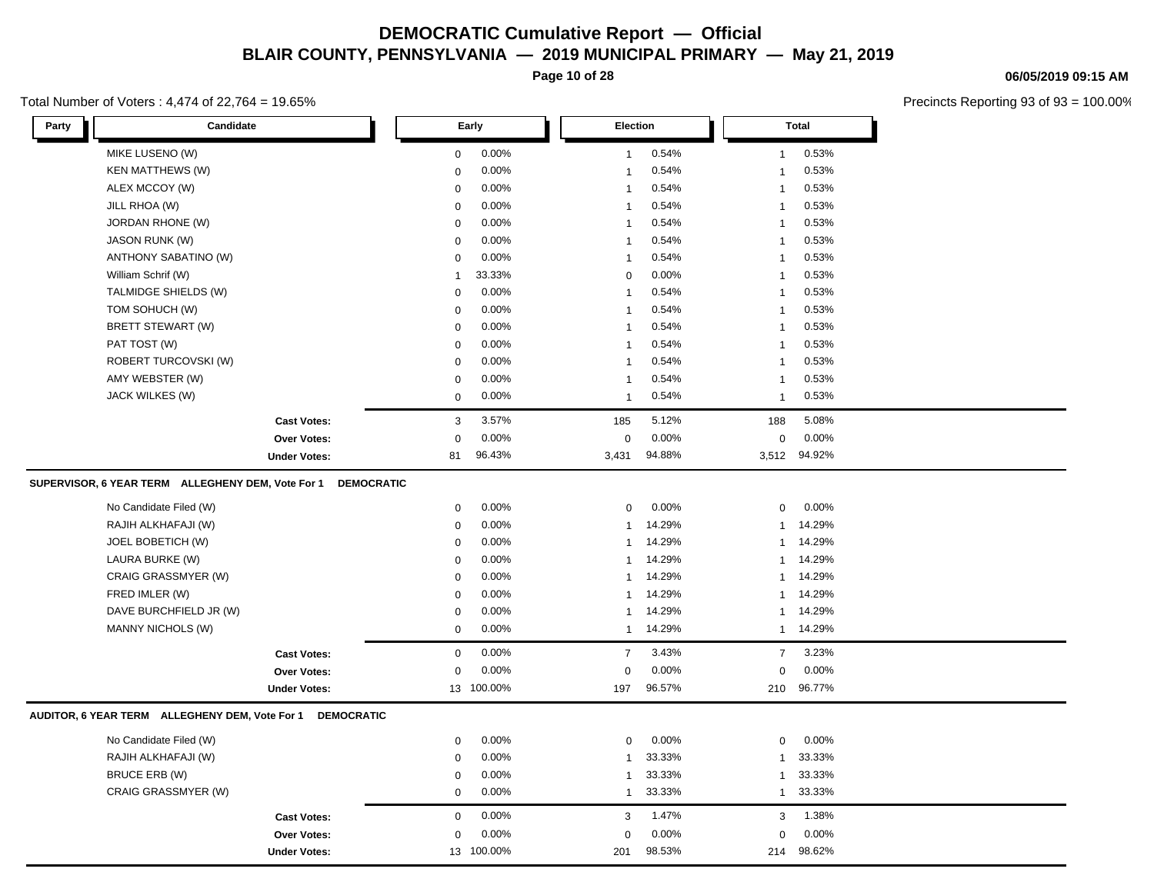**Page 10 of 28**

#### Total Number of Voters : 4,474 of 22,764 = 19.65%

**06/05/2019 09:15 AM**

| Party<br>Candidate                                                     | Early       | Election       | <b>Total</b>   |
|------------------------------------------------------------------------|-------------|----------------|----------------|
| MIKE LUSENO (W)                                                        | 0.00%       | 0.54%          | 0.53%          |
|                                                                        | $\mathbf 0$ | $\mathbf{1}$   | $\overline{1}$ |
| <b>KEN MATTHEWS (W)</b>                                                | 0.00%       | 0.54%          | 0.53%          |
|                                                                        | $\mathbf 0$ | $\mathbf{1}$   | $\overline{1}$ |
| ALEX MCCOY (W)                                                         | 0.00%       | 0.54%          | 0.53%          |
|                                                                        | $\pmb{0}$   | $\mathbf{1}$   | $\overline{1}$ |
| JILL RHOA (W)                                                          | 0.00%       | 0.54%          | 0.53%          |
|                                                                        | $\mathbf 0$ | $\mathbf{1}$   | $\overline{1}$ |
| JORDAN RHONE (W)                                                       | $\mathbf 0$ | 0.54%          | 0.53%          |
|                                                                        | 0.00%       | $\mathbf{1}$   | $\overline{1}$ |
| <b>JASON RUNK (W)</b>                                                  | $\mathbf 0$ | 0.54%          | 0.53%          |
|                                                                        | 0.00%       | $\mathbf{1}$   | $\overline{1}$ |
| ANTHONY SABATINO (W)                                                   | 0.00%       | 0.54%          | 0.53%          |
|                                                                        | $\mathbf 0$ | $\mathbf{1}$   | $\overline{1}$ |
| William Schrif (W)                                                     | 33.33%      | 0.00%          | 0.53%          |
|                                                                        | -1          | $\pmb{0}$      | $\overline{1}$ |
| TALMIDGE SHIELDS (W)                                                   | 0.00%       | 0.54%          | 0.53%          |
|                                                                        | $\mathbf 0$ | $\mathbf{1}$   | $\overline{1}$ |
| TOM SOHUCH (W)                                                         | 0.00%       | 0.54%          | 0.53%          |
|                                                                        | $\mathbf 0$ | $\mathbf{1}$   | $\overline{1}$ |
| BRETT STEWART (W)                                                      | 0.00%       | 0.54%          | 0.53%          |
|                                                                        | $\mathbf 0$ | $\overline{1}$ | $\overline{1}$ |
| PAT TOST (W)                                                           | 0.00%       | 0.54%          | 0.53%          |
|                                                                        | $\mathbf 0$ | $\mathbf{1}$   | $\overline{1}$ |
| ROBERT TURCOVSKI (W)                                                   | $\mathbf 0$ | 0.54%          | 0.53%          |
|                                                                        | 0.00%       | $\mathbf{1}$   | $\overline{1}$ |
| AMY WEBSTER (W)                                                        | 0.00%       | 0.54%          | 0.53%          |
|                                                                        | $\mathbf 0$ | $\mathbf{1}$   | $\overline{1}$ |
| JACK WILKES (W)                                                        | 0.00%       | 0.54%          | 0.53%          |
|                                                                        | $\mathbf 0$ | $\mathbf{1}$   | $\overline{1}$ |
| <b>Cast Votes:</b>                                                     | 3.57%       | 5.12%          | 5.08%          |
|                                                                        | 3           | 185            | 188            |
| <b>Over Votes:</b>                                                     | 0.00%       | $\Omega$       | 0.00%          |
|                                                                        | $\mathbf 0$ | 0.00%          | $\mathbf 0$    |
| <b>Under Votes:</b>                                                    | 96.43%      | 94.88%         | 94.92%         |
|                                                                        | 81          | 3,431          | 3,512          |
| SUPERVISOR, 6 YEAR TERM ALLEGHENY DEM, Vote For 1<br><b>DEMOCRATIC</b> |             |                |                |
| No Candidate Filed (W)                                                 | 0.00%       | 0.00%          | 0.00%          |
|                                                                        | $\mathbf 0$ | $\mathbf 0$    | 0              |
| RAJIH ALKHAFAJI (W)                                                    | 0.00%       | 14.29%         | 14.29%         |
|                                                                        | 0           | $\mathbf{1}$   | $\mathbf{1}$   |
| JOEL BOBETICH (W)                                                      | 0.00%       | 14.29%         | 14.29%         |
|                                                                        | $\mathbf 0$ | $\mathbf{1}$   | $\overline{1}$ |
| LAURA BURKE (W)                                                        | 0.00%       | 14.29%         | 14.29%         |
|                                                                        | $\mathbf 0$ | $\mathbf{1}$   | $\mathbf{1}$   |
| CRAIG GRASSMYER (W)                                                    | 0.00%       | 14.29%         | 14.29%         |
|                                                                        | $\mathbf 0$ | $\mathbf{1}$   | $\mathbf{1}$   |
| FRED IMLER (W)                                                         | 0.00%       | 14.29%         | 14.29%         |
|                                                                        | $\mathbf 0$ | $\mathbf{1}$   | $\overline{1}$ |
| DAVE BURCHFIELD JR (W)                                                 | 0.00%       | 14.29%         | 14.29%         |
|                                                                        | $\mathbf 0$ | $\mathbf{1}$   | $\overline{1}$ |
| <b>MANNY NICHOLS (W)</b>                                               | 0.00%       | 14.29%         | 14.29%         |
|                                                                        | $\mathbf 0$ | $\mathbf{1}$   | $\mathbf{1}$   |
| <b>Cast Votes:</b>                                                     | $\mathbf 0$ | $\overline{7}$ | 3.23%          |
|                                                                        | 0.00%       | 3.43%          | $\overline{7}$ |
| <b>Over Votes:</b>                                                     | 0.00%       | 0.00%          | 0.00%          |
|                                                                        | $\mathbf 0$ | $\Omega$       | $\Omega$       |
| <b>Under Votes:</b>                                                    | 13 100.00%  | 96.57%<br>197  | 96.77%<br>210  |
| AUDITOR, 6 YEAR TERM ALLEGHENY DEM, Vote For 1<br><b>DEMOCRATIC</b>    |             |                |                |
| No Candidate Filed (W)                                                 | 0.00%       | 0.00%          | 0.00%          |
|                                                                        | $\mathbf 0$ | $\mathbf 0$    | 0              |
| RAJIH ALKHAFAJI (W)                                                    | 0.00%       | 33.33%         | 33.33%         |
|                                                                        | $\mathbf 0$ | $\mathbf{1}$   | $\mathbf{1}$   |
| BRUCE ERB (W)                                                          | 0.00%       | 33.33%         | 33.33%         |
|                                                                        | $\mathbf 0$ | $\mathbf{1}$   | $\overline{1}$ |
| CRAIG GRASSMYER (W)                                                    | $\mathbf 0$ | 33.33%         | 33.33%         |
|                                                                        | 0.00%       | $\mathbf{1}$   | $\mathbf{1}$   |
| <b>Cast Votes:</b>                                                     | 0.00%       | 1.47%          | 1.38%          |
|                                                                        | $\mathbf 0$ | 3              | 3              |
| <b>Over Votes:</b>                                                     | 0.00%       | 0.00%          | 0.00%          |
|                                                                        | $\mathbf 0$ | $\Omega$       | 0              |
| <b>Under Votes:</b>                                                    | 100.00%     | 98.53%         | 98.62%         |
|                                                                        | 13          | 201            | 214            |
|                                                                        |             |                |                |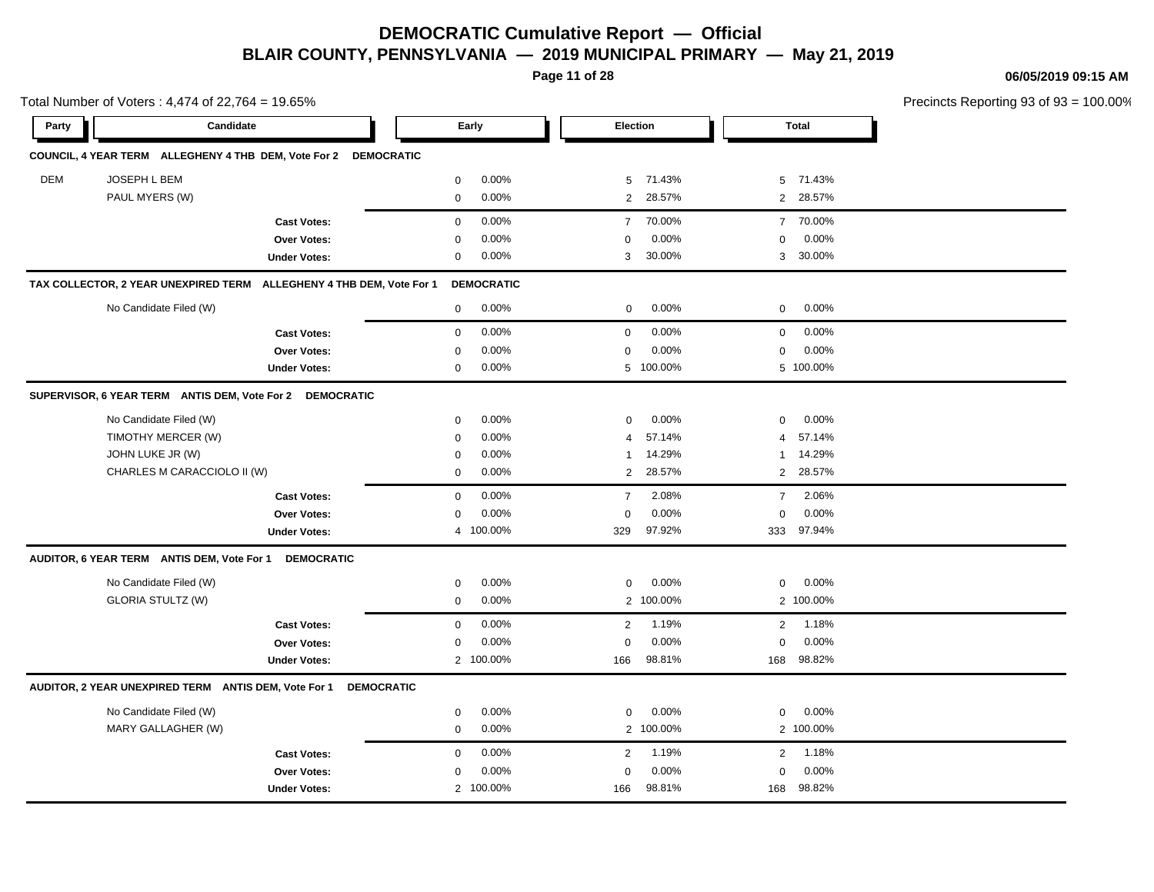**Page 11 of 28**

**06/05/2019 09:15 AM**

| Total Number of Voters: 4,474 of 22,764 = 19.65% |                                                                 |                                                                      |              |                   |                |           |                |              | Precincts Reporting 93 of 93 |
|--------------------------------------------------|-----------------------------------------------------------------|----------------------------------------------------------------------|--------------|-------------------|----------------|-----------|----------------|--------------|------------------------------|
| Party                                            | Candidate                                                       |                                                                      |              | Early             |                | Election  |                | <b>Total</b> |                              |
|                                                  | COUNCIL, 4 YEAR TERM ALLEGHENY 4 THB DEM, Vote For 2 DEMOCRATIC |                                                                      |              |                   |                |           |                |              |                              |
| DEM                                              | JOSEPH L BEM                                                    |                                                                      | $\mathbf 0$  | 0.00%             | 5              | 71.43%    | 5              | 71.43%       |                              |
|                                                  | PAUL MYERS (W)                                                  |                                                                      | $\mathbf 0$  | 0.00%             | $\overline{2}$ | 28.57%    |                | 2 28.57%     |                              |
|                                                  |                                                                 | <b>Cast Votes:</b>                                                   | $\mathbf 0$  | 0.00%             | $\overline{7}$ | 70.00%    |                | 7 70.00%     |                              |
|                                                  |                                                                 | Over Votes:                                                          | $\mathsf 0$  | 0.00%             | $\Omega$       | 0.00%     | $\mathbf 0$    | 0.00%        |                              |
|                                                  |                                                                 | <b>Under Votes:</b>                                                  | 0            | 0.00%             | 3              | 30.00%    |                | 3 30.00%     |                              |
|                                                  |                                                                 | TAX COLLECTOR, 2 YEAR UNEXPIRED TERM ALLEGHENY 4 THB DEM, Vote For 1 |              | <b>DEMOCRATIC</b> |                |           |                |              |                              |
|                                                  | No Candidate Filed (W)                                          |                                                                      | $\mathbf 0$  | 0.00%             | $\mathbf 0$    | $0.00\%$  | $\mathbf 0$    | 0.00%        |                              |
|                                                  |                                                                 | <b>Cast Votes:</b>                                                   | $\mathbf 0$  | 0.00%             | $\mathbf 0$    | 0.00%     | $\mathbf 0$    | 0.00%        |                              |
|                                                  |                                                                 | <b>Over Votes:</b>                                                   | $\mathbf 0$  | 0.00%             | $\mathbf 0$    | 0.00%     | $\mathbf 0$    | 0.00%        |                              |
|                                                  |                                                                 | <b>Under Votes:</b>                                                  | $\mathbf 0$  | 0.00%             |                | 5 100.00% |                | 5 100.00%    |                              |
|                                                  | SUPERVISOR, 6 YEAR TERM ANTIS DEM, Vote For 2 DEMOCRATIC        |                                                                      |              |                   |                |           |                |              |                              |
|                                                  | No Candidate Filed (W)                                          |                                                                      | $\mathsf 0$  | 0.00%             | $\mathbf 0$    | 0.00%     | $\mathbf 0$    | 0.00%        |                              |
|                                                  | TIMOTHY MERCER (W)                                              |                                                                      | $\mathbf 0$  | 0.00%             | $\overline{4}$ | 57.14%    | $\overline{4}$ | 57.14%       |                              |
|                                                  | JOHN LUKE JR (W)                                                |                                                                      | 0            | 0.00%             | $\mathbf{1}$   | 14.29%    | $\mathbf{1}$   | 14.29%       |                              |
|                                                  | CHARLES M CARACCIOLO II (W)                                     |                                                                      | $\mathbf{0}$ | 0.00%             | 2              | 28.57%    | $\overline{2}$ | 28.57%       |                              |
|                                                  |                                                                 | <b>Cast Votes:</b>                                                   | $\mathbf 0$  | 0.00%             | $\overline{7}$ | 2.08%     | $\overline{7}$ | 2.06%        |                              |
|                                                  |                                                                 | <b>Over Votes:</b>                                                   | 0            | 0.00%             | $\mathbf 0$    | 0.00%     | $\mathbf 0$    | 0.00%        |                              |
|                                                  |                                                                 | <b>Under Votes:</b>                                                  |              | 4 100.00%         | 329            | 97.92%    |                | 333 97.94%   |                              |
|                                                  | AUDITOR, 6 YEAR TERM ANTIS DEM, Vote For 1                      | <b>DEMOCRATIC</b>                                                    |              |                   |                |           |                |              |                              |
|                                                  | No Candidate Filed (W)                                          |                                                                      | $\mathbf 0$  | 0.00%             | $\mathbf 0$    | 0.00%     | 0              | 0.00%        |                              |
|                                                  | <b>GLORIA STULTZ (W)</b>                                        |                                                                      | $\mathbf 0$  | 0.00%             |                | 2 100.00% |                | 2 100.00%    |                              |
|                                                  |                                                                 | <b>Cast Votes:</b>                                                   | $\mathbf 0$  | 0.00%             | 2              | 1.19%     | 2              | 1.18%        |                              |
|                                                  |                                                                 | Over Votes:                                                          | 0            | 0.00%             | $\Omega$       | 0.00%     | $\mathbf 0$    | 0.00%        |                              |
|                                                  |                                                                 | <b>Under Votes:</b>                                                  |              | 2 100.00%         | 166            | 98.81%    | 168            | 98.82%       |                              |
|                                                  | AUDITOR, 2 YEAR UNEXPIRED TERM ANTIS DEM, Vote For 1            | <b>DEMOCRATIC</b>                                                    |              |                   |                |           |                |              |                              |
|                                                  | No Candidate Filed (W)                                          |                                                                      | $\mathbf 0$  | 0.00%             | $\mathbf 0$    | $0.00\%$  | $\mathbf 0$    | 0.00%        |                              |
|                                                  | MARY GALLAGHER (W)                                              |                                                                      | $\mathbf{0}$ | 0.00%             |                | 2 100.00% |                | 2 100.00%    |                              |
|                                                  |                                                                 | <b>Cast Votes:</b>                                                   | $\mathbf 0$  | 0.00%             | $\overline{2}$ | 1.19%     | 2              | 1.18%        |                              |
|                                                  |                                                                 | Over Votes:                                                          | $\mathbf 0$  | 0.00%             | $\Omega$       | 0.00%     | $\mathbf 0$    | 0.00%        |                              |
|                                                  |                                                                 | <b>Under Votes:</b>                                                  |              | 2 100.00%         | 166            | 98.81%    |                | 168 98.82%   |                              |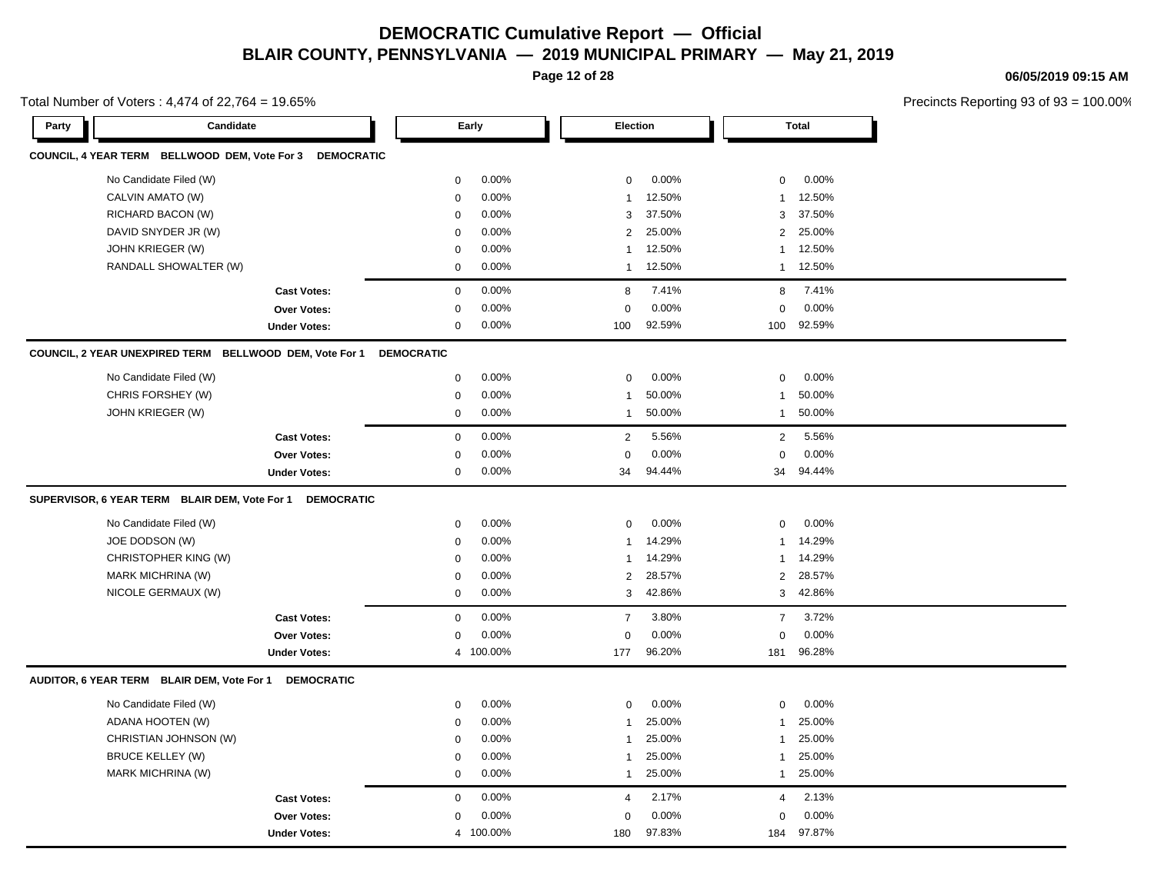**Page 12 of 28**

**06/05/2019 09:15 AM**

|       | Total Number of Voters: 4,474 of 22,764 = 19.65%         |                     |                   |           |                |          |                |              | Precincts Reporting 93 of 93 |
|-------|----------------------------------------------------------|---------------------|-------------------|-----------|----------------|----------|----------------|--------------|------------------------------|
| Party | Candidate                                                |                     |                   | Early     |                | Election |                | <b>Total</b> |                              |
|       | COUNCIL, 4 YEAR TERM BELLWOOD DEM, Vote For 3 DEMOCRATIC |                     |                   |           |                |          |                |              |                              |
|       | No Candidate Filed (W)                                   |                     | $\mathbf 0$       | 0.00%     | $\mathbf 0$    | 0.00%    | 0              | 0.00%        |                              |
|       | CALVIN AMATO (W)                                         |                     | $\mathbf 0$       | 0.00%     | $\mathbf{1}$   | 12.50%   | $\mathbf{1}$   | 12.50%       |                              |
|       | RICHARD BACON (W)                                        |                     | $\mathbf 0$       | 0.00%     | 3              | 37.50%   | 3              | 37.50%       |                              |
|       | DAVID SNYDER JR (W)                                      |                     | $\mathbf 0$       | 0.00%     | $\overline{2}$ | 25.00%   | $\overline{2}$ | 25.00%       |                              |
|       | JOHN KRIEGER (W)                                         |                     | $\mathbf 0$       | 0.00%     | 1              | 12.50%   | $\mathbf{1}$   | 12.50%       |                              |
|       | RANDALL SHOWALTER (W)                                    |                     | $\mathbf 0$       | 0.00%     | $\mathbf{1}$   | 12.50%   | $\mathbf{1}$   | 12.50%       |                              |
|       |                                                          | <b>Cast Votes:</b>  | $\mathbf 0$       | 0.00%     | 8              | 7.41%    | 8              | 7.41%        |                              |
|       |                                                          | Over Votes:         | $\mathbf 0$       | 0.00%     | 0              | 0.00%    | $\mathbf 0$    | 0.00%        |                              |
|       |                                                          | <b>Under Votes:</b> | 0                 | 0.00%     | 100            | 92.59%   | 100            | 92.59%       |                              |
|       | COUNCIL, 2 YEAR UNEXPIRED TERM BELLWOOD DEM, Vote For 1  |                     | <b>DEMOCRATIC</b> |           |                |          |                |              |                              |
|       | No Candidate Filed (W)                                   |                     | $\mathsf 0$       | 0.00%     | $\Omega$       | 0.00%    | 0              | 0.00%        |                              |
|       | CHRIS FORSHEY (W)                                        |                     | $\mathbf 0$       | 0.00%     | 1              | 50.00%   | $\mathbf{1}$   | 50.00%       |                              |
|       | <b>JOHN KRIEGER (W)</b>                                  |                     | $\mathbf 0$       | 0.00%     | $\mathbf{1}$   | 50.00%   | $\mathbf{1}$   | 50.00%       |                              |
|       |                                                          | <b>Cast Votes:</b>  | $\mathbf 0$       | 0.00%     | $\overline{2}$ | 5.56%    | $\overline{2}$ | 5.56%        |                              |
|       |                                                          | Over Votes:         | $\mathbf 0$       | 0.00%     | $\mathbf 0$    | 0.00%    | $\mathbf 0$    | 0.00%        |                              |
|       |                                                          | <b>Under Votes:</b> | $\mathbf 0$       | 0.00%     | 34             | 94.44%   | 34             | 94.44%       |                              |
|       | SUPERVISOR, 6 YEAR TERM BLAIR DEM, Vote For 1            | <b>DEMOCRATIC</b>   |                   |           |                |          |                |              |                              |
|       | No Candidate Filed (W)                                   |                     | 0                 | 0.00%     | $\Omega$       | 0.00%    | 0              | 0.00%        |                              |
|       | JOE DODSON (W)                                           |                     | 0                 | 0.00%     | $\mathbf{1}$   | 14.29%   | 1              | 14.29%       |                              |
|       | CHRISTOPHER KING (W)                                     |                     | $\mathbf 0$       | 0.00%     | $\mathbf{1}$   | 14.29%   | 1              | 14.29%       |                              |
|       | MARK MICHRINA (W)                                        |                     | 0                 | 0.00%     | $\overline{2}$ | 28.57%   | $\overline{2}$ | 28.57%       |                              |
|       | NICOLE GERMAUX (W)                                       |                     | $\mathsf 0$       | 0.00%     | 3              | 42.86%   | 3              | 42.86%       |                              |
|       |                                                          | <b>Cast Votes:</b>  | $\mathbf 0$       | 0.00%     | $\overline{7}$ | 3.80%    | $\overline{7}$ | 3.72%        |                              |
|       |                                                          | Over Votes:         | $\mathbf 0$       | 0.00%     | 0              | 0.00%    | $\mathbf 0$    | 0.00%        |                              |
|       |                                                          | <b>Under Votes:</b> |                   | 4 100.00% | 177            | 96.20%   | 181            | 96.28%       |                              |
|       | AUDITOR, 6 YEAR TERM BLAIR DEM, Vote For 1 DEMOCRATIC    |                     |                   |           |                |          |                |              |                              |
|       | No Candidate Filed (W)                                   |                     | $\mathbf 0$       | 0.00%     | $\mathbf 0$    | 0.00%    | $\mathbf 0$    | 0.00%        |                              |
|       | ADANA HOOTEN (W)                                         |                     | $\mathbf 0$       | 0.00%     | 1              | 25.00%   | 1              | 25.00%       |                              |
|       | CHRISTIAN JOHNSON (W)                                    |                     | $\mathbf 0$       | 0.00%     | $\mathbf{1}$   | 25.00%   | 1              | 25.00%       |                              |
|       | <b>BRUCE KELLEY (W)</b>                                  |                     | 0                 | 0.00%     | -1             | 25.00%   | 1              | 25.00%       |                              |
|       | MARK MICHRINA (W)                                        |                     | $\mathbf 0$       | 0.00%     | $\mathbf{1}$   | 25.00%   | 1              | 25.00%       |                              |
|       |                                                          | <b>Cast Votes:</b>  | $\mathbf 0$       | 0.00%     | $\overline{4}$ | 2.17%    | $\overline{4}$ | 2.13%        |                              |
|       |                                                          | Over Votes:         | 0                 | 0.00%     | 0              | 0.00%    | $\Omega$       | 0.00%        |                              |
|       |                                                          | <b>Under Votes:</b> |                   | 4 100.00% | 180            | 97.83%   | 184            | 97.87%       |                              |
|       |                                                          |                     |                   |           |                |          |                |              |                              |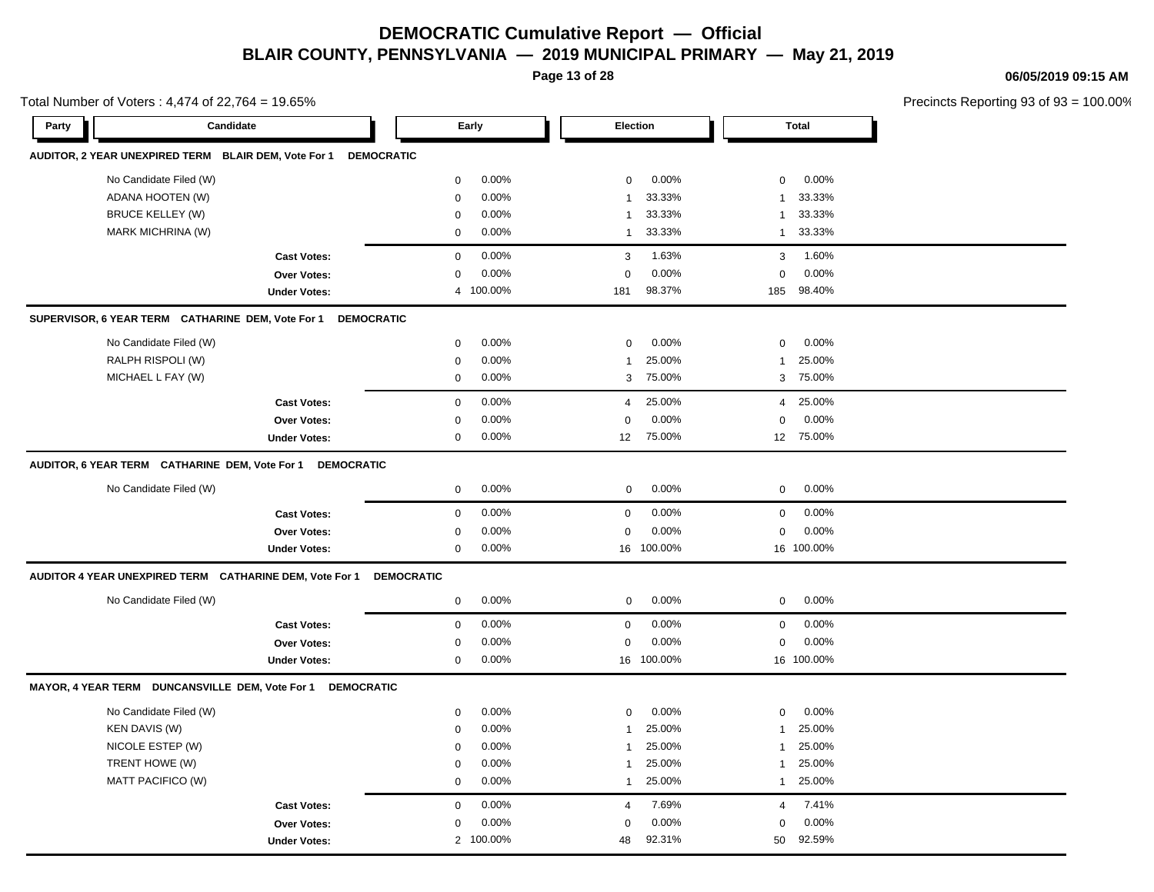**Page 13 of 28**

**06/05/2019 09:15 AM**

|       | Total Number of Voters: 4,474 of 22,764 = 19.65%        |                                                           |                   |           |                |            |                |              | Precincts Reporting 93 of 9. |
|-------|---------------------------------------------------------|-----------------------------------------------------------|-------------------|-----------|----------------|------------|----------------|--------------|------------------------------|
| Party |                                                         | Candidate                                                 |                   | Early     |                | Election   |                | <b>Total</b> |                              |
|       | AUDITOR, 2 YEAR UNEXPIRED TERM BLAIR DEM, Vote For 1    | <b>DEMOCRATIC</b>                                         |                   |           |                |            |                |              |                              |
|       | No Candidate Filed (W)                                  |                                                           | $\mathbf 0$       | 0.00%     | $\mathbf 0$    | 0.00%      | $\mathbf 0$    | 0.00%        |                              |
|       | ADANA HOOTEN (W)                                        |                                                           | $\mathbf 0$       | 0.00%     | $\overline{1}$ | 33.33%     | $\overline{1}$ | 33.33%       |                              |
|       | <b>BRUCE KELLEY (W)</b>                                 |                                                           | 0                 | 0.00%     | $\overline{1}$ | 33.33%     | $\mathbf{1}$   | 33.33%       |                              |
|       | MARK MICHRINA (W)                                       |                                                           | $\mathbf 0$       | 0.00%     | $\overline{1}$ | 33.33%     | $\overline{1}$ | 33.33%       |                              |
|       |                                                         | <b>Cast Votes:</b>                                        | $\mathsf 0$       | 0.00%     | 3              | 1.63%      | 3              | 1.60%        |                              |
|       |                                                         | <b>Over Votes:</b>                                        | 0                 | 0.00%     | $\mathbf 0$    | 0.00%      | $\mathbf 0$    | 0.00%        |                              |
|       |                                                         | <b>Under Votes:</b>                                       | $\overline{4}$    | 100.00%   | 181            | 98.37%     | 185            | 98.40%       |                              |
|       | SUPERVISOR, 6 YEAR TERM CATHARINE DEM, Vote For 1       | <b>DEMOCRATIC</b>                                         |                   |           |                |            |                |              |                              |
|       | No Candidate Filed (W)                                  |                                                           | 0                 | 0.00%     | $\mathbf 0$    | 0.00%      | 0              | 0.00%        |                              |
|       | RALPH RISPOLI (W)                                       |                                                           | $\mathbf 0$       | 0.00%     | $\overline{1}$ | 25.00%     | $\overline{1}$ | 25.00%       |                              |
|       | MICHAEL L FAY (W)                                       |                                                           | $\mathbf 0$       | 0.00%     | 3              | 75.00%     | 3              | 75.00%       |                              |
|       |                                                         | <b>Cast Votes:</b>                                        | $\mathbf 0$       | 0.00%     | $\overline{4}$ | 25.00%     | $\overline{4}$ | 25.00%       |                              |
|       |                                                         | <b>Over Votes:</b>                                        | $\mathbf 0$       | 0.00%     | $\Omega$       | 0.00%      | $\mathbf 0$    | 0.00%        |                              |
|       |                                                         | <b>Under Votes:</b>                                       | 0                 | 0.00%     | 12             | 75.00%     |                | 12 75.00%    |                              |
|       |                                                         | AUDITOR, 6 YEAR TERM CATHARINE DEM, Vote For 1 DEMOCRATIC |                   |           |                |            |                |              |                              |
|       | No Candidate Filed (W)                                  |                                                           | $\mathbf 0$       | 0.00%     | $\mathbf 0$    | 0.00%      | $\mathbf 0$    | 0.00%        |                              |
|       |                                                         | <b>Cast Votes:</b>                                        | $\mathbf 0$       | 0.00%     | $\mathbf 0$    | 0.00%      | $\mathbf 0$    | 0.00%        |                              |
|       |                                                         | Over Votes:                                               | $\mathsf 0$       | 0.00%     | $\mathbf 0$    | 0.00%      | $\mathbf 0$    | 0.00%        |                              |
|       |                                                         | <b>Under Votes:</b>                                       | 0                 | 0.00%     |                | 16 100.00% |                | 16 100.00%   |                              |
|       | AUDITOR 4 YEAR UNEXPIRED TERM CATHARINE DEM, Vote For 1 |                                                           | <b>DEMOCRATIC</b> |           |                |            |                |              |                              |
|       | No Candidate Filed (W)                                  |                                                           | 0                 | 0.00%     | $\mathbf 0$    | 0.00%      | $\mathbf 0$    | 0.00%        |                              |
|       |                                                         | <b>Cast Votes:</b>                                        | $\mathbf 0$       | 0.00%     | $\mathbf 0$    | 0.00%      | $\mathbf 0$    | 0.00%        |                              |
|       |                                                         | <b>Over Votes:</b>                                        | 0                 | 0.00%     | $\mathbf 0$    | 0.00%      | $\mathbf 0$    | 0.00%        |                              |
|       |                                                         | <b>Under Votes:</b>                                       | $\mathbf 0$       | 0.00%     |                | 16 100.00% |                | 16 100.00%   |                              |
|       | MAYOR, 4 YEAR TERM DUNCANSVILLE DEM, Vote For 1         | <b>DEMOCRATIC</b>                                         |                   |           |                |            |                |              |                              |
|       | No Candidate Filed (W)                                  |                                                           | $\mathsf 0$       | 0.00%     | $\mathbf 0$    | 0.00%      | $\mathbf 0$    | 0.00%        |                              |
|       | <b>KEN DAVIS (W)</b>                                    |                                                           | $\mathbf 0$       | 0.00%     | $\overline{1}$ | 25.00%     | $\overline{1}$ | 25.00%       |                              |
|       | NICOLE ESTEP (W)                                        |                                                           | 0                 | 0.00%     | $\overline{1}$ | 25.00%     | $\mathbf{1}$   | 25.00%       |                              |
|       | TRENT HOWE (W)                                          |                                                           | $\mathbf 0$       | 0.00%     | $\overline{1}$ | 25.00%     | $\overline{1}$ | 25.00%       |                              |
|       | <b>MATT PACIFICO (W)</b>                                |                                                           | $\mathbf 0$       | 0.00%     | $\overline{1}$ | 25.00%     | $\overline{1}$ | 25.00%       |                              |
|       |                                                         | <b>Cast Votes:</b>                                        | $\mathbf 0$       | 0.00%     | $\overline{4}$ | 7.69%      | $\overline{4}$ | 7.41%        |                              |
|       |                                                         | Over Votes:                                               | 0                 | 0.00%     | $\mathbf 0$    | 0.00%      | $\mathbf 0$    | 0.00%        |                              |
|       |                                                         | <b>Under Votes:</b>                                       |                   | 2 100.00% | 48             | 92.31%     | 50             | 92.59%       |                              |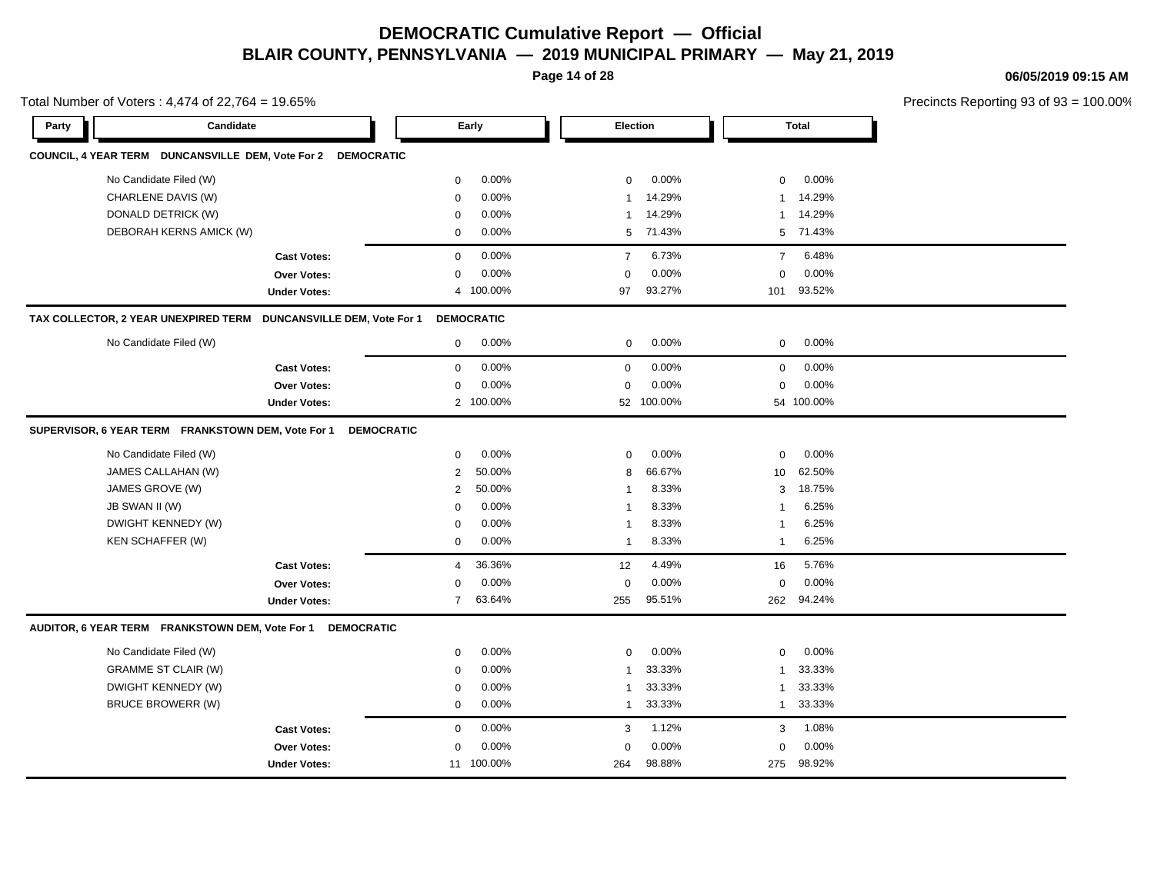**Page 14 of 28**

**06/05/2019 09:15 AM**

| Total Number of Voters: 4,474 of 22,764 = 19.65%                            |                          |                         |                         | Precincts Reporting 93 of 93 = 100.00% |  |
|-----------------------------------------------------------------------------|--------------------------|-------------------------|-------------------------|----------------------------------------|--|
| Candidate<br>Party                                                          | Early                    | Election                | <b>Total</b>            |                                        |  |
| COUNCIL, 4 YEAR TERM DUNCANSVILLE DEM, Vote For 2 DEMOCRATIC                |                          |                         |                         |                                        |  |
| No Candidate Filed (W)                                                      | 0.00%<br>0               | 0.00%<br>$\mathbf 0$    | 0.00%<br>$\mathbf 0$    |                                        |  |
| CHARLENE DAVIS (W)                                                          | 0.00%<br>$\mathbf 0$     | 14.29%<br>-1            | 14.29%<br>$\mathbf{1}$  |                                        |  |
| DONALD DETRICK (W)                                                          | 0.00%<br>$\mathbf 0$     | 14.29%<br>-1            | 14.29%<br>1             |                                        |  |
| DEBORAH KERNS AMICK (W)                                                     | 0.00%<br>$\mathbf 0$     | 71.43%<br>5             | 5 71.43%                |                                        |  |
| <b>Cast Votes:</b>                                                          | 0.00%<br>0               | 6.73%<br>$\overline{7}$ | 6.48%<br>$\overline{7}$ |                                        |  |
| <b>Over Votes:</b>                                                          | 0.00%<br>0               | 0.00%<br>$\Omega$       | 0.00%<br>$\mathbf 0$    |                                        |  |
| <b>Under Votes:</b>                                                         | 4 100.00%                | 93.27%<br>97            | 93.52%<br>101           |                                        |  |
| TAX COLLECTOR, 2 YEAR UNEXPIRED TERM<br><b>DUNCANSVILLE DEM, Vote For 1</b> | <b>DEMOCRATIC</b>        |                         |                         |                                        |  |
| No Candidate Filed (W)                                                      | 0.00%<br>$\mathbf 0$     | 0.00%<br>$\mathbf 0$    | 0.00%<br>$\mathbf 0$    |                                        |  |
| <b>Cast Votes:</b>                                                          | 0.00%<br>$\mathbf 0$     | 0.00%<br>$\mathbf 0$    | 0.00%<br>$\mathbf 0$    |                                        |  |
| <b>Over Votes:</b>                                                          | 0.00%<br>0               | 0.00%<br>$\mathbf 0$    | 0.00%<br>$\mathbf 0$    |                                        |  |
| <b>Under Votes:</b>                                                         | 2 100.00%                | 52 100.00%              | 54 100.00%              |                                        |  |
| SUPERVISOR, 6 YEAR TERM FRANKSTOWN DEM, Vote For 1                          | <b>DEMOCRATIC</b>        |                         |                         |                                        |  |
| No Candidate Filed (W)                                                      | 0.00%<br>0               | 0.00%<br>$\mathbf 0$    | 0.00%<br>$\mathbf 0$    |                                        |  |
| JAMES CALLAHAN (W)                                                          | 50.00%<br>$\overline{2}$ | 66.67%<br>8             | 62.50%<br>10            |                                        |  |
| JAMES GROVE (W)                                                             | 50.00%<br>2              | 8.33%<br>-1             | 18.75%<br>3             |                                        |  |
| JB SWAN II (W)                                                              | 0.00%<br>$\mathbf 0$     | 8.33%                   | 6.25%<br>$\mathbf{1}$   |                                        |  |
| DWIGHT KENNEDY (W)                                                          | 0.00%<br>0               | 8.33%<br>-1             | 6.25%<br>$\mathbf{1}$   |                                        |  |
| KEN SCHAFFER (W)                                                            | 0.00%<br>0               | 8.33%<br>$\mathbf 1$    | 6.25%<br>$\mathbf{1}$   |                                        |  |
| <b>Cast Votes:</b>                                                          | 36.36%<br>$\overline{4}$ | 4.49%<br>12             | 5.76%<br>16             |                                        |  |
| <b>Over Votes:</b>                                                          | 0.00%<br>0               | 0.00%<br>$\Omega$       | 0.00%<br>$\mathbf 0$    |                                        |  |
| <b>Under Votes:</b>                                                         | 63.64%<br>$\overline{7}$ | 95.51%<br>255           | 94.24%<br>262           |                                        |  |
| AUDITOR, 6 YEAR TERM FRANKSTOWN DEM, Vote For 1                             | <b>DEMOCRATIC</b>        |                         |                         |                                        |  |
| No Candidate Filed (W)                                                      | 0.00%<br>0               | 0.00%<br>0              | 0.00%<br>0              |                                        |  |
| <b>GRAMME ST CLAIR (W)</b>                                                  | 0.00%<br>0               | 33.33%<br>-1            | 33.33%<br>$\mathbf{1}$  |                                        |  |
| DWIGHT KENNEDY (W)                                                          | 0.00%<br>$\mathbf 0$     | 33.33%<br>-1            | 33.33%<br>$\mathbf{1}$  |                                        |  |
| <b>BRUCE BROWERR (W)</b>                                                    | 0.00%<br>0               | 33.33%<br>$\mathbf 1$   | 33.33%<br>$\mathbf{1}$  |                                        |  |
| <b>Cast Votes:</b>                                                          | $\mathbf 0$<br>0.00%     | 3<br>1.12%              | 3<br>1.08%              |                                        |  |
| <b>Over Votes:</b>                                                          | 0.00%<br>0               | 0.00%<br>$\Omega$       | 0.00%<br>$\mathbf 0$    |                                        |  |
| <b>Under Votes:</b>                                                         | 11 100.00%               | 98.88%<br>264           | 98.92%<br>275           |                                        |  |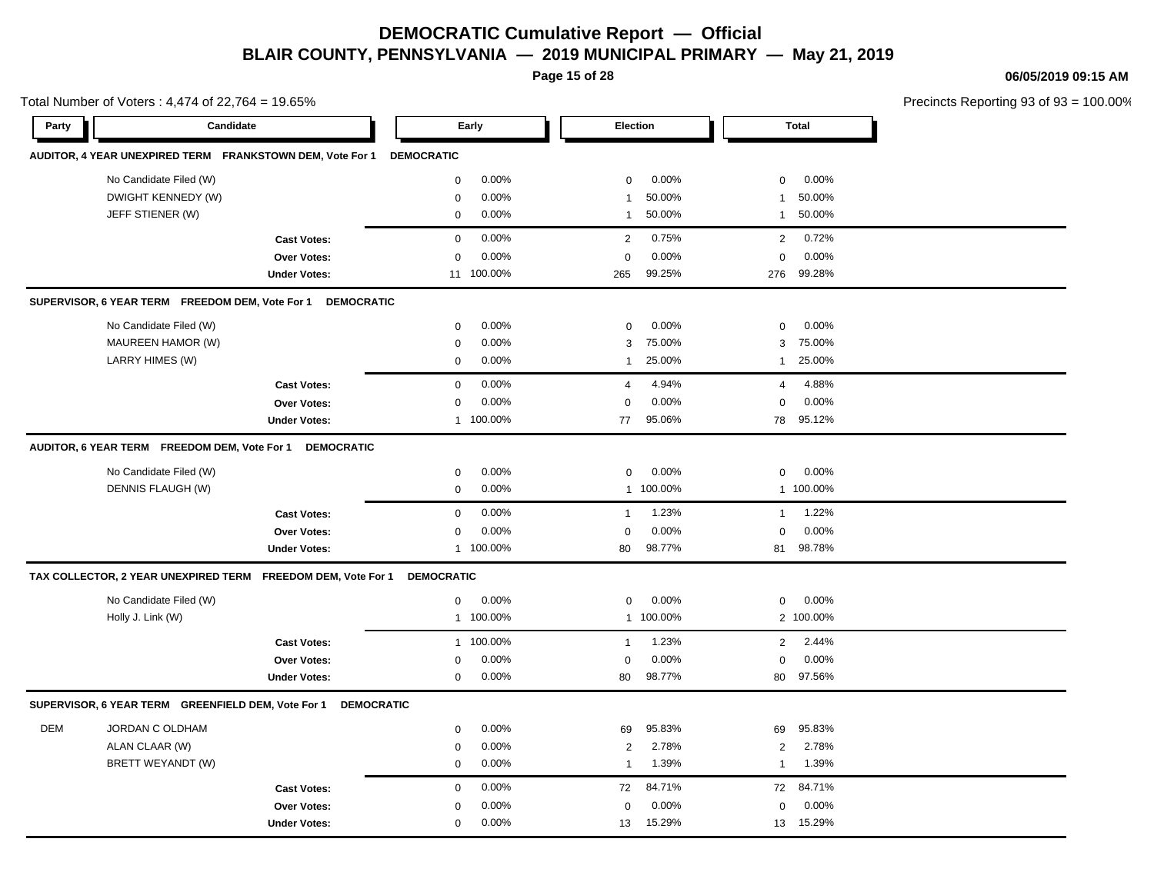**Page 15 of 28**

**06/05/2019 09:15 AM**

| Total Number of Voters: 4,474 of 22,764 = 19.65% |                                                              |                     |                         |                          | Precincts Reporting 93 of 93 = 100.00% |  |
|--------------------------------------------------|--------------------------------------------------------------|---------------------|-------------------------|--------------------------|----------------------------------------|--|
| Party                                            | Candidate                                                    |                     | Early                   | Election                 | Total                                  |  |
|                                                  | AUDITOR, 4 YEAR UNEXPIRED TERM FRANKSTOWN DEM, Vote For 1    |                     | <b>DEMOCRATIC</b>       |                          |                                        |  |
|                                                  | No Candidate Filed (W)                                       |                     | 0.00%<br>0              | 0.00%<br>$\mathbf{0}$    | 0.00%<br>$\mathbf 0$                   |  |
|                                                  | DWIGHT KENNEDY (W)                                           |                     | 0.00%<br>$\mathbf 0$    | 50.00%<br>-1             | 50.00%<br>$\mathbf{1}$                 |  |
|                                                  | JEFF STIENER (W)                                             |                     | 0.00%<br>$\mathbf 0$    | 50.00%<br>$\overline{1}$ | 50.00%<br>$\mathbf{1}$                 |  |
|                                                  |                                                              | <b>Cast Votes:</b>  | 0.00%<br>$\mathbf 0$    | 0.75%<br>$\overline{2}$  | 0.72%<br>$\overline{2}$                |  |
|                                                  |                                                              | <b>Over Votes:</b>  | 0.00%<br>$\Omega$       | 0.00%<br>$\mathbf 0$     | 0.00%<br>$\mathbf 0$                   |  |
|                                                  |                                                              | <b>Under Votes:</b> | 11 100.00%              | 99.25%<br>265            | 99.28%<br>276                          |  |
|                                                  | SUPERVISOR, 6 YEAR TERM FREEDOM DEM, Vote For 1              | <b>DEMOCRATIC</b>   |                         |                          |                                        |  |
|                                                  | No Candidate Filed (W)                                       |                     | 0.00%<br>$\mathbf 0$    | 0.00%<br>$\mathbf 0$     | 0.00%<br>$\mathbf 0$                   |  |
|                                                  | MAUREEN HAMOR (W)                                            |                     | 0.00%<br>$\mathbf 0$    | 75.00%<br>3              | 75.00%<br>3                            |  |
|                                                  | LARRY HIMES (W)                                              |                     | 0.00%<br>$\mathbf 0$    | 25.00%<br>$\mathbf{1}$   | 25.00%<br>$\mathbf{1}$                 |  |
|                                                  |                                                              | <b>Cast Votes:</b>  | 0.00%<br>$\mathbf 0$    | 4.94%<br>$\overline{4}$  | 4.88%<br>$\overline{4}$                |  |
|                                                  |                                                              | <b>Over Votes:</b>  | 0.00%<br>$\mathbf 0$    | 0.00%<br>$\Omega$        | 0.00%<br>$\mathbf 0$                   |  |
|                                                  |                                                              | <b>Under Votes:</b> | 1 100.00%               | 95.06%<br>77             | 95.12%<br>78                           |  |
|                                                  | AUDITOR, 6 YEAR TERM FREEDOM DEM, Vote For 1                 | <b>DEMOCRATIC</b>   |                         |                          |                                        |  |
|                                                  | No Candidate Filed (W)                                       |                     | 0.00%<br>$\mathbf 0$    | 0.00%<br>$\mathbf 0$     | 0.00%<br>$\mathbf 0$                   |  |
|                                                  | DENNIS FLAUGH (W)                                            |                     | 0.00%<br>$\mathbf 0$    | 1 100.00%                | 1 100.00%                              |  |
|                                                  |                                                              | <b>Cast Votes:</b>  | $\mathbf 0$<br>0.00%    | 1.23%<br>$\mathbf{1}$    | 1.22%<br>$\mathbf{1}$                  |  |
|                                                  |                                                              | <b>Over Votes:</b>  | $\mathbf 0$<br>0.00%    | 0.00%<br>$\Omega$        | 0.00%<br>$\mathbf 0$                   |  |
|                                                  |                                                              | <b>Under Votes:</b> | 1 100.00%               | 98.77%<br>80             | 98.78%<br>81                           |  |
|                                                  | TAX COLLECTOR, 2 YEAR UNEXPIRED TERM FREEDOM DEM, Vote For 1 |                     | <b>DEMOCRATIC</b>       |                          |                                        |  |
|                                                  | No Candidate Filed (W)                                       |                     | 0.00%<br>$\mathbf 0$    | 0.00%<br>$\mathbf 0$     | 0.00%<br>$\mathbf 0$                   |  |
|                                                  | Holly J. Link (W)                                            |                     | 1 100.00%               | 1 100.00%                | 2 100.00%                              |  |
|                                                  |                                                              | <b>Cast Votes:</b>  | 100.00%<br>$\mathbf{1}$ | 1.23%<br>$\mathbf{1}$    | 2.44%<br>2                             |  |
|                                                  |                                                              | Over Votes:         | 0.00%<br>$\Omega$       | 0.00%<br>$\mathbf 0$     | 0.00%<br>$\mathbf 0$                   |  |
|                                                  |                                                              | <b>Under Votes:</b> | $0.00\%$<br>$\mathbf 0$ | 98.77%<br>80             | 97.56%<br>80                           |  |
|                                                  | SUPERVISOR, 6 YEAR TERM GREENFIELD DEM, Vote For 1           | <b>DEMOCRATIC</b>   |                         |                          |                                        |  |
| <b>DEM</b>                                       | JORDAN C OLDHAM                                              |                     | 0.00%<br>$\mathbf 0$    | 95.83%<br>69             | 95.83%<br>69                           |  |
|                                                  | ALAN CLAAR (W)                                               |                     | 0.00%<br>$\mathbf 0$    | 2.78%<br>$\overline{2}$  | $\overline{2}$<br>2.78%                |  |
|                                                  | BRETT WEYANDT (W)                                            |                     | 0.00%<br>$\mathbf 0$    | 1.39%<br>$\mathbf{1}$    | 1.39%<br>$\mathbf{1}$                  |  |
|                                                  |                                                              | <b>Cast Votes:</b>  | 0.00%<br>$\mathbf 0$    | 84.71%<br>72             | 84.71%<br>72                           |  |
|                                                  |                                                              | <b>Over Votes:</b>  | 0.00%<br>$\mathbf 0$    | 0.00%<br>0               | 0.00%<br>$\mathbf 0$                   |  |
|                                                  |                                                              | <b>Under Votes:</b> | 0.00%<br>$\mathbf{0}$   | 13<br>15.29%             | 15.29%<br>13                           |  |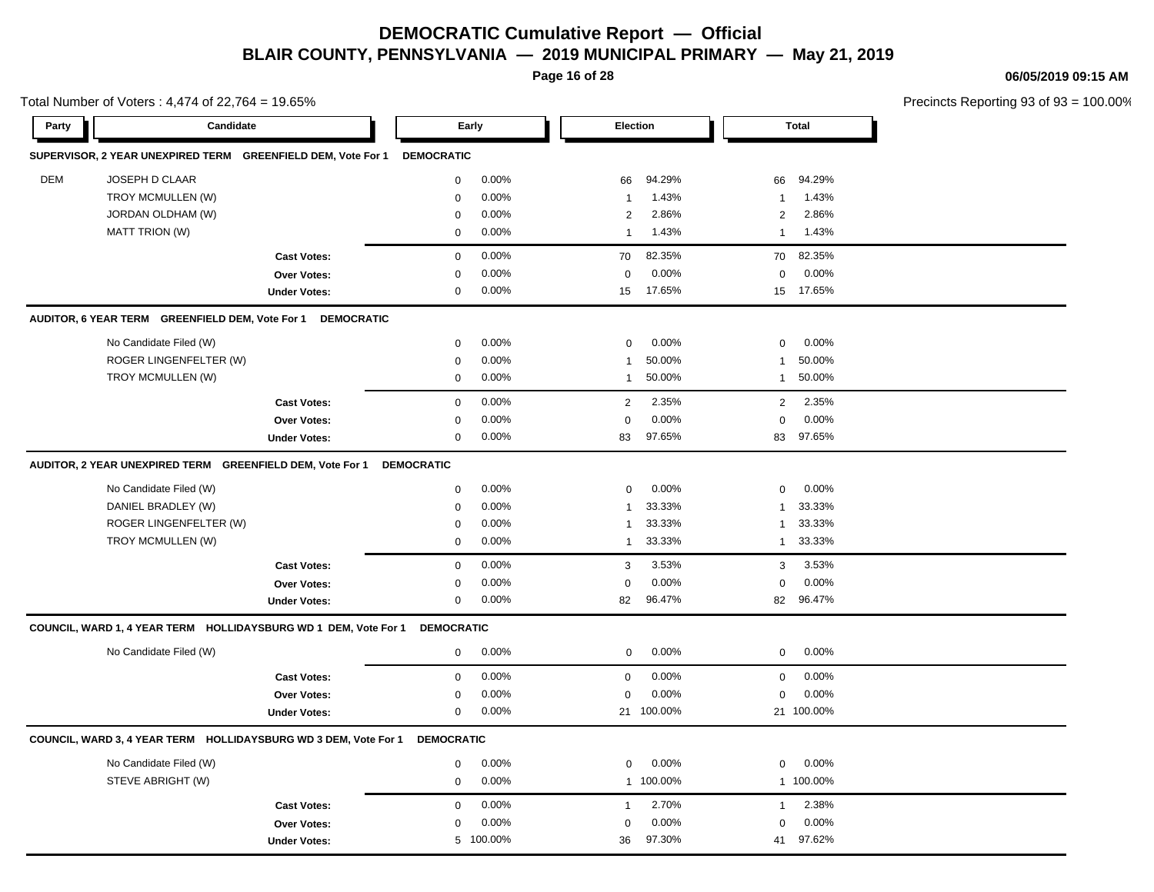**Page 16 of 28**

#### **06/05/2019 09:15 AM**

| Total Number of Voters: 4,474 of 22,764 = 19.65% |                                                                 |                     |                   |           |                | Precincts Reporting 93 of 93 |                |              |  |
|--------------------------------------------------|-----------------------------------------------------------------|---------------------|-------------------|-----------|----------------|------------------------------|----------------|--------------|--|
| Party                                            | Candidate                                                       |                     |                   | Early     |                | <b>Election</b>              |                | <b>Total</b> |  |
|                                                  | SUPERVISOR, 2 YEAR UNEXPIRED TERM GREENFIELD DEM, Vote For 1    |                     | <b>DEMOCRATIC</b> |           |                |                              |                |              |  |
| DEM                                              | JOSEPH D CLAAR                                                  |                     | $\mathbf 0$       | 0.00%     | 66             | 94.29%                       | 66             | 94.29%       |  |
|                                                  | TROY MCMULLEN (W)                                               |                     | $\pmb{0}$         | 0.00%     | $\mathbf{1}$   | 1.43%                        | $\mathbf{1}$   | 1.43%        |  |
|                                                  | JORDAN OLDHAM (W)                                               |                     | 0                 | 0.00%     | 2              | 2.86%                        | 2              | 2.86%        |  |
|                                                  | <b>MATT TRION (W)</b>                                           |                     | $\mathbf 0$       | 0.00%     | $\mathbf{1}$   | 1.43%                        | $\mathbf{1}$   | 1.43%        |  |
|                                                  |                                                                 | <b>Cast Votes:</b>  | $\mathbf 0$       | 0.00%     | 70             | 82.35%                       | 70             | 82.35%       |  |
|                                                  |                                                                 | <b>Over Votes:</b>  | $\mathbf 0$       | 0.00%     | $\mathbf 0$    | 0.00%                        | 0              | 0.00%        |  |
|                                                  |                                                                 | <b>Under Votes:</b> | $\pmb{0}$         | 0.00%     | 15             | 17.65%                       |                | 15 17.65%    |  |
|                                                  | AUDITOR, 6 YEAR TERM GREENFIELD DEM, Vote For 1 DEMOCRATIC      |                     |                   |           |                |                              |                |              |  |
|                                                  | No Candidate Filed (W)                                          |                     | $\mathbf 0$       | 0.00%     | 0              | 0.00%                        | 0              | 0.00%        |  |
|                                                  | ROGER LINGENFELTER (W)                                          |                     | $\mathbf 0$       | 0.00%     | $\mathbf{1}$   | 50.00%                       | 1              | 50.00%       |  |
|                                                  | TROY MCMULLEN (W)                                               |                     | $\pmb{0}$         | 0.00%     | $\mathbf{1}$   | 50.00%                       | $\mathbf{1}$   | 50.00%       |  |
|                                                  |                                                                 | <b>Cast Votes:</b>  | $\pmb{0}$         | 0.00%     | $\overline{2}$ | 2.35%                        | $\overline{2}$ | 2.35%        |  |
|                                                  |                                                                 | Over Votes:         | $\mathbf 0$       | 0.00%     | $\mathbf 0$    | 0.00%                        | $\mathbf 0$    | 0.00%        |  |
|                                                  |                                                                 | <b>Under Votes:</b> | $\mathbf 0$       | 0.00%     | 83             | 97.65%                       | 83             | 97.65%       |  |
|                                                  | AUDITOR, 2 YEAR UNEXPIRED TERM GREENFIELD DEM, Vote For 1       |                     | <b>DEMOCRATIC</b> |           |                |                              |                |              |  |
|                                                  | No Candidate Filed (W)                                          |                     | $\mathbf 0$       | 0.00%     | $\mathbf 0$    | 0.00%                        | 0              | 0.00%        |  |
|                                                  | DANIEL BRADLEY (W)                                              |                     | $\mathbf 0$       | 0.00%     | $\mathbf{1}$   | 33.33%                       | 1              | 33.33%       |  |
|                                                  | ROGER LINGENFELTER (W)                                          |                     | $\mathbf 0$       | 0.00%     | 1              | 33.33%                       | 1              | 33.33%       |  |
|                                                  | TROY MCMULLEN (W)                                               |                     | $\mathbf 0$       | 0.00%     | $\mathbf{1}$   | 33.33%                       | $\mathbf{1}$   | 33.33%       |  |
|                                                  |                                                                 | <b>Cast Votes:</b>  | $\pmb{0}$         | 0.00%     | $\sqrt{3}$     | 3.53%                        | 3              | 3.53%        |  |
|                                                  |                                                                 | Over Votes:         | 0                 | 0.00%     | $\mathbf 0$    | 0.00%                        | $\mathbf 0$    | 0.00%        |  |
|                                                  |                                                                 | <b>Under Votes:</b> | 0                 | 0.00%     | 82             | 96.47%                       | 82             | 96.47%       |  |
|                                                  | COUNCIL, WARD 1, 4 YEAR TERM HOLLIDAYSBURG WD 1 DEM, Vote For 1 |                     | <b>DEMOCRATIC</b> |           |                |                              |                |              |  |
|                                                  | No Candidate Filed (W)                                          |                     | $\mathbf 0$       | 0.00%     | 0              | 0.00%                        | $\mathbf 0$    | 0.00%        |  |
|                                                  |                                                                 | <b>Cast Votes:</b>  | $\mathbf 0$       | 0.00%     | $\mathbf 0$    | 0.00%                        | $\mathbf 0$    | 0.00%        |  |
|                                                  |                                                                 | Over Votes:         | 0                 | 0.00%     | 0              | 0.00%                        | 0              | 0.00%        |  |
|                                                  |                                                                 | <b>Under Votes:</b> | $\mathbf 0$       | 0.00%     |                | 21 100.00%                   |                | 21 100.00%   |  |
|                                                  | COUNCIL, WARD 3, 4 YEAR TERM HOLLIDAYSBURG WD 3 DEM, Vote For 1 |                     | <b>DEMOCRATIC</b> |           |                |                              |                |              |  |
|                                                  | No Candidate Filed (W)                                          |                     | 0                 | 0.00%     | 0              | 0.00%                        | 0              | 0.00%        |  |
|                                                  | STEVE ABRIGHT (W)                                               |                     | 0                 | 0.00%     |                | 1 100.00%                    |                | 1 100.00%    |  |
|                                                  |                                                                 | <b>Cast Votes:</b>  | $\mathbf 0$       | 0.00%     | $\mathbf{1}$   | 2.70%                        | $\mathbf{1}$   | 2.38%        |  |
|                                                  |                                                                 | Over Votes:         | 0                 | 0.00%     | 0              | 0.00%                        | $\Omega$       | 0.00%        |  |
|                                                  |                                                                 | <b>Under Votes:</b> |                   | 5 100.00% | 36             | 97.30%                       | 41             | 97.62%       |  |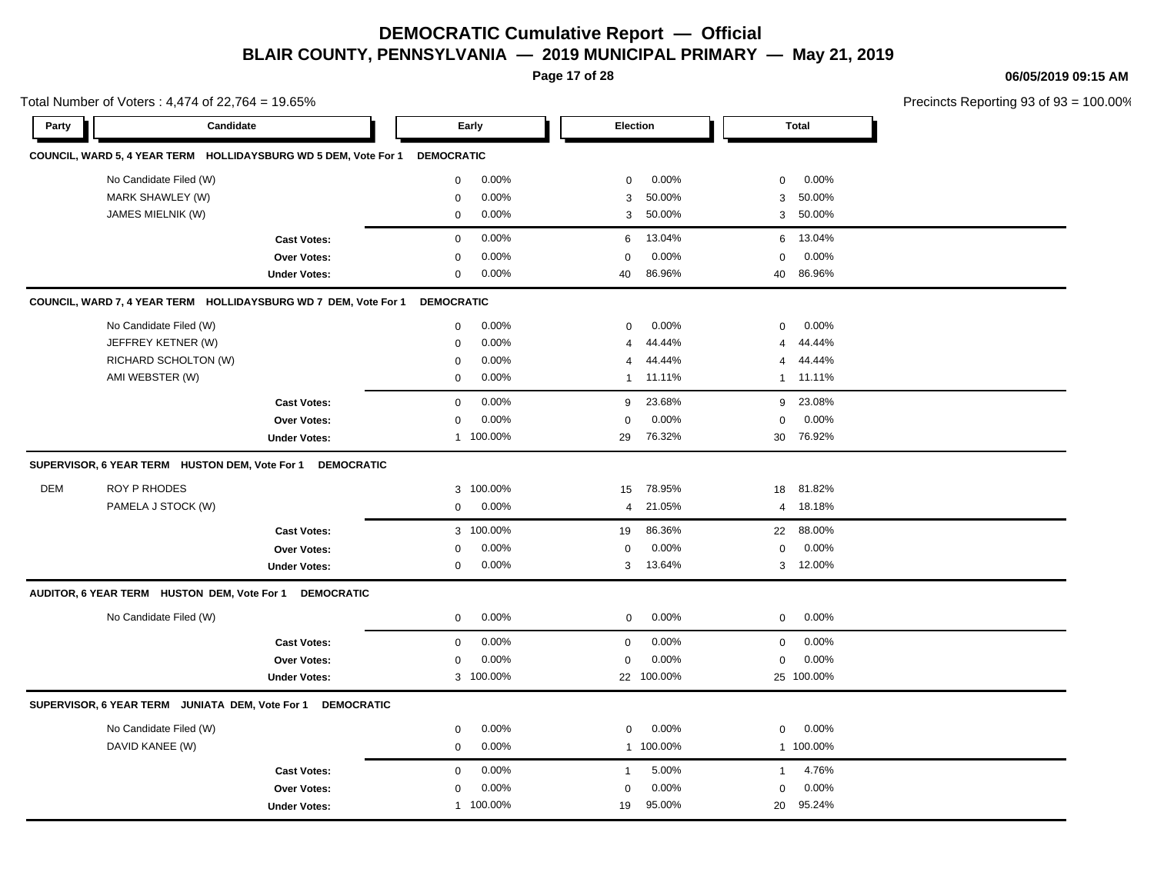**Page 17 of 28**

**06/05/2019 09:15 AM**

| Total Number of Voters: 4,474 of 22,764 = 19.65% |                                                                 |                     |                         |                          | Precincts Reporting 93 of 93 = 100.00% |  |
|--------------------------------------------------|-----------------------------------------------------------------|---------------------|-------------------------|--------------------------|----------------------------------------|--|
| Party                                            | Candidate                                                       |                     | Early                   | Election                 | <b>Total</b>                           |  |
|                                                  | COUNCIL, WARD 5, 4 YEAR TERM HOLLIDAYSBURG WD 5 DEM, Vote For 1 |                     | <b>DEMOCRATIC</b>       |                          |                                        |  |
|                                                  | No Candidate Filed (W)                                          |                     | 0.00%<br>0              | 0.00%<br>0               | 0.00%<br>$\mathbf 0$                   |  |
|                                                  | MARK SHAWLEY (W)                                                |                     | 0.00%<br>$\mathbf 0$    | 50.00%<br>3              | 50.00%<br>3                            |  |
|                                                  | JAMES MIELNIK (W)                                               |                     | 0.00%<br>0              | 50.00%<br>3              | 3 50.00%                               |  |
|                                                  |                                                                 | <b>Cast Votes:</b>  | 0.00%<br>$\mathbf{0}$   | 13.04%<br>6              | 13.04%<br>6                            |  |
|                                                  |                                                                 | Over Votes:         | 0.00%<br>0              | 0.00%<br>0               | 0.00%<br>$\mathbf 0$                   |  |
|                                                  |                                                                 | <b>Under Votes:</b> | 0.00%<br>0              | 86.96%<br>40             | 86.96%<br>40                           |  |
|                                                  | COUNCIL, WARD 7, 4 YEAR TERM HOLLIDAYSBURG WD 7 DEM, Vote For 1 |                     | <b>DEMOCRATIC</b>       |                          |                                        |  |
|                                                  | No Candidate Filed (W)                                          |                     | 0.00%<br>0              | 0.00%<br>0               | 0.00%<br>$\mathbf{0}$                  |  |
|                                                  | JEFFREY KETNER (W)                                              |                     | 0.00%<br>0              | 44.44%<br>$\overline{4}$ | 44.44%<br>$\overline{4}$               |  |
|                                                  | RICHARD SCHOLTON (W)                                            |                     | 0.00%<br>0              | 44.44%<br>$\overline{4}$ | 44.44%<br>$\overline{4}$               |  |
|                                                  | AMI WEBSTER (W)                                                 |                     | $0.00\%$<br>$\mathbf 0$ | 1 11.11%                 | 1 11.11%                               |  |
|                                                  |                                                                 | <b>Cast Votes:</b>  | 0.00%<br>0              | 23.68%<br>9              | 23.08%<br>9                            |  |
|                                                  |                                                                 | Over Votes:         | 0.00%<br>$\mathbf 0$    | 0.00%<br>$\mathbf 0$     | $\mathbf 0$<br>0.00%                   |  |
|                                                  |                                                                 | <b>Under Votes:</b> | 1 100.00%               | 76.32%<br>29             | 76.92%<br>30                           |  |
|                                                  | SUPERVISOR, 6 YEAR TERM HUSTON DEM, Vote For 1 DEMOCRATIC       |                     |                         |                          |                                        |  |
| <b>DEM</b>                                       | ROY P RHODES                                                    |                     | 3 100.00%               | 78.95%<br>15             | 81.82%<br>18                           |  |
|                                                  | PAMELA J STOCK (W)                                              |                     | 0.00%<br>0              | 21.05%<br>$\overline{4}$ | 4 18.18%                               |  |
|                                                  |                                                                 | <b>Cast Votes:</b>  | 3 100.00%               | 86.36%<br>19             | 88.00%<br>22                           |  |
|                                                  |                                                                 | Over Votes:         | 0.00%<br>$\Omega$       | 0.00%<br>$\mathbf 0$     | 0.00%<br>0                             |  |
|                                                  |                                                                 | <b>Under Votes:</b> | 0.00%<br>0              | 13.64%<br>3              | 3 12.00%                               |  |
|                                                  | AUDITOR, 6 YEAR TERM HUSTON DEM, Vote For 1                     | <b>DEMOCRATIC</b>   |                         |                          |                                        |  |
|                                                  | No Candidate Filed (W)                                          |                     | 0.00%<br>$\mathsf{O}$   | 0.00%<br>$\mathbf 0$     | 0.00%<br>$\mathbf 0$                   |  |
|                                                  |                                                                 | <b>Cast Votes:</b>  | 0.00%<br>$\mathbf 0$    | 0.00%<br>$\mathbf 0$     | 0.00%<br>$\mathbf 0$                   |  |
|                                                  |                                                                 | Over Votes:         | 0.00%<br>$\Omega$       | 0.00%<br>$\mathbf 0$     | 0.00%<br>$\mathbf 0$                   |  |
|                                                  |                                                                 | <b>Under Votes:</b> | 3 100.00%               | 22 100.00%               | 25 100.00%                             |  |
|                                                  | SUPERVISOR, 6 YEAR TERM JUNIATA DEM, Vote For 1                 | <b>DEMOCRATIC</b>   |                         |                          |                                        |  |
|                                                  | No Candidate Filed (W)                                          |                     | 0.00%<br>0              | 0.00%<br>$\mathbf 0$     | 0.00%<br>$\mathbf 0$                   |  |
|                                                  | DAVID KANEE (W)                                                 |                     | 0.00%<br>$\mathbf 0$    | 1 100.00%                | 1 100.00%                              |  |
|                                                  |                                                                 | <b>Cast Votes:</b>  | 0.00%<br>$\mathsf{O}$   | 5.00%<br>$\mathbf{1}$    | 4.76%<br>$\mathbf{1}$                  |  |
|                                                  |                                                                 | <b>Over Votes:</b>  | 0.00%<br>0              | 0.00%<br>0               | 0.00%<br>$\mathbf 0$                   |  |
|                                                  |                                                                 | <b>Under Votes:</b> | 1 100.00%               | 95.00%<br>19             | 95.24%<br>20                           |  |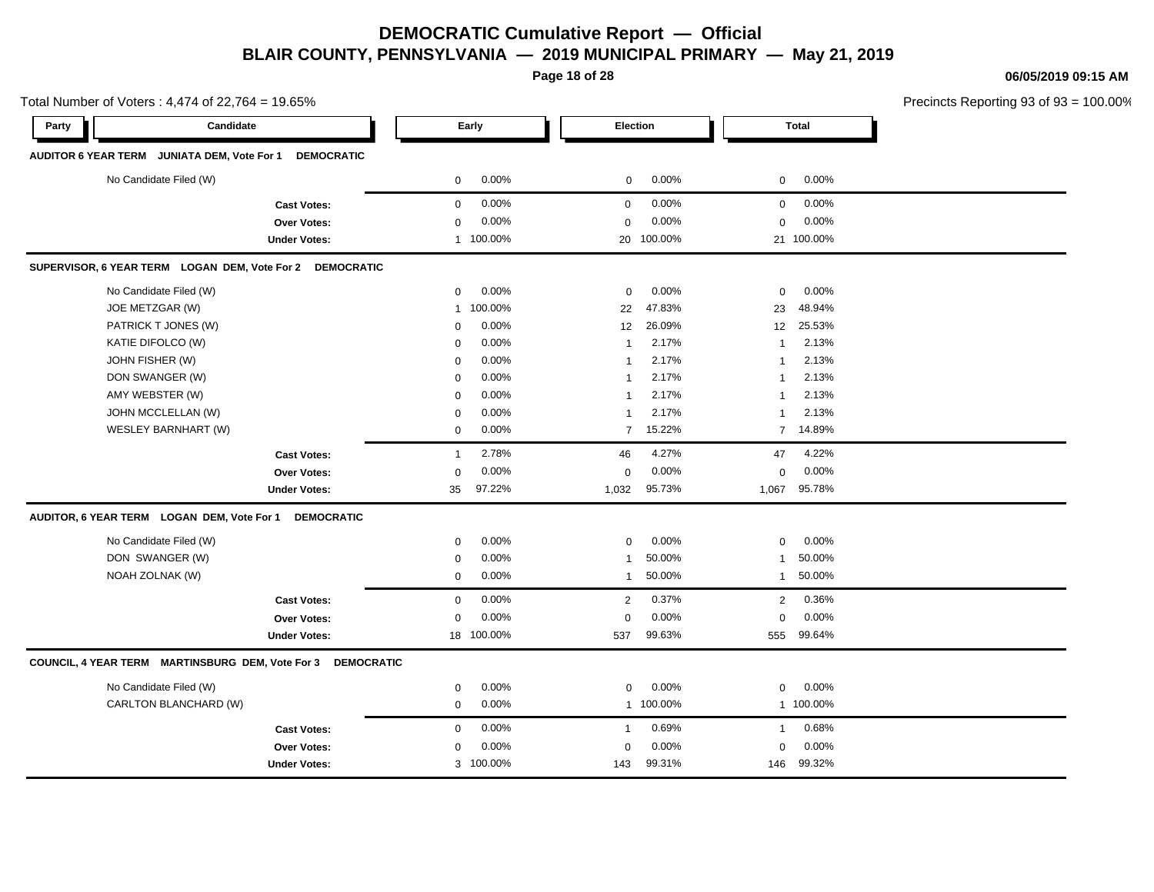**Page 18 of 28**

**06/05/2019 09:15 AM**

|       | Total Number of Voters: 4,474 of 22,764 = 19.65%                 |                           |                          |                          | Precincts Reporting 93 of |
|-------|------------------------------------------------------------------|---------------------------|--------------------------|--------------------------|---------------------------|
| Party | Candidate                                                        | Early                     | Election                 | Total                    |                           |
|       | AUDITOR 6 YEAR TERM JUNIATA DEM, Vote For 1<br><b>DEMOCRATIC</b> |                           |                          |                          |                           |
|       | No Candidate Filed (W)                                           | 0.00%<br>0                | 0.00%<br>$\mathbf 0$     | 0.00%<br>$\mathbf 0$     |                           |
|       | <b>Cast Votes:</b>                                               | 0.00%<br>$\mathbf 0$      | 0.00%<br>0               | 0.00%<br>$\mathbf 0$     |                           |
|       | Over Votes:                                                      | 0.00%<br>0                | 0.00%<br>$\mathbf 0$     | 0.00%<br>$\mathbf 0$     |                           |
|       | <b>Under Votes:</b>                                              | 1 100.00%                 | 20 100.00%               | 21 100.00%               |                           |
|       | SUPERVISOR, 6 YEAR TERM LOGAN DEM, Vote For 2 DEMOCRATIC         |                           |                          |                          |                           |
|       | No Candidate Filed (W)                                           | 0.00%<br>0                | 0.00%<br>$\mathbf 0$     | 0.00%<br>0               |                           |
|       | JOE METZGAR (W)                                                  | 100.00%<br>$\overline{1}$ | 47.83%<br>22             | 48.94%<br>23             |                           |
|       | PATRICK T JONES (W)                                              | 0.00%<br>$\Omega$         | 26.09%<br>12             | 25.53%<br>12             |                           |
|       | KATIE DIFOLCO (W)                                                | 0.00%<br>$\mathbf 0$      | 2.17%<br>1               | 2.13%<br>$\mathbf{1}$    |                           |
|       | JOHN FISHER (W)                                                  | 0.00%<br>$\mathbf 0$      | 2.17%<br>$\mathbf{1}$    | 2.13%<br>$\mathbf{1}$    |                           |
|       | DON SWANGER (W)                                                  | 0.00%<br>$\mathbf 0$      | 2.17%<br>$\mathbf{1}$    | 2.13%<br>$\overline{1}$  |                           |
|       | AMY WEBSTER (W)                                                  | 0.00%<br>$\mathbf 0$      | 2.17%<br>$\mathbf{1}$    | 2.13%<br>$\mathbf{1}$    |                           |
|       | JOHN MCCLELLAN (W)                                               | 0.00%<br>$\mathbf 0$      | 2.17%<br>$\mathbf{1}$    | 2.13%<br>$\mathbf{1}$    |                           |
|       | WESLEY BARNHART (W)                                              | 0.00%<br>0                | 15.22%<br>$\overline{7}$ | 14.89%<br>$\overline{7}$ |                           |
|       | <b>Cast Votes:</b>                                               | 2.78%<br>$\overline{1}$   | 4.27%<br>46              | 4.22%<br>47              |                           |
|       | Over Votes:                                                      | 0.00%<br>$\Omega$         | 0.00%<br>$\mathbf 0$     | 0.00%<br>$\mathbf 0$     |                           |
|       | <b>Under Votes:</b>                                              | 97.22%<br>35              | 95.73%<br>1,032          | 95.78%<br>1,067          |                           |
|       | AUDITOR, 6 YEAR TERM LOGAN DEM, Vote For 1<br><b>DEMOCRATIC</b>  |                           |                          |                          |                           |
|       | No Candidate Filed (W)                                           | 0.00%<br>$\mathbf 0$      | 0.00%<br>$\mathbf 0$     | 0.00%<br>$\mathbf 0$     |                           |
|       | DON SWANGER (W)                                                  | 0.00%<br>$\mathbf 0$      | 50.00%<br>$\mathbf{1}$   | 50.00%<br>$\mathbf{1}$   |                           |
|       | NOAH ZOLNAK (W)                                                  | 0.00%<br>0                | 50.00%<br>$\mathbf{1}$   | 50.00%<br>$\mathbf{1}$   |                           |
|       | <b>Cast Votes:</b>                                               | 0.00%<br>0                | 0.37%<br>$\overline{2}$  | 0.36%<br>$\overline{2}$  |                           |
|       | Over Votes:                                                      | 0.00%<br>$\Omega$         | 0.00%<br>$\mathbf 0$     | 0.00%<br>0               |                           |
|       | <b>Under Votes:</b>                                              | 100.00%<br>18             | 99.63%<br>537            | 99.64%<br>555            |                           |
|       | COUNCIL, 4 YEAR TERM MARTINSBURG DEM, Vote For 3 DEMOCRATIC      |                           |                          |                          |                           |
|       | No Candidate Filed (W)                                           | 0.00%<br>$\mathbf 0$      | 0.00%<br>$\mathbf 0$     | 0.00%<br>$\mathbf 0$     |                           |
|       | CARLTON BLANCHARD (W)                                            | 0.00%<br>0                | 1 100.00%                | 1 100.00%                |                           |
|       | <b>Cast Votes:</b>                                               | 0.00%<br>0                | 0.69%<br>$\mathbf{1}$    | 0.68%<br>$\mathbf{1}$    |                           |
|       | Over Votes:                                                      | 0.00%<br>$\mathbf 0$      | 0.00%<br>$\mathbf 0$     | 0.00%<br>0               |                           |
|       | <b>Under Votes:</b>                                              | 3 100.00%                 | 99.31%<br>143            | 99.32%<br>146            |                           |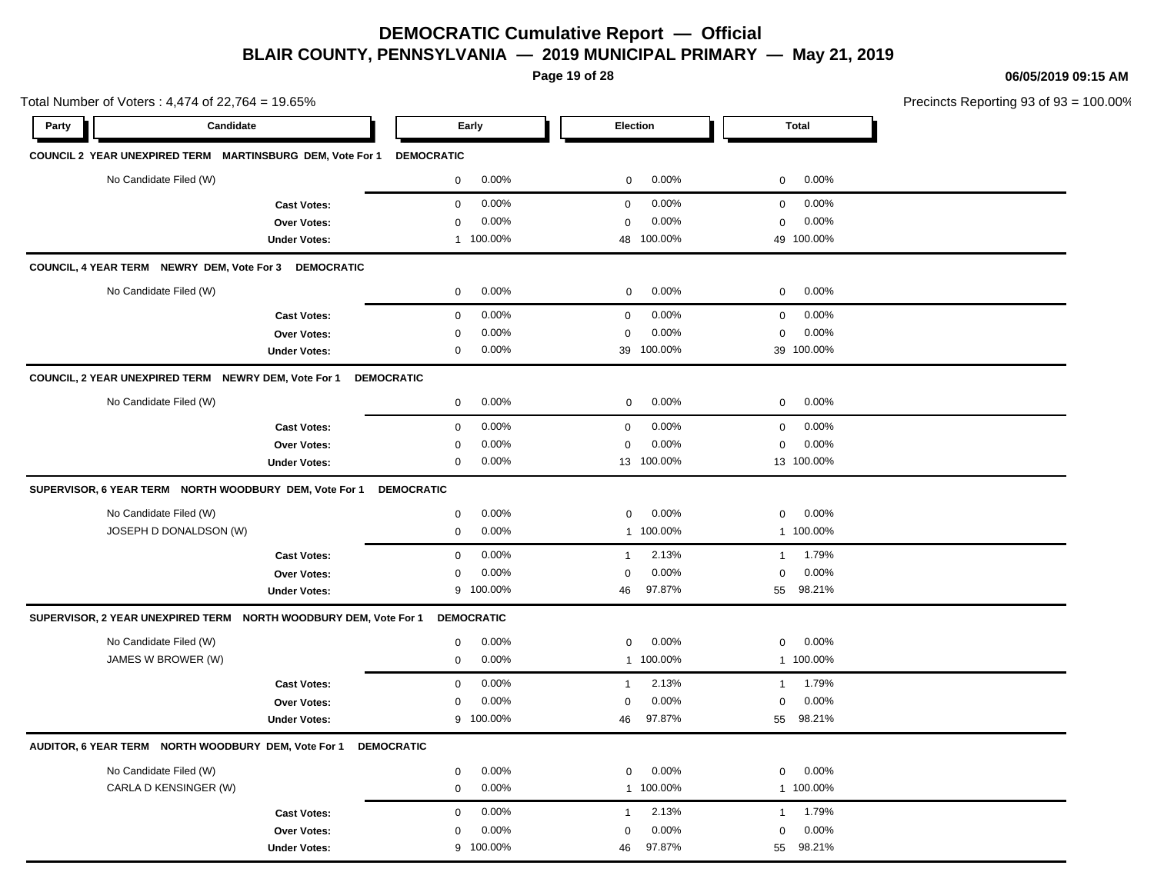**Page 19 of 28**

Total Number of Voters : 4,474 of 22,764 = 19.65%

**06/05/2019 09:15 AM**

Precincts Reporting 93 of 93 = 100.00%

| Party | Candidate                                                           | Early                | Election              | <b>Total</b>          |  |
|-------|---------------------------------------------------------------------|----------------------|-----------------------|-----------------------|--|
|       | COUNCIL 2 YEAR UNEXPIRED TERM  MARTINSBURG DEM, Vote For 1          | <b>DEMOCRATIC</b>    |                       |                       |  |
|       | No Candidate Filed (W)                                              | 0.00%<br>0           | 0.00%<br>$\mathbf 0$  | 0.00%<br>$\mathbf 0$  |  |
|       | <b>Cast Votes:</b>                                                  | 0.00%<br>$\mathbf 0$ | 0.00%<br>$\mathbf 0$  | 0.00%<br>$\mathbf 0$  |  |
|       | Over Votes:                                                         | 0.00%<br>$\mathbf 0$ | $\mathbf 0$<br>0.00%  | $\mathbf 0$<br>0.00%  |  |
|       | <b>Under Votes:</b>                                                 | 1 100.00%            | 48 100.00%            | 49 100.00%            |  |
|       | COUNCIL, 4 YEAR TERM NEWRY DEM, Vote For 3 DEMOCRATIC               |                      |                       |                       |  |
|       | No Candidate Filed (W)                                              | 0.00%<br>$\mathbf 0$ | 0.00%<br>0            | 0.00%<br>0            |  |
|       | <b>Cast Votes:</b>                                                  | 0.00%<br>$\mathbf 0$ | 0.00%<br>$\mathbf 0$  | 0.00%<br>0            |  |
|       | Over Votes:                                                         | 0.00%<br>$\mathbf 0$ | 0.00%<br>0            | 0.00%<br>0            |  |
|       | <b>Under Votes:</b>                                                 | 0.00%<br>0           | 39 100.00%            | 39 100.00%            |  |
|       | COUNCIL, 2 YEAR UNEXPIRED TERM NEWRY DEM, Vote For 1                | <b>DEMOCRATIC</b>    |                       |                       |  |
|       | No Candidate Filed (W)                                              | 0.00%<br>$\mathbf 0$ | 0.00%<br>$\mathbf 0$  | 0.00%<br>0            |  |
|       | <b>Cast Votes:</b>                                                  | 0.00%<br>$\pmb{0}$   | 0.00%<br>$\mathbf 0$  | 0.00%<br>0            |  |
|       | <b>Over Votes:</b>                                                  | 0.00%<br>$\mathbf 0$ | 0.00%<br>0            | 0.00%<br>0            |  |
|       | <b>Under Votes:</b>                                                 | 0.00%<br>0           | 13 100.00%            | 13 100.00%            |  |
|       |                                                                     | <b>DEMOCRATIC</b>    |                       |                       |  |
|       | No Candidate Filed (W)                                              | 0.00%<br>$\pmb{0}$   | 0.00%<br>0            | 0.00%<br>0            |  |
|       | JOSEPH D DONALDSON (W)                                              | 0.00%<br>0           | 1 100.00%             | 1 100.00%             |  |
|       | <b>Cast Votes:</b>                                                  | 0.00%<br>$\pmb{0}$   | 2.13%<br>$\mathbf{1}$ | 1.79%<br>$\mathbf{1}$ |  |
|       | Over Votes:                                                         | 0.00%<br>$\mathbf 0$ | 0.00%<br>$\mathbf 0$  | 0.00%<br>$\mathbf 0$  |  |
|       | <b>Under Votes:</b>                                                 | 9 100.00%            | 97.87%<br>46          | 55 98.21%             |  |
|       | SUPERVISOR, 2 YEAR UNEXPIRED TERM    NORTH WOODBURY DEM, Vote For 1 | <b>DEMOCRATIC</b>    |                       |                       |  |
|       | No Candidate Filed (W)                                              | 0.00%<br>$\mathbf 0$ | 0.00%<br>$\mathbf 0$  | 0.00%<br>0            |  |
|       | JAMES W BROWER (W)                                                  | 0.00%<br>0           | 1 100.00%             | 1 100.00%             |  |
|       | <b>Cast Votes:</b>                                                  | 0.00%<br>$\mathbf 0$ | 2.13%<br>$\mathbf{1}$ | 1.79%<br>$\mathbf{1}$ |  |
|       | Over Votes:                                                         | 0.00%<br>$\mathbf 0$ | 0.00%<br>$\mathbf 0$  | 0.00%<br>$\mathbf 0$  |  |
|       | <b>Under Votes:</b>                                                 | 9 100.00%            | 97.87%<br>46          | 98.21%<br>55          |  |
|       | AUDITOR, 6 YEAR TERM NORTH WOODBURY DEM, Vote For 1                 | <b>DEMOCRATIC</b>    |                       |                       |  |
|       | No Candidate Filed (W)                                              | 0.00%<br>0           | 0.00%<br>0            | 0.00%<br>0            |  |
|       | CARLA D KENSINGER (W)                                               | 0.00%<br>$\mathbf 0$ | 1 100.00%             | 1 100.00%             |  |
|       | <b>Cast Votes:</b>                                                  | 0.00%<br>$\mathbf 0$ | 2.13%<br>$\mathbf{1}$ | 1.79%<br>1            |  |
|       | <b>Over Votes:</b>                                                  | 0.00%<br>$\mathbf 0$ | 0.00%<br>0            | 0.00%<br>0            |  |

100.00% 46 55

97.87% 98.21%

Under Votes: 9 100.00%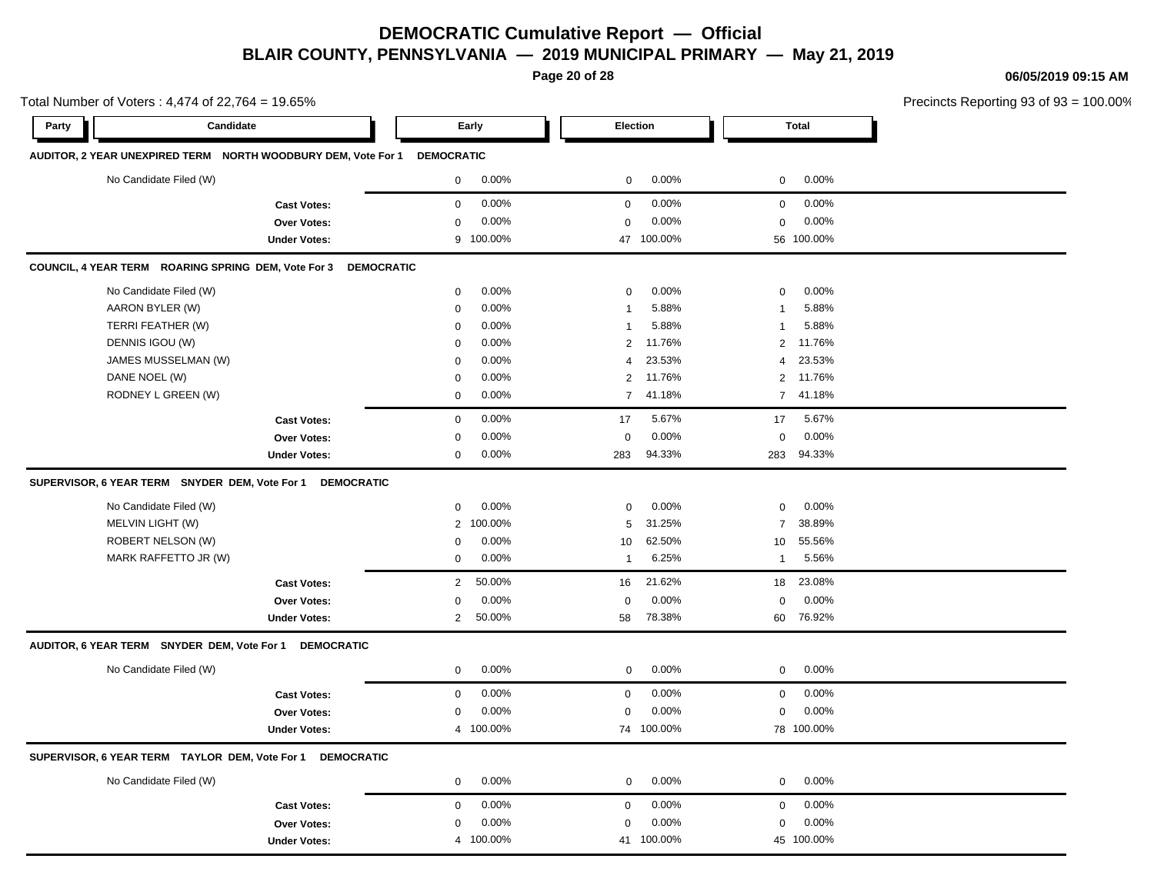**Page 20 of 28**

#### **06/05/2019 09:15 AM**

|       | Total Number of Voters: 4,474 of 22,764 = 19.65%          |                                                               |                   |           |                  |            |                         | Precincts Reporting 93 of 93 |  |
|-------|-----------------------------------------------------------|---------------------------------------------------------------|-------------------|-----------|------------------|------------|-------------------------|------------------------------|--|
| Party | Candidate                                                 |                                                               |                   | Early     | <b>Election</b>  |            |                         | <b>Total</b>                 |  |
|       |                                                           | AUDITOR, 2 YEAR UNEXPIRED TERM NORTH WOODBURY DEM, Vote For 1 | <b>DEMOCRATIC</b> |           |                  |            |                         |                              |  |
|       | No Candidate Filed (W)                                    |                                                               | 0                 | 0.00%     | 0                | 0.00%      | 0                       | 0.00%                        |  |
|       |                                                           | <b>Cast Votes:</b>                                            | $\mathbf 0$       | 0.00%     | $\mathbf 0$      | 0.00%      | $\mathbf 0$             | 0.00%                        |  |
|       |                                                           | <b>Over Votes:</b>                                            | $\mathbf 0$       | 0.00%     | $\Omega$         | 0.00%      | 0                       | 0.00%                        |  |
|       |                                                           | <b>Under Votes:</b>                                           |                   | 9 100.00% |                  | 47 100.00% |                         | 56 100.00%                   |  |
|       | COUNCIL, 4 YEAR TERM ROARING SPRING DEM, Vote For 3       | <b>DEMOCRATIC</b>                                             |                   |           |                  |            |                         |                              |  |
|       | No Candidate Filed (W)                                    |                                                               | $\mathbf 0$       | 0.00%     | 0                | 0.00%      | 0                       | 0.00%                        |  |
|       | AARON BYLER (W)                                           |                                                               | $\mathbf 0$       | 0.00%     | $\mathbf{1}$     | 5.88%      | -1                      | 5.88%                        |  |
|       | TERRI FEATHER (W)                                         |                                                               | $\mathbf 0$       | 0.00%     | $\mathbf{1}$     | 5.88%      | 1                       | 5.88%                        |  |
|       | DENNIS IGOU (W)                                           |                                                               | $\mathbf 0$       | 0.00%     | 2                | 11.76%     | $\overline{\mathbf{c}}$ | 11.76%                       |  |
|       | JAMES MUSSELMAN (W)                                       |                                                               | $\mathbf 0$       | 0.00%     | $\overline{4}$   | 23.53%     | 4                       | 23.53%                       |  |
|       | DANE NOEL (W)                                             |                                                               | $\mathbf 0$       | 0.00%     | 2                | 11.76%     | $\overline{2}$          | 11.76%                       |  |
|       | RODNEY L GREEN (W)                                        |                                                               | $\mathbf 0$       | 0.00%     | $\overline{7}$   | 41.18%     | $\overline{7}$          | 41.18%                       |  |
|       |                                                           | <b>Cast Votes:</b>                                            | $\mathbf 0$       | 0.00%     | 17               | 5.67%      | 17                      | 5.67%                        |  |
|       |                                                           | <b>Over Votes:</b>                                            | 0                 | 0.00%     | 0                | 0.00%      | 0                       | 0.00%                        |  |
|       |                                                           | <b>Under Votes:</b>                                           | $\mathbf 0$       | 0.00%     | 283              | 94.33%     | 283                     | 94.33%                       |  |
|       |                                                           | SUPERVISOR, 6 YEAR TERM SNYDER DEM, Vote For 1 DEMOCRATIC     |                   |           |                  |            |                         |                              |  |
|       | No Candidate Filed (W)                                    |                                                               | $\mathbf 0$       | 0.00%     | 0                | 0.00%      | 0                       | 0.00%                        |  |
|       | MELVIN LIGHT (W)                                          |                                                               | $\overline{2}$    | 100.00%   | 5                | 31.25%     | $\overline{7}$          | 38.89%                       |  |
|       | ROBERT NELSON (W)                                         |                                                               | 0                 | 0.00%     | 10               | 62.50%     | 10                      | 55.56%                       |  |
|       | MARK RAFFETTO JR (W)                                      |                                                               | $\mathbf 0$       | 0.00%     | $\mathbf{1}$     | 6.25%      | $\mathbf{1}$            | 5.56%                        |  |
|       |                                                           | <b>Cast Votes:</b>                                            | $\overline{2}$    | 50.00%    | 16               | 21.62%     | 18                      | 23.08%                       |  |
|       |                                                           | Over Votes:                                                   | $\pmb{0}$         | 0.00%     | 0                | 0.00%      | $\mathbf 0$             | 0.00%                        |  |
|       |                                                           | <b>Under Votes:</b>                                           | $\overline{2}$    | 50.00%    | 58               | 78.38%     | 60                      | 76.92%                       |  |
|       | AUDITOR, 6 YEAR TERM SNYDER DEM, Vote For 1 DEMOCRATIC    |                                                               |                   |           |                  |            |                         |                              |  |
|       | No Candidate Filed (W)                                    |                                                               | 0                 | 0.00%     | 0                | 0.00%      | 0                       | 0.00%                        |  |
|       |                                                           | <b>Cast Votes:</b>                                            | $\mathbf 0$       | 0.00%     | $\boldsymbol{0}$ | 0.00%      | $\mathsf 0$             | 0.00%                        |  |
|       |                                                           | Over Votes:                                                   | $\mathbf 0$       | 0.00%     | 0                | 0.00%      | $\mathbf 0$             | 0.00%                        |  |
|       |                                                           | <b>Under Votes:</b>                                           |                   | 4 100.00% |                  | 74 100.00% |                         | 78 100.00%                   |  |
|       | SUPERVISOR, 6 YEAR TERM TAYLOR DEM, Vote For 1 DEMOCRATIC |                                                               |                   |           |                  |            |                         |                              |  |
|       | No Candidate Filed (W)                                    |                                                               | $\mathbf 0$       | 0.00%     | $\mathbf 0$      | 0.00%      | $\mathbf 0$             | 0.00%                        |  |
|       |                                                           | <b>Cast Votes:</b>                                            | $\mathbf 0$       | 0.00%     | $\boldsymbol{0}$ | 0.00%      | $\mathbf 0$             | 0.00%                        |  |
|       |                                                           | Over Votes:                                                   | $\mathbf 0$       | 0.00%     | 0                | 0.00%      | 0                       | 0.00%                        |  |
|       |                                                           | <b>Under Votes:</b>                                           |                   | 4 100.00% |                  | 41 100.00% |                         | 45 100.00%                   |  |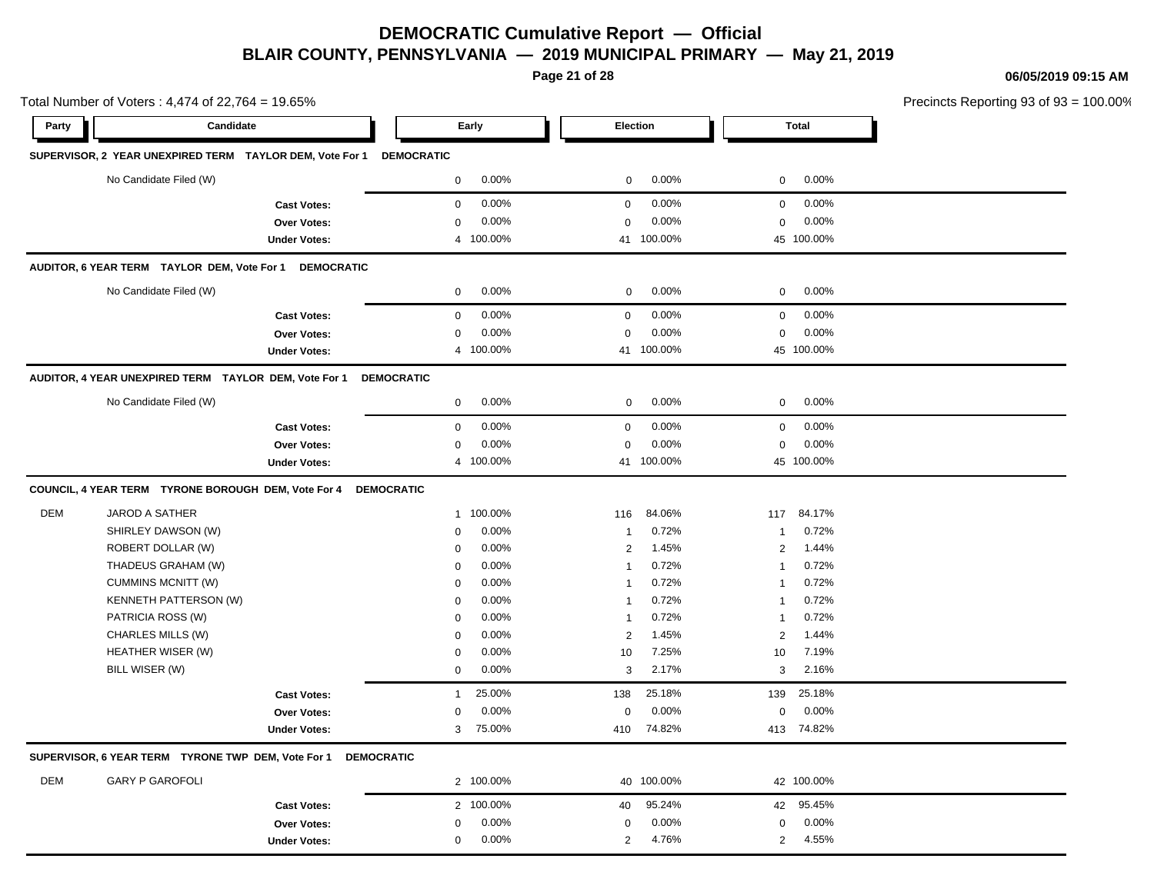**Page 21 of 28**

**06/05/2019 09:15 AM**

| Total Number of Voters: 4,474 of 22,764 = 19.65% |                                                                     |                     |                        |                                  |                         | Precincts Reporting 93 of 93 = 100.00% |
|--------------------------------------------------|---------------------------------------------------------------------|---------------------|------------------------|----------------------------------|-------------------------|----------------------------------------|
| Party                                            | Candidate                                                           |                     | Early                  | <b>Election</b>                  | <b>Total</b>            |                                        |
|                                                  | SUPERVISOR, 2 YEAR UNEXPIRED TERM TAYLOR DEM, Vote For 1 DEMOCRATIC |                     |                        |                                  |                         |                                        |
|                                                  | No Candidate Filed (W)                                              |                     | 0.00%<br>$\mathbf 0$   | 0.00%<br>$\mathbf 0$             | $0.00\%$<br>$\mathbf 0$ |                                        |
|                                                  |                                                                     | <b>Cast Votes:</b>  | 0.00%<br>$\mathbf 0$   | 0.00%<br>$\mathbf 0$             | $\mathbf 0$<br>0.00%    |                                        |
|                                                  |                                                                     | Over Votes:         | 0.00%<br>0             | 0.00%<br>$\mathbf 0$             | 0.00%<br>0              |                                        |
|                                                  |                                                                     | <b>Under Votes:</b> | 4 100.00%              | 41 100.00%                       | 45 100.00%              |                                        |
|                                                  | AUDITOR, 6 YEAR TERM TAYLOR DEM, Vote For 1 DEMOCRATIC              |                     |                        |                                  |                         |                                        |
|                                                  | No Candidate Filed (W)                                              |                     | 0.00%<br>$\mathsf{O}$  | 0.00%<br>$\mathbf 0$             | 0.00%<br>$\mathbf 0$    |                                        |
|                                                  |                                                                     | <b>Cast Votes:</b>  | 0.00%<br>$\mathbf 0$   | 0.00%<br>$\mathbf 0$             | 0.00%<br>0              |                                        |
|                                                  |                                                                     | <b>Over Votes:</b>  | 0.00%<br>$\mathbf 0$   | 0.00%<br>$\mathbf 0$             | 0.00%<br>0              |                                        |
|                                                  |                                                                     | <b>Under Votes:</b> | 4 100.00%              | 41 100.00%                       | 45 100.00%              |                                        |
|                                                  | AUDITOR, 4 YEAR UNEXPIRED TERM TAYLOR DEM, Vote For 1               |                     | <b>DEMOCRATIC</b>      |                                  |                         |                                        |
|                                                  | No Candidate Filed (W)                                              |                     | 0.00%<br>$\mathbf 0$   | 0.00%<br>$\mathbf 0$             | 0.00%<br>$\mathbf{0}$   |                                        |
|                                                  |                                                                     | <b>Cast Votes:</b>  | 0.00%<br>$\mathbf 0$   | 0.00%<br>$\mathbf 0$             | 0.00%<br>0              |                                        |
|                                                  |                                                                     | Over Votes:         | 0.00%<br>$\mathbf 0$   | $0.00\%$<br>$\mathbf 0$          | 0.00%<br>0              |                                        |
|                                                  |                                                                     | <b>Under Votes:</b> | 4 100.00%              | 41 100.00%                       | 45 100.00%              |                                        |
|                                                  | COUNCIL, 4 YEAR TERM TYRONE BOROUGH DEM, Vote For 4                 |                     | <b>DEMOCRATIC</b>      |                                  |                         |                                        |
| <b>DEM</b>                                       | JAROD A SATHER                                                      |                     | 1 100.00%              | 84.06%<br>116                    | 84.17%<br>117           |                                        |
|                                                  | SHIRLEY DAWSON (W)                                                  |                     | 0.00%<br>0             | 0.72%<br>$\overline{1}$          | 0.72%<br>1              |                                        |
|                                                  | ROBERT DOLLAR (W)                                                   |                     | 0.00%<br>0             | 1.45%<br>$\overline{2}$          | 1.44%<br>2              |                                        |
|                                                  | THADEUS GRAHAM (W)                                                  |                     | 0.00%<br>$\Omega$      | 0.72%<br>$\overline{1}$          | 0.72%<br>1              |                                        |
|                                                  | <b>CUMMINS MCNITT (W)</b>                                           |                     | 0.00%<br>0             | 0.72%<br>-1                      | 0.72%<br>1              |                                        |
|                                                  | KENNETH PATTERSON (W)                                               |                     | 0.00%<br>$\mathbf 0$   | 0.72%<br>$\overline{1}$          | 0.72%<br>1              |                                        |
|                                                  | PATRICIA ROSS (W)                                                   |                     | 0.00%<br>$\mathbf 0$   | 0.72%<br>$\overline{\mathbf{1}}$ | 0.72%<br>1              |                                        |
|                                                  | CHARLES MILLS (W)                                                   |                     | 0.00%<br>$\mathbf 0$   | $\overline{2}$<br>1.45%          | $\overline{2}$<br>1.44% |                                        |
|                                                  | HEATHER WISER (W)                                                   |                     | 0.00%<br>$\mathbf 0$   | 7.25%<br>10                      | 7.19%<br>10             |                                        |
|                                                  | BILL WISER (W)                                                      |                     | 0.00%<br>$\mathbf 0$   | 3<br>2.17%                       | 2.16%<br>3              |                                        |
|                                                  |                                                                     | <b>Cast Votes:</b>  | 25.00%<br>$\mathbf{1}$ | 25.18%<br>138                    | 25.18%<br>139           |                                        |
|                                                  |                                                                     | Over Votes:         | 0.00%<br>0             | 0.00%<br>$\mathbf 0$             | 0.00%<br>0              |                                        |
|                                                  |                                                                     | <b>Under Votes:</b> | 3<br>75.00%            | 74.82%<br>410                    | 413 74.82%              |                                        |
|                                                  | SUPERVISOR, 6 YEAR TERM TYRONE TWP DEM, Vote For 1                  | <b>DEMOCRATIC</b>   |                        |                                  |                         |                                        |
| <b>DEM</b>                                       | <b>GARY P GAROFOLI</b>                                              |                     | 2 100.00%              | 40 100.00%                       | 42 100.00%              |                                        |
|                                                  |                                                                     | <b>Cast Votes:</b>  | 2 100.00%              | 95.24%<br>40                     | 95.45%<br>42            |                                        |
|                                                  |                                                                     | <b>Over Votes:</b>  | 0.00%<br>$\mathbf 0$   | 0.00%<br>0                       | 0.00%<br>0              |                                        |
|                                                  |                                                                     | <b>Under Votes:</b> | 0.00%<br>$\mathbf 0$   | 4.76%<br>$\overline{2}$          | 4.55%<br>$\overline{2}$ |                                        |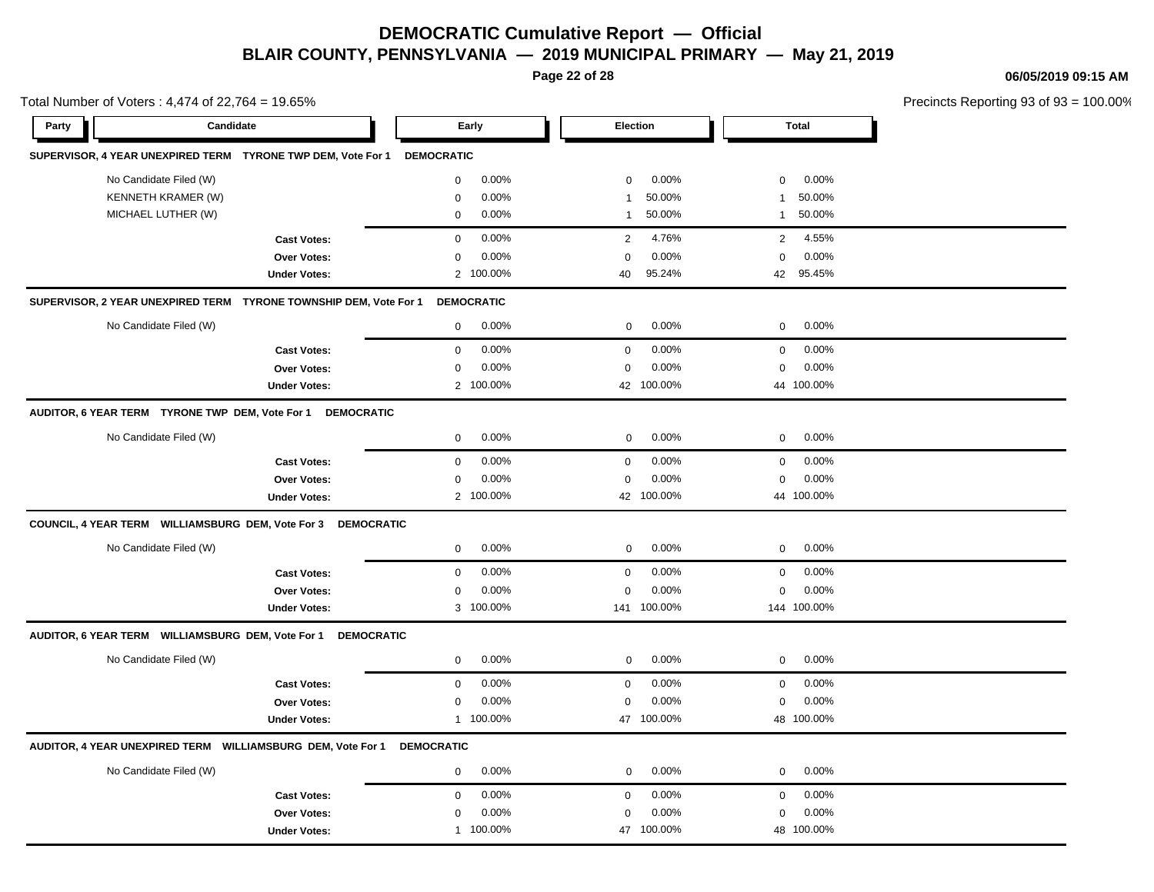**Page 22 of 28**

**06/05/2019 09:15 AM**

Total Number of Voters : 4,474 of 22,764 = 19.65% Precincts Reporting 93 of 93 = 100.00% **Party Candidate Early Election Total SUPERVISOR, 4 YEAR UNEXPIRED TERM TYRONE TWP DEM, Vote For 1 DEMOCRATIC** No Candidate Filed (W)  $0.00\%$  0.00% 0 0.00% 0 0.00% 0 0.00% KENNETH KRAMER (W) 0 0.00% 1 50.00% 1 50.00% MICHAEL LUTHER (W) 0 0.00% 1 50.00% 1 50.00% **Cast Votes:** 0 0.00% 2 4.76% 2 4.55% **Over Votes:** 0 0.00% **Under Votes:** 2 0.00% 0 100.00% 40 42 95.24% 95.45% 0.00% 0 0.00% **SUPERVISOR, 2 YEAR UNEXPIRED TERM TYRONE TOWNSHIP DEM, Vote For 1 DEMOCRATIC** No Candidate Filed (W)  $0.00\%$  0.00% 0 0.00% 0 0.00% 0 0.00% **Cast Votes:** 0 0.00% 0 0.00% 0 0.00% **Over Votes:** 0 0.00% Under Votes: 2 100.00% 0.00% 0 100.00% 42 44 0.00% 0 0.00% 100.00% 100.00% **AUDITOR, 6 YEAR TERM TYRONE TWP DEM, Vote For 1 DEMOCRATIC** No Candidate Filed (W) 0 0.00% 0 0.00% 0 0.00% **Cast Votes:** 0 0.00% 0 0.00% 0 0.00% **Over Votes:** 0 0.00% Under Votes: 2 100.00% 0.00% 0 100.00% 42 100.00% 44 100.00% 0.00% 0 0.00% 100.00% 100.00% **COUNCIL, 4 YEAR TERM WILLIAMSBURG DEM, Vote For 3 DEMOCRATIC** No Candidate Filed (W) 0 0.00% 0 0.00% 0 0.00% **Cast Votes:** 0 0.00% 0 0.00% 0 0.00% **Over Votes:** 0 0.00% Under Votes: 3 100.00% 0.00% 0 100.00% 141 144 0.00% 0 0.00% 100.00% 100.00% **AUDITOR, 6 YEAR TERM WILLIAMSBURG DEM, Vote For 1 DEMOCRATIC** No Candidate Filed (W) 0 0.00% 0 0.00% 0 0.00% **Cast Votes:** 0 0.00% 0 0.00% 0 0.00% **Over Votes:** 0 0.00% Under Votes: 1 00.00% 0.00% 0 100.00% 47 48 0.00% 0 0.00% 100.00% 100.00% **AUDITOR, 4 YEAR UNEXPIRED TERM WILLIAMSBURG DEM, Vote For 1 DEMOCRATIC** No Candidate Filed (W)  $0.00\%$  0.00% 0 0.00% 0 0.00% 0 0.00% **Cast Votes:** 0 0.00% 0 0.00% 0 0.00% **Over Votes:** 0 Under Votes: 1 100.00% 0.00% 0 47 100.00% 47 48 100.00% 100.00%0.00% 0 0.00%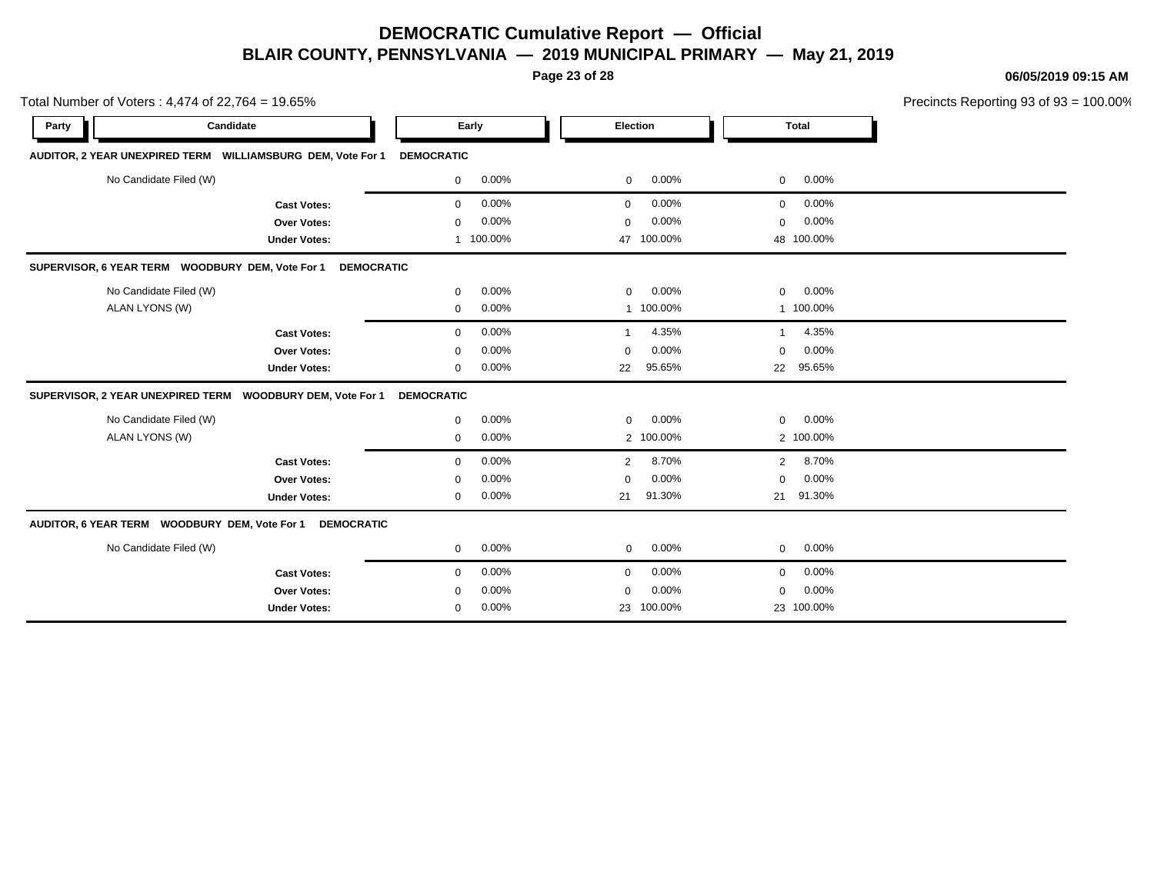**Page 23 of 28**

**06/05/2019 09:15 AM**

|       | otal Number of Voters: $4,474$ of $22,764 = 19.65\%$           |                          |                      |                                         | Precincts Reporting 93 of 93 = 100.00% |
|-------|----------------------------------------------------------------|--------------------------|----------------------|-----------------------------------------|----------------------------------------|
| Party | Candidate                                                      | Early                    | Election             | <b>Total</b>                            |                                        |
|       | AUDITOR, 2 YEAR UNEXPIRED TERM    WILLIAMSBURG DEM, Vote For 1 | DEMOCRATIC               |                      |                                         |                                        |
|       | No Candidate Filed (W)                                         | $0.00\%$<br>$\mathbf{0}$ | $0\qquad 0.00\%$     | $0\quad 0.00\%$                         |                                        |
|       | <b>Cast Votes:</b>                                             | $0.00\%$<br>$\mathbf{0}$ | $0.00\%$<br>$\Omega$ | $0\quad 0.00\%$                         |                                        |
|       | <b>Over Votes:</b>                                             | $0.00\%$<br>$\mathbf{0}$ | 0.00%<br>$\Omega$    | $0\quad 0.00\%$                         |                                        |
|       | <b>Under Votes:</b>                                            | 100.00%                  | 47 100.00%           | 48 100.00%                              |                                        |
|       | SUPERVISOR, 6 YEAR TERM WOODBURY DEM, Vote For 1 DEMOCRATIC    |                          |                      |                                         |                                        |
|       | No Candidate Filed (W)                                         | $0.00\%$<br>$\Omega$     | $0\quad 0.00\%$      | $0\quad 0.00\%$                         |                                        |
|       | ALAN LYONS (W)                                                 | $0.00\%$<br>$\Omega$     | 100.00%              | 100.00%                                 |                                        |
|       |                                                                | $\sim$ 0.00/<br>$\sim$   | $\sqrt{2}$           | $\cdot$ $\cdot$ $\cdot$ $\cdot$ $\cdot$ |                                        |

#### SUPERVISOR, 6 YEAR TERM WOODBURY DEM, Vote For 1 DEMOC

| <b>Cast Votes:</b>                                                 | $\mathbf{0}$      | $0.00\%$ |                | 4.35%     |                | 4.35%      |  |
|--------------------------------------------------------------------|-------------------|----------|----------------|-----------|----------------|------------|--|
| <b>Over Votes:</b>                                                 | $\mathbf 0$       | $0.00\%$ | $\Omega$       | $0.00\%$  | $\mathbf{0}$   | $0.00\%$   |  |
| <b>Under Votes:</b>                                                | 0                 | $0.00\%$ | 22             | 95.65%    | 22             | 95.65%     |  |
| SUPERVISOR, 2 YEAR UNEXPIRED TERM  WOODBURY DEM, Vote For 1        | <b>DEMOCRATIC</b> |          |                |           |                |            |  |
| No Candidate Filed (W)                                             | $\mathbf{0}$      | $0.00\%$ | $\mathbf{0}$   | 0.00%     | $\overline{0}$ | 0.00%      |  |
| ALAN LYONS (W)                                                     | 0                 | $0.00\%$ |                | 2 100.00% |                | 2 100.00%  |  |
| <b>Cast Votes:</b>                                                 | $\mathbf 0$       | $0.00\%$ | $\overline{2}$ | 8.70%     | $2^{\circ}$    | 8.70%      |  |
| <b>Over Votes:</b>                                                 | $\mathbf{0}$      | $0.00\%$ | $\Omega$       | $0.00\%$  | $\mathbf{0}$   | $0.00\%$   |  |
| <b>Under Votes:</b>                                                | 0                 | $0.00\%$ | 21             | 91.30%    | 21             | 91.30%     |  |
| AUDITOR, 6 YEAR TERM WOODBURY DEM, Vote For 1<br><b>DEMOCRATIC</b> |                   |          |                |           |                |            |  |
| No Candidate Filed (W)                                             | $\mathbf 0$       | $0.00\%$ | $\mathbf{0}$   | $0.00\%$  | $\overline{0}$ | $0.00\%$   |  |
| <b>Cast Votes:</b>                                                 | $\mathbf 0$       | $0.00\%$ | $\Omega$       | $0.00\%$  | $\overline{0}$ | $0.00\%$   |  |
| <b>Over Votes:</b>                                                 | $\mathbf 0$       | $0.00\%$ | $\Omega$       | $0.00\%$  | $\overline{0}$ | $0.00\%$   |  |
| <b>Under Votes:</b>                                                | 0                 | $0.00\%$ | 23             | 100.00%   |                | 23 100.00% |  |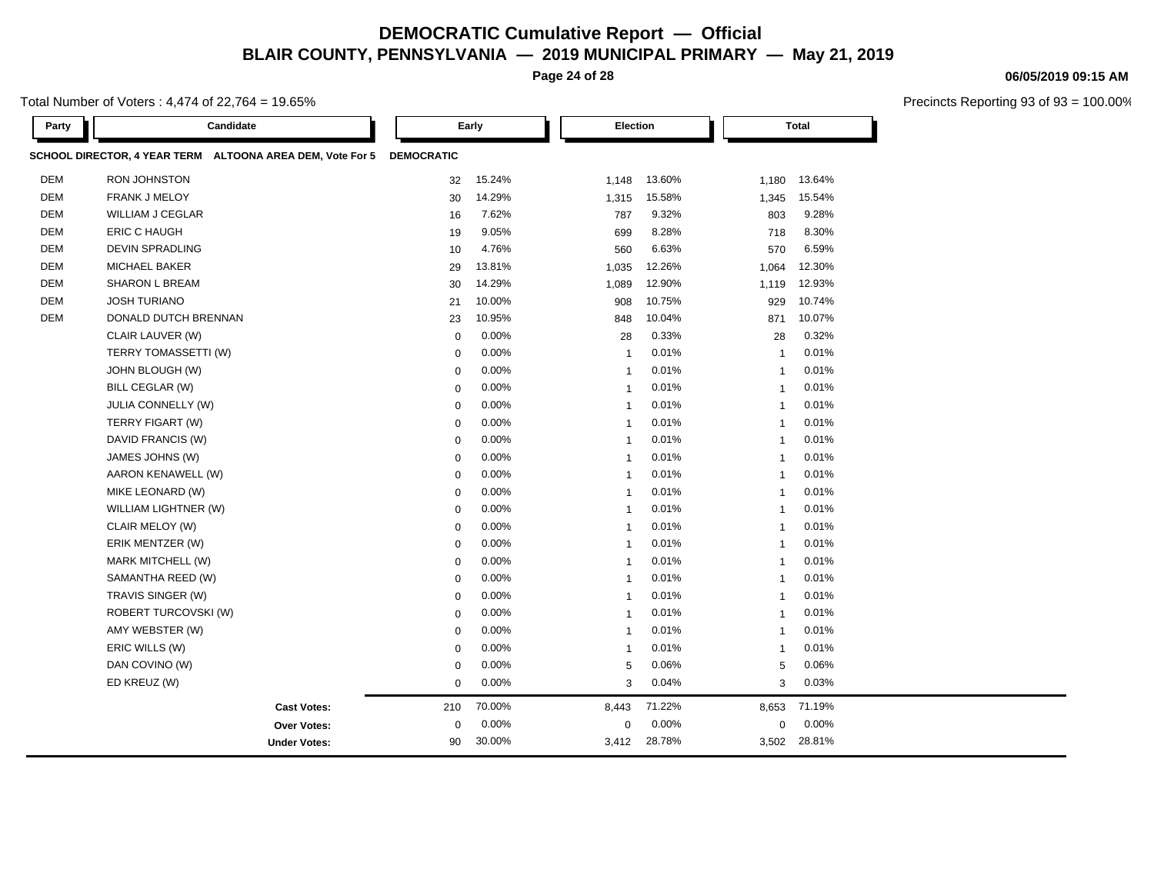**Page 24 of 28**

Total Number of Voters : 4,474 of 22,764 = 19.65%

| Party      | Candidate                                                 | Early             |        |                | Election |                | <b>Total</b> |  |
|------------|-----------------------------------------------------------|-------------------|--------|----------------|----------|----------------|--------------|--|
|            | SCHOOL DIRECTOR, 4 YEAR TERM ALTOONA AREA DEM, Vote For 5 | <b>DEMOCRATIC</b> |        |                |          |                |              |  |
| <b>DEM</b> | RON JOHNSTON                                              | 32                | 15.24% | 1,148          | 13.60%   | 1,180          | 13.64%       |  |
| <b>DEM</b> | <b>FRANK J MELOY</b>                                      | 30                | 14.29% | 1,315          | 15.58%   | 1,345          | 15.54%       |  |
| <b>DEM</b> | <b>WILLIAM J CEGLAR</b>                                   | 16                | 7.62%  | 787            | 9.32%    | 803            | 9.28%        |  |
| <b>DEM</b> | <b>ERIC C HAUGH</b>                                       | 19                | 9.05%  | 699            | 8.28%    | 718            | 8.30%        |  |
| <b>DEM</b> | <b>DEVIN SPRADLING</b>                                    | 10                | 4.76%  | 560            | 6.63%    | 570            | 6.59%        |  |
| <b>DEM</b> | <b>MICHAEL BAKER</b>                                      | 29                | 13.81% | 1,035          | 12.26%   | 1,064          | 12.30%       |  |
| <b>DEM</b> | <b>SHARON L BREAM</b>                                     | 30                | 14.29% | 1,089          | 12.90%   | 1,119          | 12.93%       |  |
| <b>DEM</b> | <b>JOSH TURIANO</b>                                       | 21                | 10.00% | 908            | 10.75%   | 929            | 10.74%       |  |
| <b>DEM</b> | DONALD DUTCH BRENNAN                                      | 23                | 10.95% | 848            | 10.04%   | 871            | 10.07%       |  |
|            | CLAIR LAUVER (W)                                          | $\mathbf 0$       | 0.00%  | 28             | 0.33%    | 28             | 0.32%        |  |
|            | TERRY TOMASSETTI (W)                                      | $\mathbf 0$       | 0.00%  | $\mathbf{1}$   | 0.01%    | $\mathbf{1}$   | 0.01%        |  |
|            | JOHN BLOUGH (W)                                           | $\mathbf 0$       | 0.00%  | $\overline{1}$ | 0.01%    | $\overline{1}$ | 0.01%        |  |
|            | BILL CEGLAR (W)                                           | $\mathbf 0$       | 0.00%  | $\mathbf{1}$   | 0.01%    | $\mathbf{1}$   | 0.01%        |  |
|            | JULIA CONNELLY (W)                                        | $\mathbf 0$       | 0.00%  | $\mathbf{1}$   | 0.01%    | $\mathbf{1}$   | 0.01%        |  |
|            | TERRY FIGART (W)                                          | $\mathbf 0$       | 0.00%  | $\overline{1}$ | 0.01%    | $\overline{1}$ | 0.01%        |  |
|            | DAVID FRANCIS (W)                                         | $\mathbf 0$       | 0.00%  | $\mathbf{1}$   | 0.01%    | $\mathbf{1}$   | 0.01%        |  |
|            | <b>JAMES JOHNS (W)</b>                                    | $\mathbf 0$       | 0.00%  | $\overline{1}$ | 0.01%    | -1             | 0.01%        |  |
|            | AARON KENAWELL (W)                                        | $\mathbf 0$       | 0.00%  | $\overline{1}$ | 0.01%    | $\overline{1}$ | 0.01%        |  |
|            | MIKE LEONARD (W)                                          | $\mathbf 0$       | 0.00%  | $\mathbf{1}$   | 0.01%    | $\overline{1}$ | 0.01%        |  |
|            | WILLIAM LIGHTNER (W)                                      | $\mathbf 0$       | 0.00%  | $\mathbf{1}$   | 0.01%    | $\overline{1}$ | 0.01%        |  |
|            | CLAIR MELOY (W)                                           | $\mathbf 0$       | 0.00%  | $\mathbf{1}$   | 0.01%    | $\mathbf{1}$   | 0.01%        |  |
|            | ERIK MENTZER (W)                                          | $\mathbf 0$       | 0.00%  | $\overline{1}$ | 0.01%    | $\overline{1}$ | 0.01%        |  |
|            | MARK MITCHELL (W)                                         | $\mathbf 0$       | 0.00%  | $\mathbf{1}$   | 0.01%    | $\mathbf{1}$   | 0.01%        |  |
|            | SAMANTHA REED (W)                                         | $\mathbf 0$       | 0.00%  | $\mathbf{1}$   | 0.01%    | -1             | 0.01%        |  |
|            | TRAVIS SINGER (W)                                         | $\mathbf 0$       | 0.00%  | $\mathbf{1}$   | 0.01%    | $\mathbf{1}$   | 0.01%        |  |
|            | ROBERT TURCOVSKI (W)                                      | $\mathbf 0$       | 0.00%  | $\mathbf{1}$   | 0.01%    | $\mathbf{1}$   | 0.01%        |  |
|            | AMY WEBSTER (W)                                           | $\mathbf 0$       | 0.00%  | $\mathbf{1}$   | 0.01%    | $\mathbf{1}$   | 0.01%        |  |
|            | ERIC WILLS (W)                                            | $\mathbf 0$       | 0.00%  | $\mathbf{1}$   | 0.01%    | $\mathbf{1}$   | 0.01%        |  |
|            | DAN COVINO (W)                                            | $\mathbf 0$       | 0.00%  | 5              | 0.06%    | 5              | 0.06%        |  |
|            | ED KREUZ (W)                                              | $\mathbf 0$       | 0.00%  | 3              | 0.04%    | 3              | 0.03%        |  |
|            | <b>Cast Votes:</b>                                        | 210               | 70.00% | 8,443          | 71.22%   | 8,653          | 71.19%       |  |
|            | Over Votes:                                               | $\mathbf 0$       | 0.00%  | $\mathbf 0$    | 0.00%    | 0              | 0.00%        |  |
|            | <b>Under Votes:</b>                                       | 90                | 30.00% | 3,412          | 28.78%   | 3,502          | 28.81%       |  |

#### **06/05/2019 09:15 AM**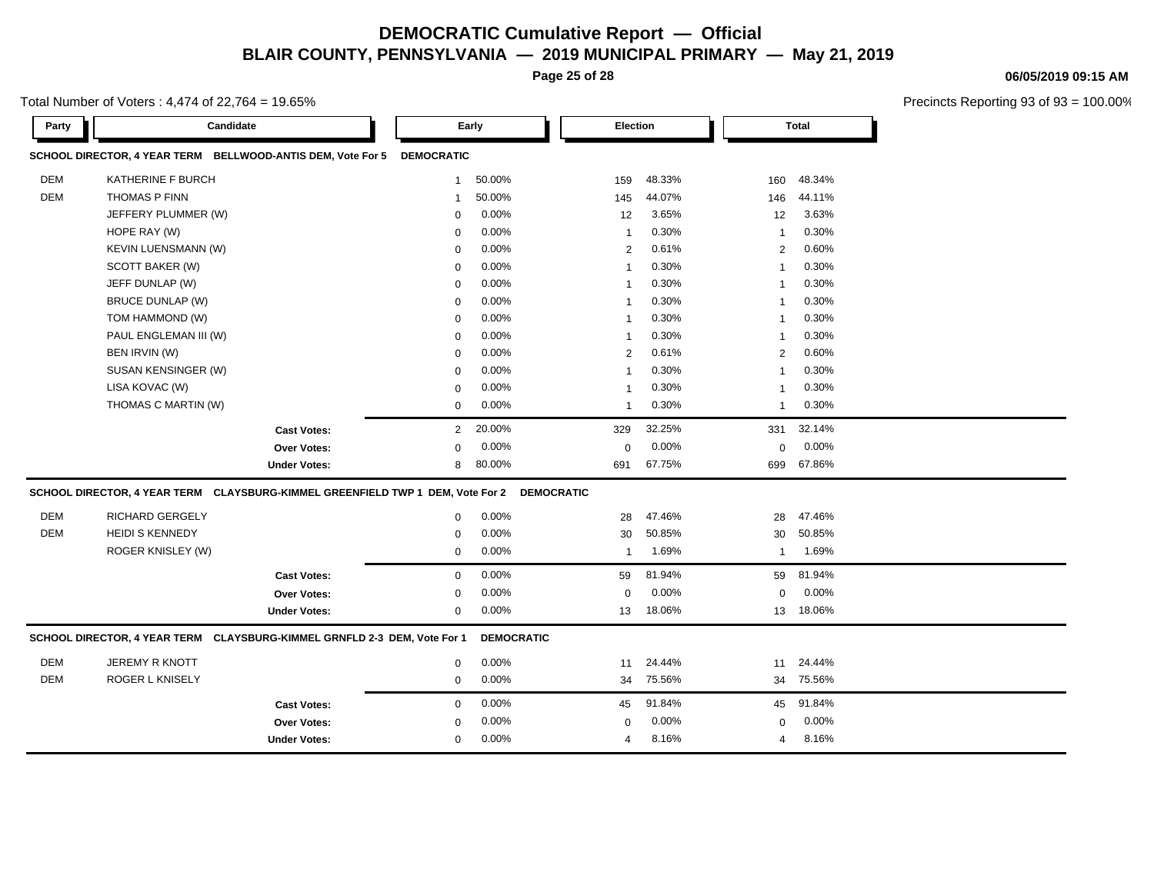**Page 25 of 28**

Total Number of Voters : 4,474 of 22,764 = 19.65%

**Party Candidate Early Election Total SCHOOL DIRECTOR, 4 YEAR TERM BELLWOOD-ANTIS DEM, Vote For 5 DEMOCRATIC** DEM KATHERINE F BURCH 1 50.00% 159 48.33% 160 48.34% DEM THOMAS P FINN 1 50.00% 145 44.07% 146 44.11% JEFFERY PLUMMER (W) 0 0.00% 12 3.65% 12 3.63% HOPE RAY (W) 0 0.00% 1 0.30% 1 0.30% KEVIN LUENSMANN (W) 0 0.00% 2 0.61% 2 0.60%  $\text{SCOTT BAKER (W)} \quad \text{SCOTT BAKER (W)} \quad \text{SCH} \quad \text{SCH} \quad \text{SCH} \quad \text{SCH} \quad \text{SCH} \quad \text{SCH} \quad \text{SCH} \quad \text{SCH} \quad \text{SCH} \quad \text{SCH} \quad \text{SCH} \quad \text{SCH} \quad \text{SCH} \quad \text{SCH} \quad \text{SCH} \quad \text{SCH} \quad \text{SCH} \quad \text{SCH} \quad \text{SCH} \quad \text{SCH} \quad \text{SCH} \quad \text{SCH} \quad \text{SCH} \quad \text{SCH} \quad$ JEFF DUNLAP (W) 0 0.00% 1 0.30% 1 0.30% BRUCE DUNLAP (W) 0 0.00% 1 0.30% 1 0.30% TOM HAMMOND (W) 0 0.00% 1 0.30% 1 0.30% PAUL ENGLEMAN III (W)  $0.00\%$  1 0.30% 1 0.30% 1 0.30% BEN IRVIN (W) 0 0.00% 2 0.61% 2 0.60% SUSAN KENSINGER (W) 0 0.00% 1 0.30% 1 0.30% LISA KOVAC (W) 0 0.00% 1 0.30% 1 0.30% THOMAS C MARTIN (W)  $0.00\%$  1 0.30% 1 0.30% 1 0.30% **Cast Votes:** 2 20.00% 329 32.25% 331 32.14% **Over Votes:** 0 0.00% **Under Votes:** 8 80.00% 0.00% 0 80.00% 691 699 0.00% 0 0.00% 67.75% 67.86% **SCHOOL DIRECTOR, 4 YEAR TERM CLAYSBURG-KIMMEL GREENFIELD TWP 1 DEM, Vote For 2 DEMOCRATIC** DEM RICHARD GERGELY 0 0.00% 28 47.46% 28 47.46% DEM HEIDI S KENNEDY 0 0.00% 30 50.85% 30 50.85% ROGER KNISLEY (W) 0 0.00% 1 1.69% 1 1.69% **Cast Votes:** 0 0.00% 59 81.94% 59 81.94% **Over Votes:** 0 0.00% **Under Votes:** 0 0.00% 0 13 18.06% 13 13 18.06% 18.06% 0.00% 0 0.00% **SCHOOL DIRECTOR, 4 YEAR TERM CLAYSBURG-KIMMEL GRNFLD 2-3 DEM, Vote For 1 DEMOCRATIC** DEM JEREMY R KNOTT 0 0.00% 11 24.44% 11 24.44% DEM ROGER L KNISELY 0 0.00% 34 75.56% 34 75.56% **Cast Votes:** 0 0.00% 45 91.84% 45 91.84% **Over Votes:** 0 0.00% **Under Votes:** 0 0.00% 0 4 8.16% 4 4 8.16% 8.16%0.00% 0 0.00%

#### **06/05/2019 09:15 AM**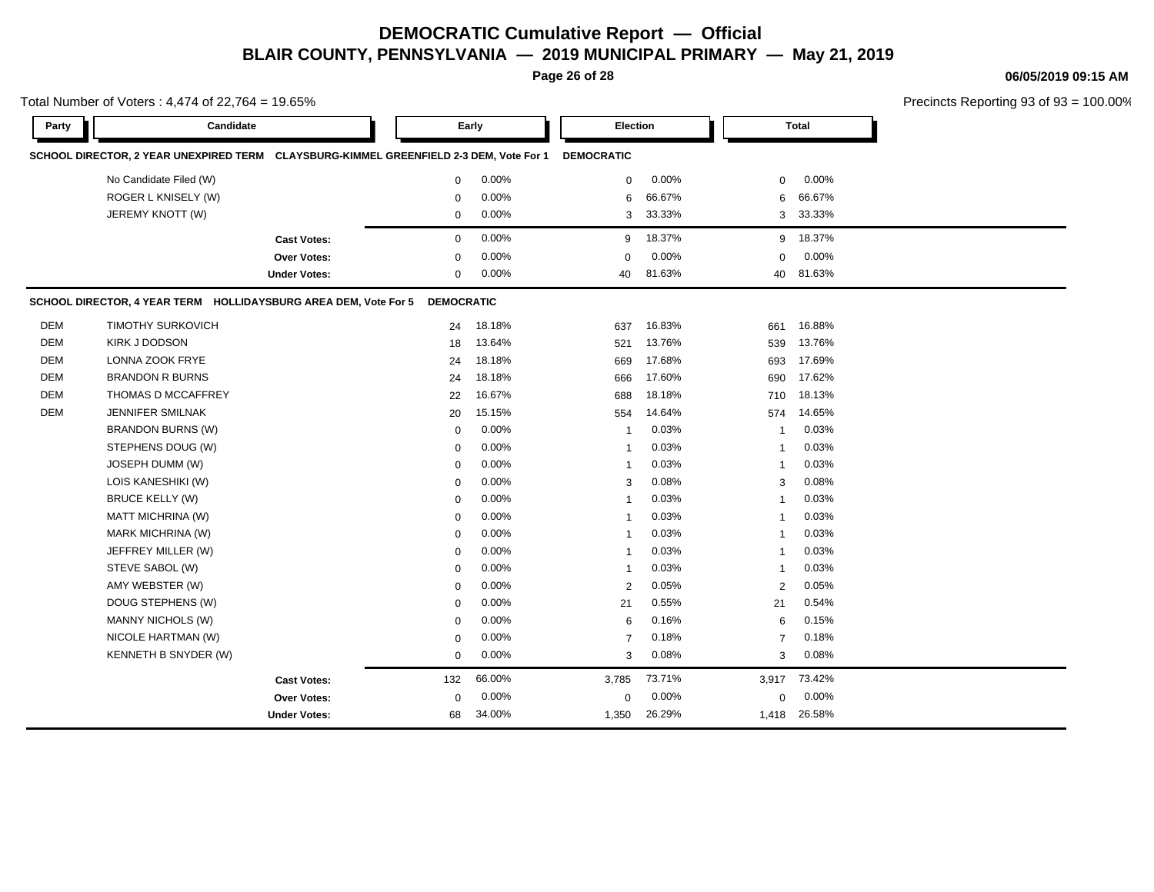**Page 26 of 28**

#### **06/05/2019 09:15 AM**

|            | Total Number of Voters: 4,474 of 22,764 = 19.65%                                       |                     |                   |        |                   |                 |                |        | Precincts Reporting 93 of 93 |
|------------|----------------------------------------------------------------------------------------|---------------------|-------------------|--------|-------------------|-----------------|----------------|--------|------------------------------|
| Party      | Candidate                                                                              |                     |                   | Early  |                   | <b>Election</b> |                | Total  |                              |
|            | SCHOOL DIRECTOR, 2 YEAR UNEXPIRED TERM CLAYSBURG-KIMMEL GREENFIELD 2-3 DEM, Vote For 1 |                     |                   |        | <b>DEMOCRATIC</b> |                 |                |        |                              |
|            | No Candidate Filed (W)                                                                 |                     | $\mathbf 0$       | 0.00%  | 0                 | 0.00%           | 0              | 0.00%  |                              |
|            | ROGER L KNISELY (W)                                                                    |                     | $\mathbf 0$       | 0.00%  | 6                 | 66.67%          | 6              | 66.67% |                              |
|            | JEREMY KNOTT (W)                                                                       |                     | $\mathbf 0$       | 0.00%  | 3                 | 33.33%          | 3              | 33.33% |                              |
|            |                                                                                        | <b>Cast Votes:</b>  | $\mathbf 0$       | 0.00%  | 9                 | 18.37%          | 9              | 18.37% |                              |
|            |                                                                                        | <b>Over Votes:</b>  | $\mathbf 0$       | 0.00%  | $\mathbf 0$       | 0.00%           | $\Omega$       | 0.00%  |                              |
|            |                                                                                        | <b>Under Votes:</b> | $\mathbf 0$       | 0.00%  | 40                | 81.63%          | 40             | 81.63% |                              |
|            | SCHOOL DIRECTOR, 4 YEAR TERM HOLLIDAYSBURG AREA DEM, Vote For 5                        |                     | <b>DEMOCRATIC</b> |        |                   |                 |                |        |                              |
| <b>DEM</b> | <b>TIMOTHY SURKOVICH</b>                                                               |                     | 24                | 18.18% | 637               | 16.83%          | 661            | 16.88% |                              |
| <b>DEM</b> | <b>KIRK J DODSON</b>                                                                   |                     | 18                | 13.64% | 521               | 13.76%          | 539            | 13.76% |                              |
| DEM        | LONNA ZOOK FRYE                                                                        |                     | 24                | 18.18% | 669               | 17.68%          | 693            | 17.69% |                              |
| <b>DEM</b> | <b>BRANDON R BURNS</b>                                                                 |                     | 24                | 18.18% | 666               | 17.60%          | 690            | 17.62% |                              |
| <b>DEM</b> | THOMAS D MCCAFFREY                                                                     |                     | 22                | 16.67% | 688               | 18.18%          | 710            | 18.13% |                              |
| <b>DEM</b> | JENNIFER SMILNAK                                                                       |                     | 20                | 15.15% | 554               | 14.64%          | 574            | 14.65% |                              |
|            | <b>BRANDON BURNS (W)</b>                                                               |                     | $\mathbf 0$       | 0.00%  | 1                 | 0.03%           | $\overline{1}$ | 0.03%  |                              |
|            | STEPHENS DOUG (W)                                                                      |                     | $\mathbf 0$       | 0.00%  | 1                 | 0.03%           | $\overline{1}$ | 0.03%  |                              |
|            | JOSEPH DUMM (W)                                                                        |                     | $\mathbf 0$       | 0.00%  | $\mathbf{1}$      | 0.03%           | $\overline{1}$ | 0.03%  |                              |
|            | LOIS KANESHIKI (W)                                                                     |                     | $\mathbf 0$       | 0.00%  | 3                 | 0.08%           | 3              | 0.08%  |                              |
|            | <b>BRUCE KELLY (W)</b>                                                                 |                     | $\mathbf 0$       | 0.00%  | $\mathbf{1}$      | 0.03%           | $\overline{1}$ | 0.03%  |                              |
|            | <b>MATT MICHRINA (W)</b>                                                               |                     | $\mathbf 0$       | 0.00%  | $\mathbf{1}$      | 0.03%           | $\overline{1}$ | 0.03%  |                              |
|            | MARK MICHRINA (W)                                                                      |                     | $\mathbf 0$       | 0.00%  | $\mathbf{1}$      | 0.03%           | $\overline{1}$ | 0.03%  |                              |
|            | JEFFREY MILLER (W)                                                                     |                     | $\mathbf 0$       | 0.00%  | $\mathbf{1}$      | 0.03%           | $\overline{1}$ | 0.03%  |                              |
|            | STEVE SABOL (W)                                                                        |                     | $\mathbf 0$       | 0.00%  | $\mathbf{1}$      | 0.03%           | $\overline{1}$ | 0.03%  |                              |
|            | AMY WEBSTER (W)                                                                        |                     | $\mathbf 0$       | 0.00%  | $\overline{2}$    | 0.05%           | 2              | 0.05%  |                              |
|            | DOUG STEPHENS (W)                                                                      |                     | $\mathbf 0$       | 0.00%  | 21                | 0.55%           | 21             | 0.54%  |                              |
|            | MANNY NICHOLS (W)                                                                      |                     | $\mathbf 0$       | 0.00%  | 6                 | 0.16%           | 6              | 0.15%  |                              |
|            | NICOLE HARTMAN (W)                                                                     |                     | $\mathbf 0$       | 0.00%  | $\overline{7}$    | 0.18%           | $\overline{7}$ | 0.18%  |                              |
|            | KENNETH B SNYDER (W)                                                                   |                     | $\mathbf 0$       | 0.00%  | 3                 | 0.08%           | 3              | 0.08%  |                              |
|            |                                                                                        | <b>Cast Votes:</b>  | 132               | 66.00% | 3,785             | 73.71%          | 3,917          | 73.42% |                              |
|            |                                                                                        | Over Votes:         | 0                 | 0.00%  | $\mathbf 0$       | 0.00%           | $\mathbf 0$    | 0.00%  |                              |
|            |                                                                                        | <b>Under Votes:</b> | 68                | 34.00% | 1,350             | 26.29%          | 1,418          | 26.58% |                              |
|            |                                                                                        |                     |                   |        |                   |                 |                |        |                              |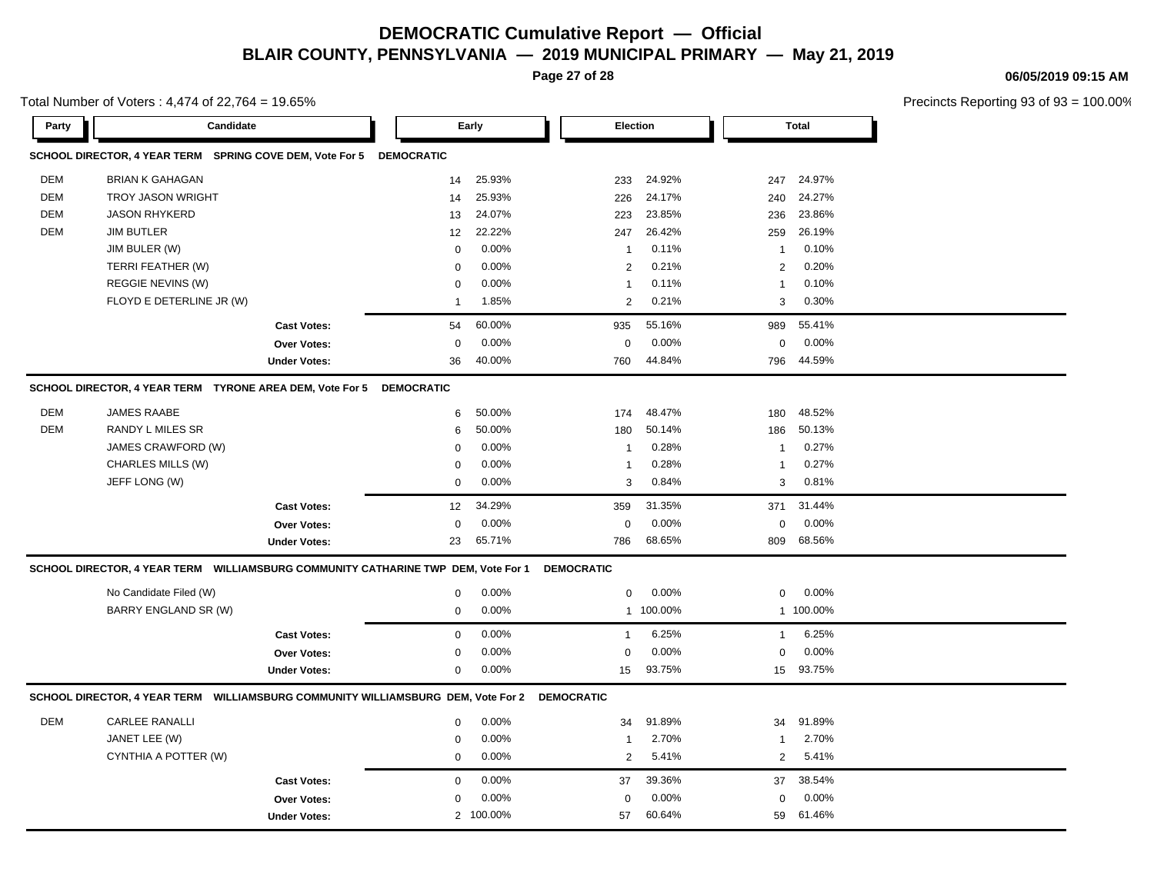**Page 27 of 28**

Total Number of Voters : 4,474 of 22,764 = 19.65%

| 06/05/2019 09:15 AM |  |
|---------------------|--|
|                     |  |

| Party      | Candidate                                                                         |                     |                   | Early     |                   | <b>Election</b> |                | <b>Total</b> |  |
|------------|-----------------------------------------------------------------------------------|---------------------|-------------------|-----------|-------------------|-----------------|----------------|--------------|--|
|            | SCHOOL DIRECTOR, 4 YEAR TERM SPRING COVE DEM, Vote For 5                          |                     | <b>DEMOCRATIC</b> |           |                   |                 |                |              |  |
| <b>DEM</b> | <b>BRIAN K GAHAGAN</b>                                                            |                     | 14                | 25.93%    | 233               | 24.92%          | 247            | 24.97%       |  |
| <b>DEM</b> | <b>TROY JASON WRIGHT</b>                                                          |                     | 14                | 25.93%    | 226               | 24.17%          | 240            | 24.27%       |  |
| <b>DEM</b> | <b>JASON RHYKERD</b>                                                              |                     | 13                | 24.07%    | 223               | 23.85%          | 236            | 23.86%       |  |
| <b>DEM</b> | <b>JIM BUTLER</b>                                                                 |                     | 12                | 22.22%    | 247               | 26.42%          | 259            | 26.19%       |  |
|            | JIM BULER (W)                                                                     |                     | $\mathbf 0$       | 0.00%     | $\overline{1}$    | 0.11%           | 1              | 0.10%        |  |
|            | TERRI FEATHER (W)                                                                 |                     | $\Omega$          | 0.00%     | 2                 | 0.21%           | $\overline{2}$ | 0.20%        |  |
|            | REGGIE NEVINS (W)                                                                 |                     | $\Omega$          | 0.00%     | $\overline{1}$    | 0.11%           | $\mathbf{1}$   | 0.10%        |  |
|            | FLOYD E DETERLINE JR (W)                                                          |                     | $\mathbf{1}$      | 1.85%     | 2                 | 0.21%           | 3              | 0.30%        |  |
|            |                                                                                   | <b>Cast Votes:</b>  | 54                | 60.00%    | 935               | 55.16%          | 989            | 55.41%       |  |
|            |                                                                                   | Over Votes:         | $\mathbf 0$       | 0.00%     | $\mathbf 0$       | 0.00%           | $\mathbf 0$    | 0.00%        |  |
|            |                                                                                   | <b>Under Votes:</b> | 36                | 40.00%    | 760               | 44.84%          | 796            | 44.59%       |  |
|            | SCHOOL DIRECTOR, 4 YEAR TERM TYRONE AREA DEM, Vote For 5                          |                     | <b>DEMOCRATIC</b> |           |                   |                 |                |              |  |
| <b>DEM</b> | JAMES RAABE                                                                       |                     | 6                 | 50.00%    | 174               | 48.47%          | 180            | 48.52%       |  |
| <b>DEM</b> | <b>RANDY L MILES SR</b>                                                           |                     | 6                 | 50.00%    | 180               | 50.14%          | 186            | 50.13%       |  |
|            | JAMES CRAWFORD (W)                                                                |                     | $\Omega$          | 0.00%     | $\overline{1}$    | 0.28%           | 1              | 0.27%        |  |
|            | CHARLES MILLS (W)                                                                 |                     | 0                 | 0.00%     | $\overline{1}$    | 0.28%           | $\mathbf{1}$   | 0.27%        |  |
|            | JEFF LONG (W)                                                                     |                     | $\mathbf 0$       | 0.00%     | 3                 | 0.84%           | 3              | 0.81%        |  |
|            |                                                                                   | <b>Cast Votes:</b>  | 12                | 34.29%    | 359               | 31.35%          | 371            | 31.44%       |  |
|            |                                                                                   | Over Votes:         | $\mathbf 0$       | 0.00%     | $\mathbf 0$       | 0.00%           | $\mathbf 0$    | 0.00%        |  |
|            |                                                                                   | <b>Under Votes:</b> | 23                | 65.71%    | 786               | 68.65%          | 809            | 68.56%       |  |
|            | SCHOOL DIRECTOR, 4 YEAR TERM WILLIAMSBURG COMMUNITY CATHARINE TWP DEM, Vote For 1 |                     |                   |           | <b>DEMOCRATIC</b> |                 |                |              |  |
|            | No Candidate Filed (W)                                                            |                     | 0                 | 0.00%     | $\mathbf 0$       | 0.00%           | $\pmb{0}$      | 0.00%        |  |
|            | BARRY ENGLAND SR (W)                                                              |                     | $\mathsf 0$       | 0.00%     |                   | 1 100.00%       |                | 1 100.00%    |  |
|            |                                                                                   | <b>Cast Votes:</b>  | $\mathsf 0$       | 0.00%     | $\mathbf{1}$      | 6.25%           | $\mathbf{1}$   | 6.25%        |  |
|            |                                                                                   | Over Votes:         | 0                 | 0.00%     | $\mathbf 0$       | 0.00%           | $\mathbf 0$    | 0.00%        |  |
|            |                                                                                   | <b>Under Votes:</b> | 0                 | 0.00%     | 15                | 93.75%          | 15             | 93.75%       |  |
|            | SCHOOL DIRECTOR, 4 YEAR TERM WILLIAMSBURG COMMUNITY WILLIAMSBURG DEM, Vote For 2  |                     |                   |           | <b>DEMOCRATIC</b> |                 |                |              |  |
| <b>DEM</b> | <b>CARLEE RANALLI</b>                                                             |                     | $\mathbf 0$       | 0.00%     | 34                | 91.89%          | 34             | 91.89%       |  |
|            | JANET LEE (W)                                                                     |                     | 0                 | 0.00%     | $\mathbf{1}$      | 2.70%           | $\mathbf{1}$   | 2.70%        |  |
|            | CYNTHIA A POTTER (W)                                                              |                     | $\mathbf 0$       | 0.00%     | 2                 | 5.41%           | $\overline{2}$ | 5.41%        |  |
|            |                                                                                   | <b>Cast Votes:</b>  | $\mathbf 0$       | 0.00%     | 37                | 39.36%          | 37             | 38.54%       |  |
|            |                                                                                   | <b>Over Votes:</b>  | $\Omega$          | 0.00%     | $\Omega$          | 0.00%           | $\mathbf 0$    | 0.00%        |  |
|            |                                                                                   | <b>Under Votes:</b> |                   | 2 100.00% | 57                | 60.64%          | 59             | 61.46%       |  |